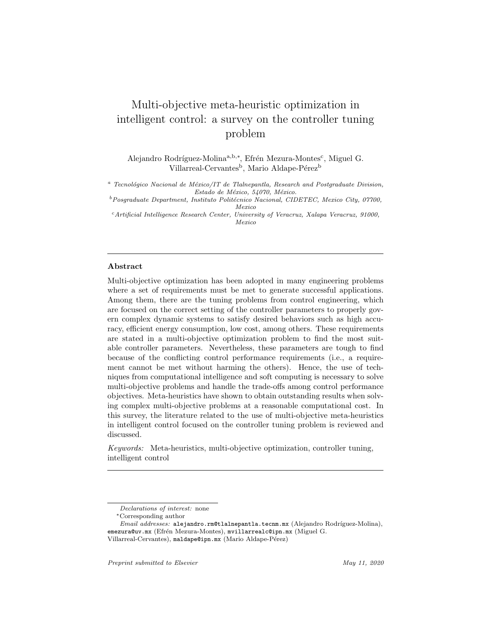# Multi-objective meta-heuristic optimization in intelligent control: a survey on the controller tuning problem

Alejandro Rodríguez-Molina<sup>a, b,\*</sup>, Efrén Mezura-Montes<sup>c</sup>, Miguel G. Villarreal-Cervantes<sup>b</sup>, Mario Aldape-Pérez<sup>b</sup>

 $a$  Tecnológico Nacional de México/IT de Tlalnepantla, Research and Postgraduate Division, Estado de México, 54070, México.

 $b$ Posgraduate Department, Instituto Politécnico Nacional, CIDETEC, Mexico City, 07700, Mexico

<sup>c</sup>Artificial Intelligence Research Center, University of Veracruz, Xalapa Veracruz, 91000, Mexico

# Abstract

Multi-objective optimization has been adopted in many engineering problems where a set of requirements must be met to generate successful applications. Among them, there are the tuning problems from control engineering, which are focused on the correct setting of the controller parameters to properly govern complex dynamic systems to satisfy desired behaviors such as high accuracy, efficient energy consumption, low cost, among others. These requirements are stated in a multi-objective optimization problem to find the most suitable controller parameters. Nevertheless, these parameters are tough to find because of the conflicting control performance requirements (i.e., a requirement cannot be met without harming the others). Hence, the use of techniques from computational intelligence and soft computing is necessary to solve multi-objective problems and handle the trade-offs among control performance objectives. Meta-heuristics have shown to obtain outstanding results when solving complex multi-objective problems at a reasonable computational cost. In this survey, the literature related to the use of multi-objective meta-heuristics in intelligent control focused on the controller tuning problem is reviewed and discussed.

Keywords: Meta-heuristics, multi-objective optimization, controller tuning, intelligent control

Declarations of interest: none

<sup>∗</sup>Corresponding author

Email addresses: alejandro.rm@tlalnepantla.tecnm.mx (Alejandro Rodríguez-Molina), emezura@uv.mx (Efrén Mezura-Montes), mvillarrealc@ipn.mx (Miguel G.

Villarreal-Cervantes), maldape@ipn.mx (Mario Aldape-Pérez)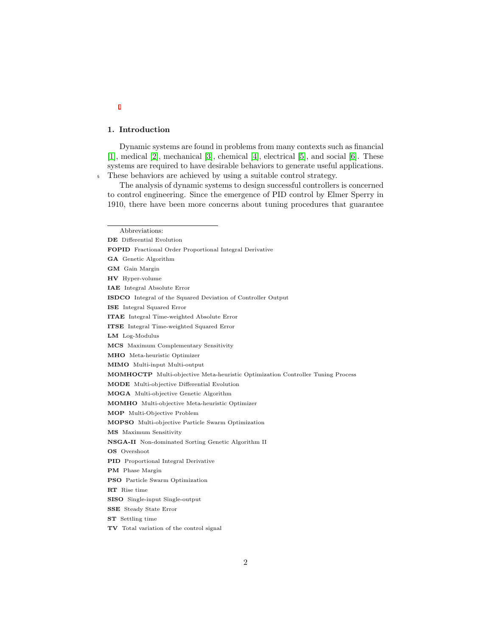## 1. Introduction

Dynamic systems are found in problems from many contexts such as financial [\[1\]](#page-44-0), medical [\[2\]](#page-44-1), mechanical [\[3\]](#page-44-2), chemical [\[4\]](#page-44-3), electrical [\[5\]](#page-44-4), and social [\[6\]](#page-45-0). These systems are required to have desirable behaviors to generate useful applications. <sup>5</sup> These behaviors are achieved by using a suitable control strategy.

The analysis of dynamic systems to design successful controllers is concerned to control engineering. Since the emergence of PID control by Elmer Sperry in 1910, there have been more concerns about tuning procedures that guarantee

Abbreviations: DE Differential Evolution FOPID Fractional Order Proportional Integral Derivative GA Genetic Algorithm GM Gain Margin HV Hyper-volume IAE Integral Absolute Error ISDCO Integral of the Squared Deviation of Controller Output ISE Integral Squared Error ITAE Integral Time-weighted Absolute Error ITSE Integral Time-weighted Squared Error LM Log-Modulus MCS Maximum Complementary Sensitivity MHO Meta-heuristic Optimizer MIMO Multi-input Multi-output MOMHOCTP Multi-objective Meta-heuristic Optimization Controller Tuning Process MODE Multi-objective Differential Evolution MOGA Multi-objective Genetic Algorithm MOMHO Multi-objective Meta-heuristic Optimizer MOP Multi-Objective Problem MOPSO Multi-objective Particle Swarm Optimization MS Maximum Sensitivity NSGA-II Non-dominated Sorting Genetic Algorithm II OS Overshoot PID Proportional Integral Derivative PM Phase Margin PSO Particle Swarm Optimization RT Rise time SISO Single-input Single-output SSE Steady State Error ST Settling time

TV Total variation of the control signal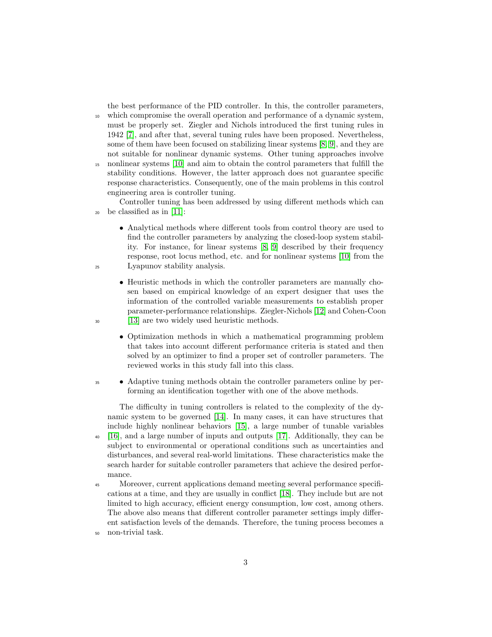the best performance of the PID controller. In this, the controller parameters,

- <sup>10</sup> which compromise the overall operation and performance of a dynamic system, must be properly set. Ziegler and Nichols introduced the first tuning rules in 1942 [\[7\]](#page-45-1), and after that, several tuning rules have been proposed. Nevertheless, some of them have been focused on stabilizing linear systems [\[8,](#page-45-2) [9\]](#page-45-3), and they are not suitable for nonlinear dynamic systems. Other tuning approaches involve <sup>15</sup> nonlinear systems [\[10\]](#page-45-4) and aim to obtain the control parameters that fulfill the
- stability conditions. However, the latter approach does not guarantee specific response characteristics. Consequently, one of the main problems in this control engineering area is controller tuning.

Controller tuning has been addressed by using different methods which can  $_{20}$  be classified as in [\[11\]](#page-45-5):

- Analytical methods where different tools from control theory are used to find the controller parameters by analyzing the closed-loop system stability. For instance, for linear systems [\[8,](#page-45-2) [9\]](#page-45-3) described by their frequency response, root locus method, etc. and for nonlinear systems [\[10\]](#page-45-4) from the <sup>25</sup> Lyapunov stability analysis.
- Heuristic methods in which the controller parameters are manually chosen based on empirical knowledge of an expert designer that uses the information of the controlled variable measurements to establish proper parameter-performance relationships. Ziegler-Nichols [\[12\]](#page-45-6) and Cohen-Coon <sup>30</sup> [\[13\]](#page-45-7) are two widely used heuristic methods.
	- Optimization methods in which a mathematical programming problem that takes into account different performance criteria is stated and then solved by an optimizer to find a proper set of controller parameters. The reviewed works in this study fall into this class.
- <sup>35</sup> Adaptive tuning methods obtain the controller parameters online by performing an identification together with one of the above methods.

The difficulty in tuning controllers is related to the complexity of the dynamic system to be governed [\[14\]](#page-45-8). In many cases, it can have structures that include highly nonlinear behaviors [\[15\]](#page-45-9), a large number of tunable variables <sup>40</sup> [\[16\]](#page-45-10), and a large number of inputs and outputs [\[17\]](#page-45-11). Additionally, they can be subject to environmental or operational conditions such as uncertainties and disturbances, and several real-world limitations. These characteristics make the search harder for suitable controller parameters that achieve the desired performance.

- <sup>45</sup> Moreover, current applications demand meeting several performance specifications at a time, and they are usually in conflict [\[18\]](#page-45-12). They include but are not limited to high accuracy, efficient energy consumption, low cost, among others. The above also means that different controller parameter settings imply different satisfaction levels of the demands. Therefore, the tuning process becomes a <sup>50</sup> non-trivial task.
- 

3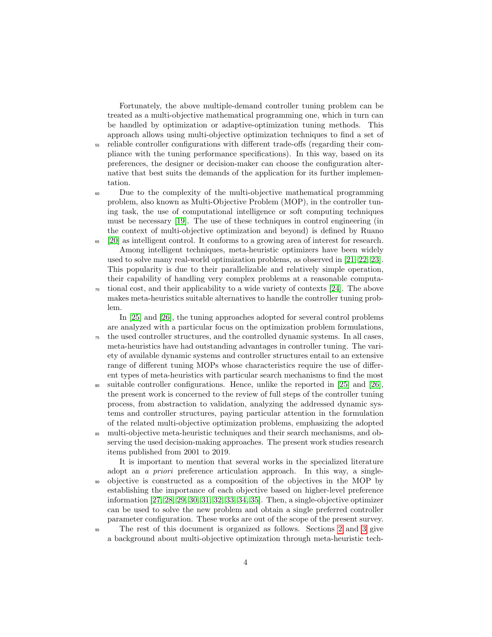Fortunately, the above multiple-demand controller tuning problem can be treated as a multi-objective mathematical programming one, which in turn can be handled by optimization or adaptive-optimization tuning methods. This approach allows using multi-objective optimization techniques to find a set of <sup>55</sup> reliable controller configurations with different trade-offs (regarding their compliance with the tuning performance specifications). In this way, based on its preferences, the designer or decision-maker can choose the configuration alternative that best suits the demands of the application for its further implementation.

- <sup>60</sup> Due to the complexity of the multi-objective mathematical programming problem, also known as Multi-Objective Problem (MOP), in the controller tuning task, the use of computational intelligence or soft computing techniques must be necessary [\[19\]](#page-46-0). The use of these techniques in control engineering (in the context of multi-objective optimization and beyond) is defined by Ruano
- <sup>65</sup> [\[20\]](#page-46-1) as intelligent control. It conforms to a growing area of interest for research. Among intelligent techniques, meta-heuristic optimizers have been widely used to solve many real-world optimization problems, as observed in [\[21,](#page-46-2) [22,](#page-46-3) [23\]](#page-46-4). This popularity is due to their parallelizable and relatively simple operation, their capability of handling very complex problems at a reasonable computa-
- $\tau_0$  tional cost, and their applicability to a wide variety of contexts [\[24\]](#page-46-5). The above makes meta-heuristics suitable alternatives to handle the controller tuning problem.

In [\[25\]](#page-46-6) and [\[26\]](#page-46-7), the tuning approaches adopted for several control problems are analyzed with a particular focus on the optimization problem formulations,

- <sup>75</sup> the used controller structures, and the controlled dynamic systems. In all cases, meta-heuristics have had outstanding advantages in controller tuning. The variety of available dynamic systems and controller structures entail to an extensive range of different tuning MOPs whose characteristics require the use of different types of meta-heuristics with particular search mechanisms to find the most
- <sup>80</sup> suitable controller configurations. Hence, unlike the reported in [\[25\]](#page-46-6) and [\[26\]](#page-46-7), the present work is concerned to the review of full steps of the controller tuning process, from abstraction to validation, analyzing the addressed dynamic systems and controller structures, paying particular attention in the formulation of the related multi-objective optimization problems, emphasizing the adopted
- <sup>85</sup> multi-objective meta-heuristic techniques and their search mechanisms, and observing the used decision-making approaches. The present work studies research items published from 2001 to 2019.

It is important to mention that several works in the specialized literature adopt an a priori preference articulation approach. In this way, a single-<sup>90</sup> objective is constructed as a composition of the objectives in the MOP by establishing the importance of each objective based on higher-level preference information [\[27,](#page-46-8) [28,](#page-46-9) [29,](#page-46-10) [30,](#page-46-11) [31,](#page-47-0) [32,](#page-47-1) [33,](#page-47-2) [34,](#page-47-3) [35\]](#page-47-4). Then, a single-objective optimizer can be used to solve the new problem and obtain a single preferred controller parameter configuration. These works are out of the scope of the present survey.

<sup>95</sup> The rest of this document is organized as follows. Sections [2](#page-4-0) and [3](#page-10-0) give a background about multi-objective optimization through meta-heuristic tech-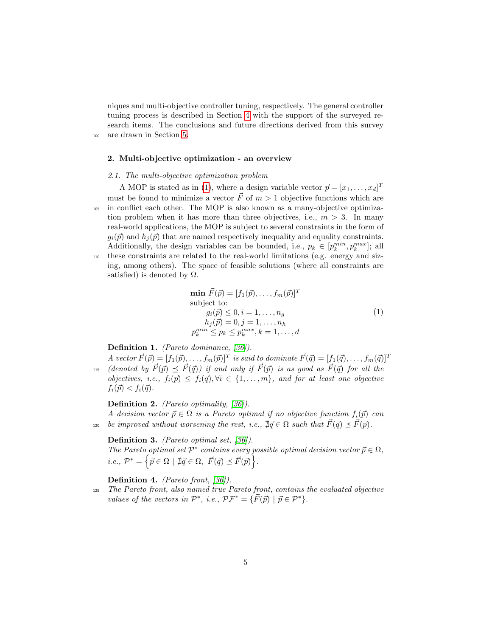niques and multi-objective controller tuning, respectively. The general controller tuning process is described in Section [4](#page-13-0) with the support of the surveyed research items. The conclusions and future directions derived from this survey <sup>100</sup> are drawn in Section [5.](#page-35-0)

#### <span id="page-4-0"></span>2. Multi-objective optimization - an overview

#### 2.1. The multi-objective optimization problem

A MOP is stated as in [\(1\)](#page-4-1), where a design variable vector  $\vec{p} = [x_1, \ldots, x_d]^T$ must be found to minimize a vector  $\vec{F}$  of  $m > 1$  objective functions which are <sup>105</sup> in conflict each other. The MOP is also known as a many-objective optimization problem when it has more than three objectives, i.e.,  $m > 3$ . In many real-world applications, the MOP is subject to several constraints in the form of  $g_i(\vec{p})$  and  $h_i(\vec{p})$  that are named respectively inequality and equality constraints. Additionally, the design variables can be bounded, i.e.,  $p_k \in [p_k^{min}, p_k^{max}]$ ; all <sup>110</sup> these constraints are related to the real-world limitations (e.g. energy and sizing, among others). The space of feasible solutions (where all constraints are satisfied) is denoted by  $\Omega$ .

$$
\begin{aligned}\n\textbf{min } \vec{F}(\vec{p}) &= [f_1(\vec{p}), \dots, f_m(\vec{p})]^T \\
\text{subject to:} \\
& g_i(\vec{p}) \le 0, i = 1, \dots, n_g \\
& h_j(\vec{p}) &= 0, j = 1, \dots, n_h \\
& p_k^{\min} \le p_k \le p_k^{\max}, k = 1, \dots, d\n\end{aligned} \tag{1}
$$

# <span id="page-4-1"></span>Definition 1. (Pareto dominance, [\[36\]](#page-47-5)).

A vector  $\vec{F}(\vec{p}) = [f_1(\vec{p}), \ldots, f_m(\vec{p})]^T$  is said to dominate  $\vec{F}(\vec{q}) = [f_1(\vec{q}), \ldots, f_m(\vec{q})]^T$ 115 (denoted by  $\vec{F}(\vec{p}) \preceq \vec{F}(\vec{q})$ ) if and only if  $\vec{F}(\vec{p})$  is as good as  $\vec{F}(\vec{q})$  for all the

objectives, i.e.,  $f_i(\vec{p}) \leq f_i(\vec{q}), \forall i \in \{1, \ldots, m\}$ , and for at least one objective  $f_i(\vec{p}) < f_i(\vec{q}).$ 

# Definition 2. (Pareto optimality, [\[36\]](#page-47-5)).

A decision vector  $\vec{p} \in \Omega$  is a Pareto optimal if no objective function  $f_i(\vec{p})$  can <sup>120</sup> be improved without worsening the rest, i.e.,  $\overrightarrow{A} \overrightarrow{q} \in \Omega$  such that  $\overrightarrow{F}(\overrightarrow{q}) \preceq \overrightarrow{F}(\overrightarrow{p})$ .

Definition 3. (Pareto optimal set, [\[36\]](#page-47-5)).

The Pareto optimal set  $\mathcal{P}^*$  contains every possible optimal decision vector  $\vec{p} \in \Omega$ , *i.e.*,  $\mathcal{P}^* = \left\{ \vec{p} \in \Omega \mid \nexists \vec{q} \in \Omega, \ \vec{F}(\vec{q}) \preceq \vec{F}(\vec{p}) \right\}.$ 

Definition 4. (Pareto front, [\[36\]](#page-47-5)).

<sup>125</sup> The Pareto front, also named true Pareto front, contains the evaluated objective values of the vectors in  $\mathcal{P}^*$ , i.e.,  $\mathcal{P}\mathcal{F}^* = {\{\vec{F}(\vec{p}) \mid \vec{p} \in \mathcal{P}^*\}}$ .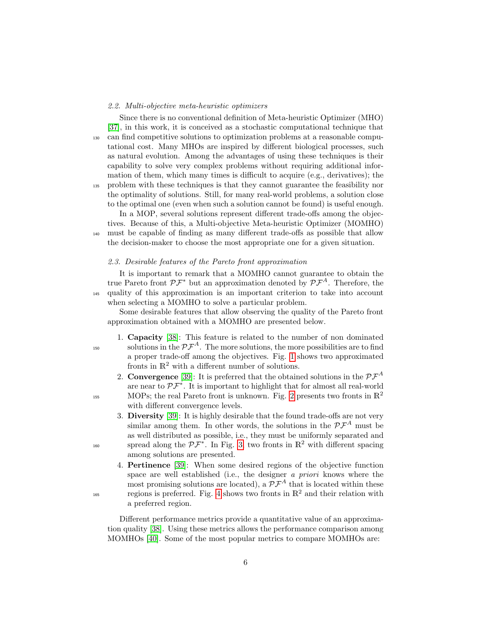## 2.2. Multi-objective meta-heuristic optimizers

Since there is no conventional definition of Meta-heuristic Optimizer (MHO) [\[37\]](#page-47-6), in this work, it is conceived as a stochastic computational technique that <sup>130</sup> can find competitive solutions to optimization problems at a reasonable computational cost. Many MHOs are inspired by different biological processes, such as natural evolution. Among the advantages of using these techniques is their capability to solve very complex problems without requiring additional information of them, which many times is difficult to acquire (e.g., derivatives); the <sup>135</sup> problem with these techniques is that they cannot guarantee the feasibility nor the optimality of solutions. Still, for many real-world problems, a solution close to the optimal one (even when such a solution cannot be found) is useful enough.

In a MOP, several solutions represent different trade-offs among the objectives. Because of this, a Multi-objective Meta-heuristic Optimizer (MOMHO) <sup>140</sup> must be capable of finding as many different trade-offs as possible that allow the decision-maker to choose the most appropriate one for a given situation.

#### 2.3. Desirable features of the Pareto front approximation

It is important to remark that a MOMHO cannot guarantee to obtain the true Pareto front  $\mathcal{PF}^*$  but an approximation denoted by  $\mathcal{PF}^A$ . Therefore, the <sup>145</sup> quality of this approximation is an important criterion to take into account when selecting a MOMHO to solve a particular problem.

Some desirable features that allow observing the quality of the Pareto front approximation obtained with a MOMHO are presented below.

- 1. Capacity [\[38\]](#page-47-7): This feature is related to the number of non dominated solutions in the  $\mathcal{PF}^A$ . The more solutions, the more possibilities are to find a proper trade-off among the objectives. Fig. [1](#page-6-0) shows two approximated fronts in  $\mathbb{R}^2$  with a different number of solutions.
	- 2. Convergence [\[39\]](#page-47-8): It is preferred that the obtained solutions in the  $\mathcal{PF}^A$ are near to  $\mathcal{PF}^*$ . It is important to highlight that for almost all real-world MOPs; the real Pareto front is unknown. Fig. [2](#page-6-1) presents two fronts in  $\mathbb{R}^2$ with different convergence levels.
- 3. Diversity [\[39\]](#page-47-8): It is highly desirable that the found trade-offs are not very similar among them. In other words, the solutions in the  $\mathcal{PF}^A$  must be as well distributed as possible, i.e., they must be uniformly separated and spread along the  $\mathcal{PF}^*$ . In Fig. [3,](#page-7-0) two fronts in  $\mathbb{R}^2$  with different spacing among solutions are presented.
- 4. Pertinence [\[39\]](#page-47-8): When some desired regions of the objective function space are well established (i.e., the designer a priori knows where the most promising solutions are located), a  $\mathcal{PF}^A$  that is located within these regions is preferred. Fig. [4](#page-7-1) shows two fronts in  $\mathbb{R}^2$  and their relation with a preferred region.

Different performance metrics provide a quantitative value of an approximation quality [\[38\]](#page-47-7). Using these metrics allows the performance comparison among MOMHOs [\[40\]](#page-47-9). Some of the most popular metrics to compare MOMHOs are:

155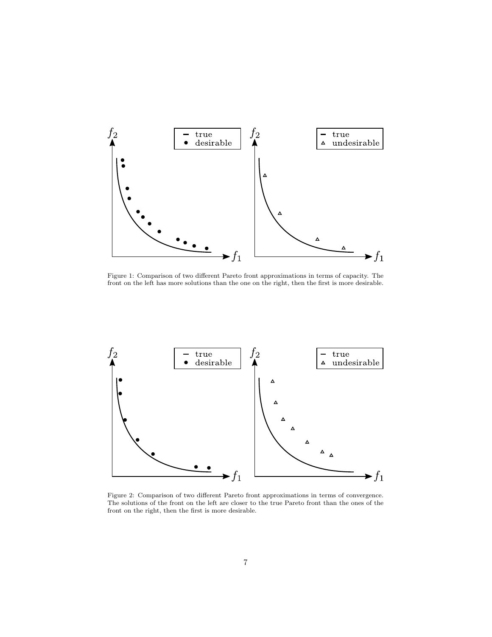

<span id="page-6-0"></span>Figure 1: Comparison of two different Pareto front approximations in terms of capacity. The front on the left has more solutions than the one on the right, then the first is more desirable.



<span id="page-6-1"></span>Figure 2: Comparison of two different Pareto front approximations in terms of convergence. The solutions of the front on the left are closer to the true Pareto front than the ones of the front on the right, then the first is more desirable.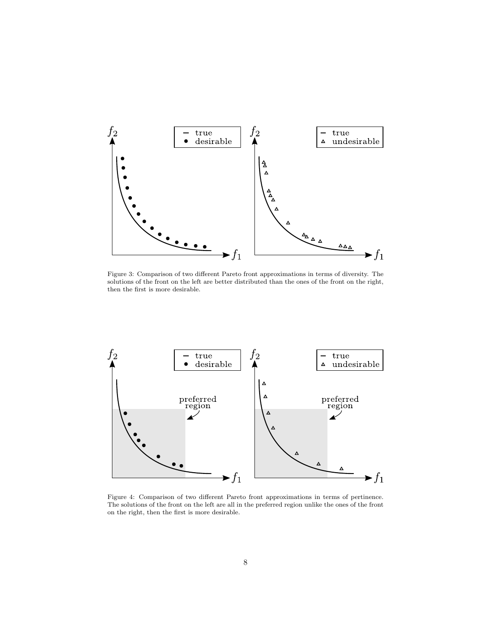

<span id="page-7-0"></span>Figure 3: Comparison of two different Pareto front approximations in terms of diversity. The solutions of the front on the left are better distributed than the ones of the front on the right, then the first is more desirable.



<span id="page-7-1"></span>Figure 4: Comparison of two different Pareto front approximations in terms of pertinence. The solutions of the front on the left are all in the preferred region unlike the ones of the front on the right, then the first is more desirable.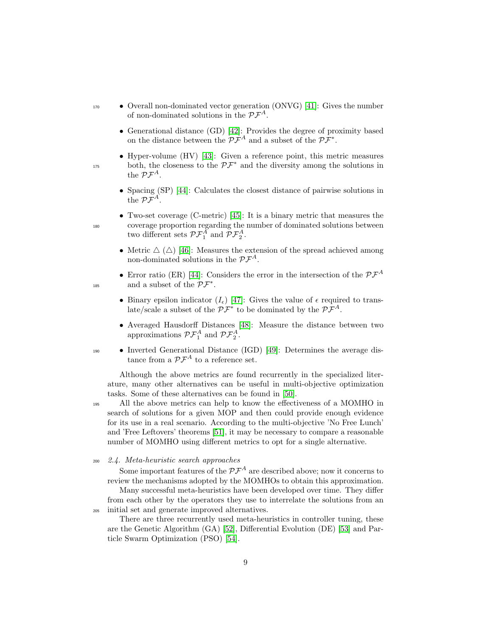- <sup>170</sup> Overall non-dominated vector generation (ONVG) [\[41\]](#page-48-0): Gives the number of non-dominated solutions in the  $\mathcal{PF}^A$ .
	- Generational distance (GD) [\[42\]](#page-48-1): Provides the degree of proximity based on the distance between the  $\mathcal{PF}^A$  and a subset of the  $\mathcal{PF}^*$ .
- Hyper-volume (HV) [\[43\]](#page-48-2): Given a reference point, this metric measures  $_{175}$  both, the closeness to the  $\mathcal{PF}^*$  and the diversity among the solutions in the  $\mathcal{P}\mathcal{F}^A$ .
	- Spacing (SP) [\[44\]](#page-48-3): Calculates the closest distance of pairwise solutions in the  $\mathcal{PF}^{A}$ .
- Two-set coverage (C-metric) [\[45\]](#page-48-4): It is a binary metric that measures the <sup>180</sup> coverage proportion regarding the number of dominated solutions between two different sets  $\mathcal{PF}_1^A$  and  $\mathcal{PF}_2^A$ .
	- Metric  $\Delta (\Delta)$  [\[46\]](#page-48-5): Measures the extension of the spread achieved among non-dominated solutions in the  $\mathcal{PF}^A$ .
- Error ratio (ER) [\[44\]](#page-48-3): Considers the error in the intersection of the  $\mathcal{PF}^A$ <sup>185</sup> and a subset of the  $\mathcal{PF}^*$ .
	- Binary epsilon indicator  $(I_{\epsilon})$  [\[47\]](#page-48-6): Gives the value of  $\epsilon$  required to translate/scale a subset of the  $\mathcal{PF}^*$  to be dominated by the  $\mathcal{PF}^A$ .
	- Averaged Hausdorff Distances [\[48\]](#page-48-7): Measure the distance between two approximations  $\mathcal{PF}_1^A$  and  $\mathcal{PF}_2^A$ .
- <sup>190</sup> Inverted Generational Distance (IGD) [\[49\]](#page-48-8): Determines the average distance from a  $\mathcal{PF}^A$  to a reference set.

Although the above metrics are found recurrently in the specialized literature, many other alternatives can be useful in multi-objective optimization tasks. Some of these alternatives can be found in [\[50\]](#page-48-9).

<sup>195</sup> All the above metrics can help to know the effectiveness of a MOMHO in search of solutions for a given MOP and then could provide enough evidence for its use in a real scenario. According to the multi-objective 'No Free Lunch' and 'Free Leftovers' theorems [\[51\]](#page-49-0), it may be necessary to compare a reasonable number of MOMHO using different metrics to opt for a single alternative.

<sup>200</sup> 2.4. Meta-heuristic search approaches

Some important features of the  $\mathcal{PF}^A$  are described above; now it concerns to review the mechanisms adopted by the MOMHOs to obtain this approximation.

Many successful meta-heuristics have been developed over time. They differ from each other by the operators they use to interrelate the solutions from an <sup>205</sup> initial set and generate improved alternatives.

There are three recurrently used meta-heuristics in controller tuning, these are the Genetic Algorithm (GA) [\[52\]](#page-49-1), Differential Evolution (DE) [\[53\]](#page-49-2) and Particle Swarm Optimization (PSO) [\[54\]](#page-49-3).

- 
-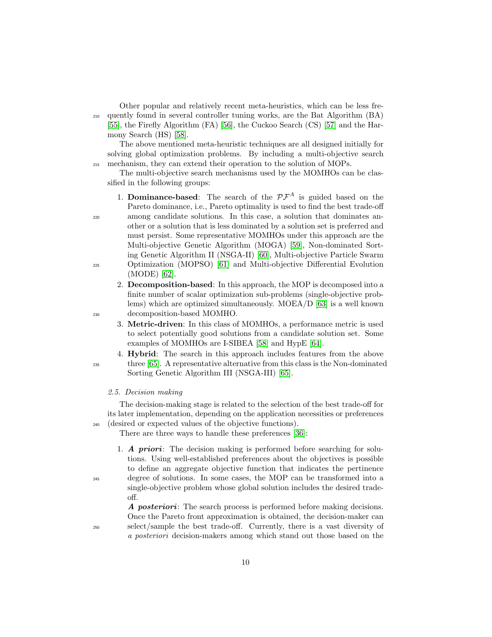Other popular and relatively recent meta-heuristics, which can be less fre-<sup>210</sup> quently found in several controller tuning works, are the Bat Algorithm (BA) [\[55\]](#page-49-4), the Firefly Algorithm (FA) [\[56\]](#page-49-5), the Cuckoo Search (CS) [\[57\]](#page-49-6) and the Harmony Search (HS) [\[58\]](#page-49-7).

The above mentioned meta-heuristic techniques are all designed initially for solving global optimization problems. By including a multi-objective search <sup>215</sup> mechanism, they can extend their operation to the solution of MOPs.

The multi-objective search mechanisms used by the MOMHOs can be classified in the following groups:

- 1. **Dominance-based:** The search of the  $\mathcal{PF}^A$  is guided based on the Pareto dominance, i.e., Pareto optimality is used to find the best trade-off <sup>220</sup> among candidate solutions. In this case, a solution that dominates another or a solution that is less dominated by a solution set is preferred and must persist. Some representative MOMHOs under this approach are the Multi-objective Genetic Algorithm (MOGA) [\[59\]](#page-49-8), Non-dominated Sorting Genetic Algorithm II (NSGA-II) [\[60\]](#page-49-9), Multi-objective Particle Swarm <sup>225</sup> Optimization (MOPSO) [\[61\]](#page-49-10) and Multi-objective Differential Evolution (MODE) [\[62\]](#page-50-0).
- 2. Decomposition-based: In this approach, the MOP is decomposed into a finite number of scalar optimization sub-problems (single-objective problems) which are optimized simultaneously. MOEA/D [\[63\]](#page-50-1) is a well known <sup>230</sup> decomposition-based MOMHO.
	- 3. Metric-driven: In this class of MOMHOs, a performance metric is used to select potentially good solutions from a candidate solution set. Some examples of MOMHOs are I-SIBEA [\[58\]](#page-49-7) and HypE [\[64\]](#page-50-2).
- 4. Hybrid: The search in this approach includes features from the above <sup>235</sup> three [\[65\]](#page-50-3). A representative alternative from this class is the Non-dominated Sorting Genetic Algorithm III (NSGA-III) [\[65\]](#page-50-3).

# 2.5. Decision making

The decision-making stage is related to the selection of the best trade-off for its later implementation, depending on the application necessities or preferences <sup>240</sup> (desired or expected values of the objective functions).

- There are three ways to handle these preferences [\[36\]](#page-47-5):
- 1. A priori: The decision making is performed before searching for solutions. Using well-established preferences about the objectives is possible to define an aggregate objective function that indicates the pertinence <sup>245</sup> degree of solutions. In some cases, the MOP can be transformed into a single-objective problem whose global solution includes the desired tradeoff.

A *posteriori*: The search process is performed before making decisions. Once the Pareto front approximation is obtained, the decision-maker can <sup>250</sup> select/sample the best trade-off. Currently, there is a vast diversity of a posteriori decision-makers among which stand out those based on the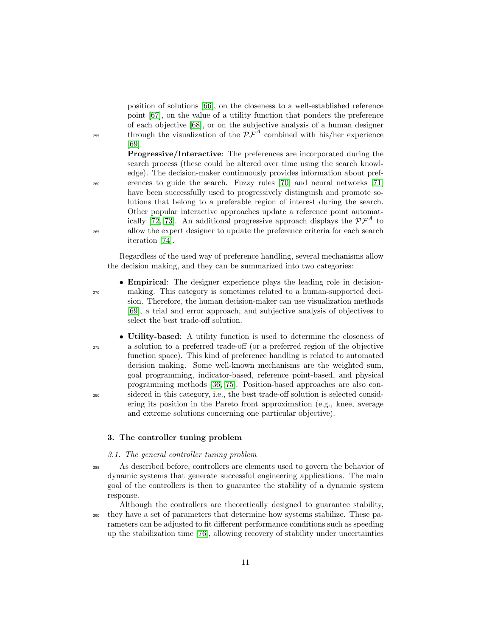position of solutions [\[66\]](#page-50-4), on the closeness to a well-established reference point [\[67\]](#page-50-5), on the value of a utility function that ponders the preference of each objective [\[68\]](#page-50-6), or on the subjective analysis of a human designer through the visualization of the  $\mathcal{PF}^A$  combined with his/her experience [\[69\]](#page-50-7).

Progressive/Interactive: The preferences are incorporated during the search process (these could be altered over time using the search knowledge). The decision-maker continuously provides information about pref-<sup>260</sup> erences to guide the search. Fuzzy rules [\[70\]](#page-50-8) and neural networks [\[71\]](#page-50-9) have been successfully used to progressively distinguish and promote solutions that belong to a preferable region of interest during the search. Other popular interactive approaches update a reference point automat-ically [\[72,](#page-50-10) [73\]](#page-51-0). An additional progressive approach displays the  $\mathcal{PF}^A$  to <sup>265</sup> allow the expert designer to update the preference criteria for each search iteration [\[74\]](#page-51-1).

Regardless of the used way of preference handling, several mechanisms allow the decision making, and they can be summarized into two categories:

• Empirical: The designer experience plays the leading role in decision-<sup>270</sup> making. This category is sometimes related to a human-supported decision. Therefore, the human decision-maker can use visualization methods [\[69\]](#page-50-7), a trial and error approach, and subjective analysis of objectives to select the best trade-off solution.

• Utility-based: A utility function is used to determine the closeness of <sup>275</sup> a solution to a preferred trade-off (or a preferred region of the objective function space). This kind of preference handling is related to automated decision making. Some well-known mechanisms are the weighted sum, goal programming, indicator-based, reference point-based, and physical programming methods [\[36,](#page-47-5) [75\]](#page-51-2). Position-based approaches are also con-<sup>280</sup> sidered in this category, i.e., the best trade-off solution is selected considering its position in the Pareto front approximation (e.g., knee, average and extreme solutions concerning one particular objective).

# <span id="page-10-0"></span>3. The controller tuning problem

## 3.1. The general controller tuning problem

<sup>285</sup> As described before, controllers are elements used to govern the behavior of dynamic systems that generate successful engineering applications. The main goal of the controllers is then to guarantee the stability of a dynamic system response.

Although the controllers are theoretically designed to guarantee stability, <sup>290</sup> they have a set of parameters that determine how systems stabilize. These parameters can be adjusted to fit different performance conditions such as speeding up the stabilization time [\[76\]](#page-51-3), allowing recovery of stability under uncertainties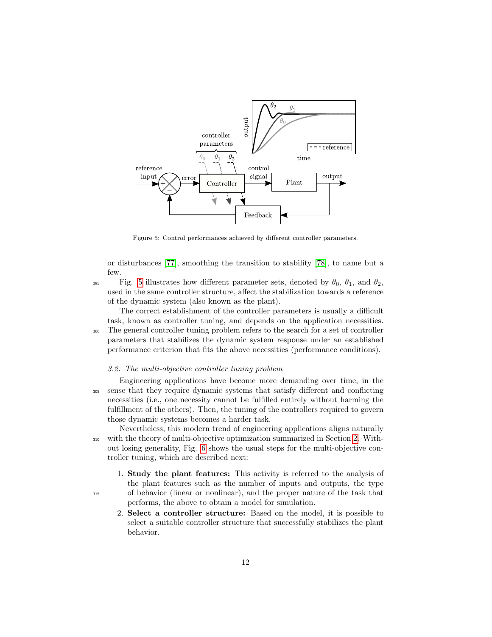

<span id="page-11-0"></span>Figure 5: Control performances achieved by different controller parameters.

or disturbances [\[77\]](#page-51-4), smoothing the transition to stability [\[78\]](#page-51-5), to name but a few.

 $F$ ig. [5](#page-11-0) illustrates how different parameter sets, denoted by  $\theta_0$ ,  $\theta_1$ , and  $\theta_2$ , used in the same controller structure, affect the stabilization towards a reference of the dynamic system (also known as the plant).

The correct establishment of the controller parameters is usually a difficult task, known as controller tuning, and depends on the application necessities. <sup>300</sup> The general controller tuning problem refers to the search for a set of controller parameters that stabilizes the dynamic system response under an established performance criterion that fits the above necessities (performance conditions).

#### 3.2. The multi-objective controller tuning problem

Engineering applications have become more demanding over time, in the <sup>305</sup> sense that they require dynamic systems that satisfy different and conflicting necessities (i.e., one necessity cannot be fulfilled entirely without harming the fulfillment of the others). Then, the tuning of the controllers required to govern those dynamic systems becomes a harder task.

Nevertheless, this modern trend of engineering applications aligns naturally <sup>310</sup> with the theory of multi-objective optimization summarized in Section [2.](#page-4-0) Without losing generality, Fig. [6](#page-12-0) shows the usual steps for the multi-objective controller tuning, which are described next:

- 1. Study the plant features: This activity is referred to the analysis of the plant features such as the number of inputs and outputs, the type <sup>315</sup> of behavior (linear or nonlinear), and the proper nature of the task that performs, the above to obtain a model for simulation.
	- 2. Select a controller structure: Based on the model, it is possible to select a suitable controller structure that successfully stabilizes the plant behavior.
	-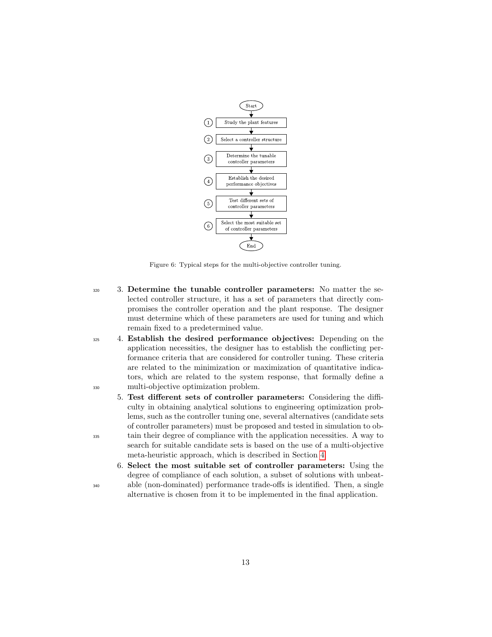

<span id="page-12-0"></span>Figure 6: Typical steps for the multi-objective controller tuning.

- <sup>320</sup> 3. Determine the tunable controller parameters: No matter the selected controller structure, it has a set of parameters that directly compromises the controller operation and the plant response. The designer must determine which of these parameters are used for tuning and which remain fixed to a predetermined value.
- <sup>325</sup> 4. Establish the desired performance objectives: Depending on the application necessities, the designer has to establish the conflicting performance criteria that are considered for controller tuning. These criteria are related to the minimization or maximization of quantitative indicators, which are related to the system response, that formally define a <sup>330</sup> multi-objective optimization problem.
- 5. Test different sets of controller parameters: Considering the difficulty in obtaining analytical solutions to engineering optimization problems, such as the controller tuning one, several alternatives (candidate sets of controller parameters) must be proposed and tested in simulation to ob-<sup>335</sup> tain their degree of compliance with the application necessities. A way to search for suitable candidate sets is based on the use of a multi-objective meta-heuristic approach, which is described in Section [4.](#page-13-0)
- 6. Select the most suitable set of controller parameters: Using the degree of compliance of each solution, a subset of solutions with unbeat-<sup>340</sup> able (non-dominated) performance trade-offs is identified. Then, a single alternative is chosen from it to be implemented in the final application.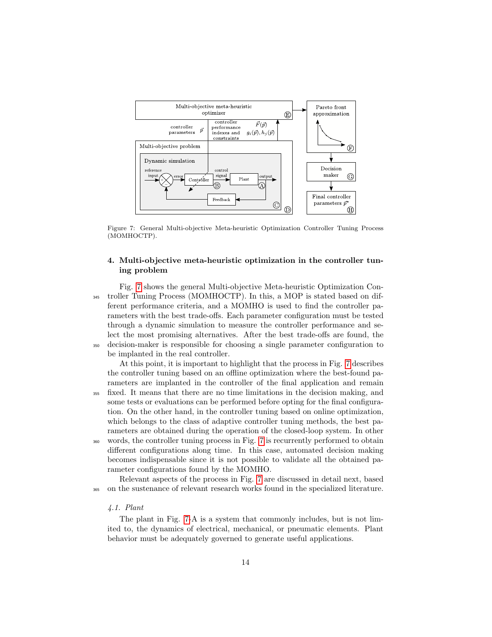

<span id="page-13-1"></span>Figure 7: General Multi-objective Meta-heuristic Optimization Controller Tuning Process (MOMHOCTP).

# <span id="page-13-0"></span>4. Multi-objective meta-heuristic optimization in the controller tuning problem

Fig. [7](#page-13-1) shows the general Multi-objective Meta-heuristic Optimization Con-<sup>345</sup> troller Tuning Process (MOMHOCTP). In this, a MOP is stated based on different performance criteria, and a MOMHO is used to find the controller parameters with the best trade-offs. Each parameter configuration must be tested through a dynamic simulation to measure the controller performance and select the most promising alternatives. After the best trade-offs are found, the <sup>350</sup> decision-maker is responsible for choosing a single parameter configuration to be implanted in the real controller.

At this point, it is important to highlight that the process in Fig. [7](#page-13-1) describes the controller tuning based on an offline optimization where the best-found parameters are implanted in the controller of the final application and remain

- <sup>355</sup> fixed. It means that there are no time limitations in the decision making, and some tests or evaluations can be performed before opting for the final configuration. On the other hand, in the controller tuning based on online optimization, which belongs to the class of adaptive controller tuning methods, the best parameters are obtained during the operation of the closed-loop system. In other <sup>360</sup> words, the controller tuning process in Fig. [7](#page-13-1) is recurrently performed to obtain
- different configurations along time. In this case, automated decision making becomes indispensable since it is not possible to validate all the obtained parameter configurations found by the MOMHO.

Relevant aspects of the process in Fig. [7](#page-13-1) are discussed in detail next, based <sup>365</sup> on the sustenance of relevant research works found in the specialized literature.

# <span id="page-13-2"></span>4.1. Plant

The plant in Fig. [7-](#page-13-1)A is a system that commonly includes, but is not limited to, the dynamics of electrical, mechanical, or pneumatic elements. Plant behavior must be adequately governed to generate useful applications.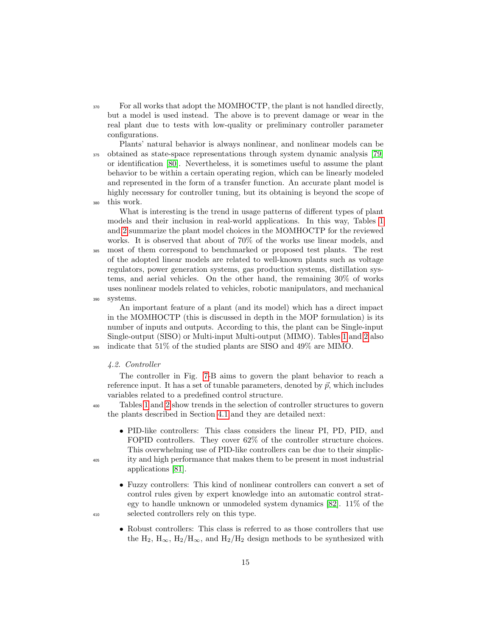$370$  For all works that adopt the MOMHOCTP, the plant is not handled directly, but a model is used instead. The above is to prevent damage or wear in the real plant due to tests with low-quality or preliminary controller parameter configurations.

Plants' natural behavior is always nonlinear, and nonlinear models can be <sup>375</sup> obtained as state-space representations through system dynamic analysis [\[79\]](#page-51-6) or identification [\[80\]](#page-51-7). Nevertheless, it is sometimes useful to assume the plant behavior to be within a certain operating region, which can be linearly modeled and represented in the form of a transfer function. An accurate plant model is highly necessary for controller tuning, but its obtaining is beyond the scope of <sup>380</sup> this work.

What is interesting is the trend in usage patterns of different types of plant models and their inclusion in real-world applications. In this way, Tables [1](#page-16-0) and [2](#page-17-0) summarize the plant model choices in the MOMHOCTP for the reviewed works. It is observed that about of 70% of the works use linear models, and <sup>385</sup> most of them correspond to benchmarked or proposed test plants. The rest of the adopted linear models are related to well-known plants such as voltage regulators, power generation systems, gas production systems, distillation systems, and aerial vehicles. On the other hand, the remaining 30% of works uses nonlinear models related to vehicles, robotic manipulators, and mechanical

<sup>390</sup> systems.

An important feature of a plant (and its model) which has a direct impact in the MOMHOCTP (this is discussed in depth in the MOP formulation) is its number of inputs and outputs. According to this, the plant can be Single-input Single-output (SISO) or Multi-input Multi-output (MIMO). Tables [1](#page-16-0) and [2](#page-17-0) also <sup>395</sup> indicate that 51% of the studied plants are SISO and 49% are MIMO.

#### <span id="page-14-0"></span>4.2. Controller

The controller in Fig. [7-](#page-13-1)B aims to govern the plant behavior to reach a reference input. It has a set of tunable parameters, denoted by  $\vec{p}$ , which includes variables related to a predefined control structure.

<sup>400</sup> Tables [1](#page-16-0) and [2](#page-17-0) show trends in the selection of controller structures to govern the plants described in Section [4.1](#page-13-2) and they are detailed next:

- PID-like controllers: This class considers the linear PI, PD, PID, and FOPID controllers. They cover 62% of the controller structure choices. This overwhelming use of PID-like controllers can be due to their simplic-<sup>405</sup> ity and high performance that makes them to be present in most industrial applications [\[81\]](#page-51-8).
- Fuzzy controllers: This kind of nonlinear controllers can convert a set of control rules given by expert knowledge into an automatic control strategy to handle unknown or unmodeled system dynamics [\[82\]](#page-51-9). 11% of the <sup>410</sup> selected controllers rely on this type.
- 
- Robust controllers: This class is referred to as those controllers that use the H<sub>2</sub>, H<sub>∞</sub>, H<sub>2</sub>/H<sub>∞</sub>, and H<sub>2</sub>/H<sub>2</sub> design methods to be synthesized with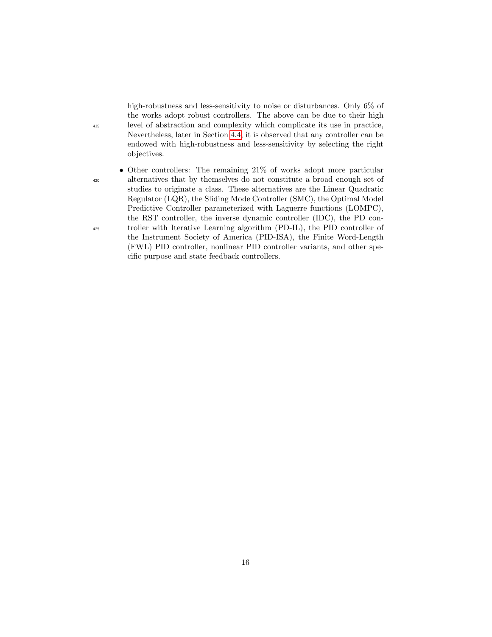high-robustness and less-sensitivity to noise or disturbances. Only 6% of the works adopt robust controllers. The above can be due to their high <sup>415</sup> level of abstraction and complexity which complicate its use in practice, Nevertheless, later in Section [4.4,](#page-18-0) it is observed that any controller can be endowed with high-robustness and less-sensitivity by selecting the right objectives.

• Other controllers: The remaining 21% of works adopt more particular <sup>420</sup> alternatives that by themselves do not constitute a broad enough set of studies to originate a class. These alternatives are the Linear Quadratic Regulator (LQR), the Sliding Mode Controller (SMC), the Optimal Model Predictive Controller parameterized with Laguerre functions (LOMPC), the RST controller, the inverse dynamic controller (IDC), the PD con-<sup>425</sup> troller with Iterative Learning algorithm (PD-IL), the PID controller of the Instrument Society of America (PID-ISA), the Finite Word-Length (FWL) PID controller, nonlinear PID controller variants, and other specific purpose and state feedback controllers.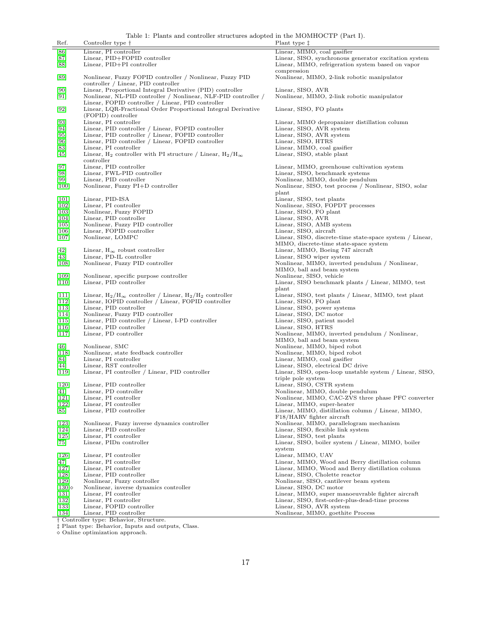<span id="page-16-0"></span>Table 1: Plants and controller structures adopted in the MOMHOCTP (Part I).

| Ref.                          | rable 1. I fame and controller seructures adopted in the incremental $\left(1 \text{ at } 1\right)$ .<br>Controller type † | Plant type $\ddagger$                                     |
|-------------------------------|----------------------------------------------------------------------------------------------------------------------------|-----------------------------------------------------------|
| [86]                          | Linear, PI controller                                                                                                      | Linear, MIMO, coal gasifier                               |
| [87]                          | Linear, PID+FOPID controller                                                                                               | Linear, SISO, synchronous generator excitation syst       |
| 88                            | Linear, PID+PI controller                                                                                                  | Linear, MIMO, refrigeration system based on vapor         |
|                               |                                                                                                                            | compression                                               |
| [89]                          | Nonlinear, Fuzzy FOPID controller / Nonlinear, Fuzzy PID                                                                   | Nonlinear, MIMO, 2-link robotic manipulator               |
|                               | controller / Linear, PID controller                                                                                        |                                                           |
| 90                            | Linear, Proportional Integral Derivative (PID) controller                                                                  | Linear, SISO, AVR                                         |
| $[91]$                        | Nonlinear, NL-PID controller / Nonlinear, NLF-PID controller /                                                             | Nonlinear, MIMO, 2-link robotic manipulator               |
|                               | Linear, FOPID controller / Linear, PID controller                                                                          |                                                           |
|                               | Linear, LQR-Fractional Order Proportional Integral Derivative                                                              | Linear, SISO, FO plants                                   |
| [92]                          | (FOPID) controller                                                                                                         |                                                           |
| 93                            |                                                                                                                            | Linear, MIMO depropanizer distillation column             |
| [94]                          | Linear, PI controller                                                                                                      |                                                           |
|                               | Linear, PID controller / Linear, FOPID controller                                                                          | Linear, SISO, AVR system                                  |
| [95]                          | Linear, PID controller / Linear, FOPID controller                                                                          | Linear, SISO, AVR system                                  |
| [96]                          | Linear, PID controller / Linear, FOPID controller                                                                          | Linear, SISO, HTRS                                        |
| [83]                          | Linear, PI controller                                                                                                      | Linear, MIMO, coal gasifier                               |
| 45                            | Linear, $\rm H_2$ controller with PI structure / Linear, $\rm H_2/H_\infty$                                                | Linear, SISO, stable plant                                |
|                               | controller                                                                                                                 |                                                           |
| 97                            | Linear, PID controller                                                                                                     | Linear, MIMO, greenhouse cultivation system               |
| [98]                          | Linear, FWL-PID controller                                                                                                 | Linear, SISO, benchmark systems                           |
| [99]                          | Linear, PID controller                                                                                                     | Nonlinear, MIMO, double pendulum                          |
| 100                           | Nonlinear, Fuzzy PI+D controller                                                                                           | Nonlinear, SISO, test process / Nonlinear, SISO, so       |
|                               |                                                                                                                            | plant                                                     |
| 101                           | Linear, PID-ISA                                                                                                            | Linear, SISO, test plants                                 |
| [102]                         | Linear, PI controller                                                                                                      | Nonlinear, SISO, FOPDT processes                          |
| 103                           | Nonlinear, Fuzzy FOPID                                                                                                     | Linear, SISO, FO plant                                    |
| [104]                         | Linear, PID controller                                                                                                     | Linear, SISO, AVR                                         |
| 105                           | Nonlinear, Fuzzy PID controller                                                                                            | Linear, SISO, AMB system                                  |
| [106]                         | Linear, FOPID controller                                                                                                   | Linear, SISO, aircraft                                    |
| [107]                         | Nonlinear, LOMPC                                                                                                           | Linear, SISO, discrete-time state-space system / Line     |
|                               |                                                                                                                            | MIMO, discrete-time state-space system                    |
| 42                            | Linear, $H_{\infty}$ robust controller                                                                                     | Linear, MIMO, Boeing 747 aircraft                         |
| $\left[43\right]$             | Linear, PD-IL controller                                                                                                   | Linear, SISO wiper system                                 |
| 108                           | Nonlinear, Fuzzy PID controller                                                                                            | Nonlinear, MIMO, inverted pendulum / Nonlinear,           |
|                               |                                                                                                                            | MIMO, ball and beam system                                |
| 109                           | Nonlinear, specific purpose controller                                                                                     | Nonlinear, SISO, vehicle                                  |
|                               | Linear, PID controller                                                                                                     |                                                           |
| $[110]$                       |                                                                                                                            | Linear, SISO benchmark plants / Linear, MIMO, te<br>plant |
|                               |                                                                                                                            |                                                           |
| 111                           | Linear, $H_2/H_{\infty}$ controller / Linear, $H_2/H_2$ controller                                                         | Linear, SISO, test plants / Linear, MIMO, test plan       |
| $[112]$                       | Linear, IOPID controller / Linear, FOPID controller                                                                        | Linear, SISO, FO plant                                    |
| 113                           | Linear, PID controller                                                                                                     | Linear, SISO, power systems                               |
| 114                           | Nonlinear, Fuzzy PID controller                                                                                            | Linear, SISO, DC motor                                    |
| 115                           | Linear, PID controller / Linear, I-PD controller                                                                           | Linear, SISO, patient model                               |
| 116                           | Linear, PID controller                                                                                                     | Linear, SISO, HTRS                                        |
| 117                           | Linear, PD controller                                                                                                      | Nonlinear, MIMO, inverted pendulum / Nonlinear,           |
|                               |                                                                                                                            | MIMO, ball and beam system                                |
| 46                            | Nonlinear, SMC                                                                                                             | Nonlinear, MIMO, biped robot                              |
| 118                           | Nonlinear, state feedback controller                                                                                       | Nonlinear, MIMO, biped robot                              |
| [84]                          | Linear, PI controller                                                                                                      | Linear, MIMO, coal gasifier                               |
| 44                            | Linear, RST controller                                                                                                     | Linear, SISO, electrical DC drive                         |
| 119                           | Linear, PI controller / Linear, PID controller                                                                             | Linear, SISO, open-loop unstable system / Linear, S       |
|                               |                                                                                                                            | triple pole system                                        |
| 120                           | Linear, PID controller                                                                                                     | Linear, SISO, CSTR system                                 |
| 41                            | Linear, PD controller                                                                                                      | Nonlinear, MIMO, double pendulum                          |
| $[121]$                       | Linear, PI controller                                                                                                      | Nonlinear, MIMO, CAC-ZVS three phase PFC conv             |
| $[122]$                       | Linear, PI controller                                                                                                      | Linear, MIMO, super-heater                                |
| [85]                          | Linear, PID controller                                                                                                     | Linear, MIMO, distillation column / Linear, MIMO          |
|                               |                                                                                                                            | F18/HARV fighter aircraft                                 |
| $[123]$                       | Nonlinear, Fuzzy inverse dynamics controller                                                                               | Nonlinear, MIMO, parallelogram mechanism                  |
| $[124]$                       | Linear, PID controller                                                                                                     | Linear, SISO, flexible link system                        |
| $[125]$                       | Linear, PI controller                                                                                                      | Linear, SISO, test plants                                 |
| $\left\lceil 75\right\rceil$  | Linear, PID <sub>n</sub> controller                                                                                        | Linear, SISO, boiler system / Linear, MIMO, boiler        |
|                               |                                                                                                                            |                                                           |
|                               | Linear, PI controller                                                                                                      | system<br>Linear, MIMO, UAV                               |
| $[126]$                       |                                                                                                                            |                                                           |
| [47]                          | Linear, PI controller                                                                                                      | Linear, MIMO, Wood and Berry distillation column          |
| $[127]$                       | Linear, PI controller                                                                                                      | Linear, MIMO, Wood and Berry distillation column          |
| [128]                         | Linear, PID controller                                                                                                     | Linear, SISO, Cholette reactor                            |
| $[129]$                       | Nonlinear, Fuzzy controller                                                                                                | Nonlinear, SISO, cantilever beam system                   |
| $[130]\diamond$               | Nonlinear, inverse dynamics controller                                                                                     | Linear, SISO, DC motor                                    |
| $\left\lceil 131\right\rceil$ | Linear, PI controller                                                                                                      | Linear, MIMO, super manoeuvrable fighter aircraft         |
| $\left\lceil 132\right\rceil$ | Linear, PI controller                                                                                                      | Linear, SISO, first-order-plus-dead-time process          |
| $\left\lceil 133\right\rceil$ | Linear, FOPID controller                                                                                                   | Linear, SISO, AVR system                                  |
| $\left\lceil 134\right\rceil$ | Linear, PID controller                                                                                                     | Nonlinear, MIMO, goethite Process                         |
|                               | † Controller type: Behavior, Structure.                                                                                    |                                                           |
|                               | <sup>‡</sup> Plant type: Behavior, Inputs and outputs, Class.                                                              |                                                           |

Linear, MIMO, coal gasifier Linear, SISO, synchronous generator excitation system Linear, MIMO, refrigeration system based on vapor compression Nonlinear, MIMO, 2-link robotic manipulator Linear, SISO, AVR Nonlinear, MIMO, 2-link robotic manipulator Linear, SISO, FO plants Linear, MIMO depropanizer distillation column Linear, SISO, AVR system Linear, SISO, AVR system Linear, SISO, HTRS Linear, MIMO, coal gasifier Linear, SISO, stable plant Linear, MIMO, greenhouse cultivation system Linear, SISO, benchmark systems Nonlinear, MIMO, double pendulum Nonlinear, SISO, test process / Nonlinear, SISO, solar plant Linear, SISO, test plants Nonlinear, SISO, FOPDT processes Linear, SISO, FO plant Linear, SISO, AVR Linear, SISO, AMB system Linear, SISO, aircraft Linear, SISO, discrete-time state-space system / Linear, MIMO, discrete-time state-space system Linear, MIMO, Boeing 747 aircraft Linear, SISO wiper system Nonlinear, MIMO, inverted pendulum / Nonlinear, MIMO, ball and beam system Nonlinear, SISO, vehicle Linear, SISO benchmark plants / Linear, MIMO, test plant Linear, SISO, test plants / Linear, MIMO, test plant Linear, SISO, FO plant Linear, SISO, power systems Linear, SISO, DC motor Linear, SISO, patient model Linear, SISO, HTRS Nonlinear, MIMO, inverted pendulum / Nonlinear, MIMO, ball and beam system Linear, MIMO, coal gasifier Linear, SISO, electrical DC drive Linear, SISO, open-loop unstable system / Linear, SISO, Nonlinear, MIMO, double pendulum Nonlinear, MIMO, CAC-ZVS three phase PFC converter Linear, MIMO, super-heater Linear, MIMO, distillation column / Linear, MIMO, F18/HARV fighter aircraft Nonlinear, MIMO, parallelogram mechanism  $\emph{Linear},$  SISO, flexible link system Linear, SISO, test plants Linear, SISO, boiler system / Linear, MIMO, boiler system Linear, MIMO, UAV Linear, SISO, Cholette reactor Nonlinear, SISO, cantilever beam system Linear, SISO, DC motor Linear, MIMO, super manoeuvrable fighter aircraft Linear, SISO, first-order-plus-dead-time process Linear, SISO, AVR system Nonlinear, MIMO, goethite Process

 $\diamond$  Online optimization approach.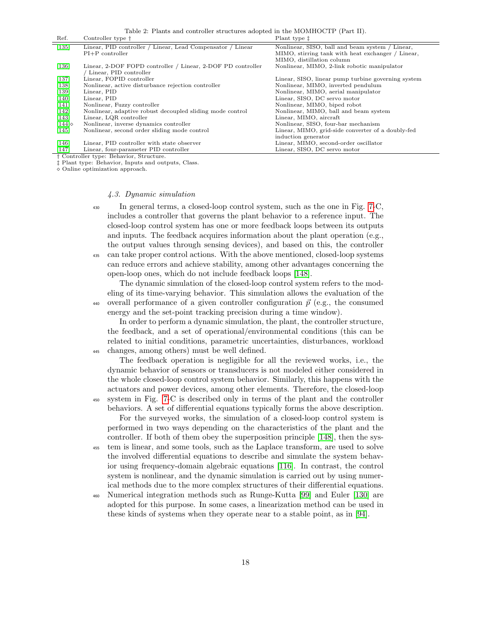<span id="page-17-0"></span>Table 2: Plants and controller structures adopted in the MOMHOCTP (Part II).

| Ref.               | Controller type †                                           | Plant type $\ddagger$                              |
|--------------------|-------------------------------------------------------------|----------------------------------------------------|
| $\overline{135}$   | Linear, PID controller / Linear, Lead Compensator / Linear  | Nonlinear, SISO, ball and beam system / Linear,    |
|                    | $PI+P$ controller                                           | MIMO, stirring tank with heat exchanger / Linear,  |
|                    |                                                             | MIMO, distillation column                          |
| $[136]$            | Linear, 2-DOF FOPD controller / Linear, 2-DOF PD controller | Nonlinear, MIMO, 2-link robotic manipulator        |
|                    | Linear, PID controller                                      |                                                    |
| $[137]$            | Linear, FOPID controller                                    | Linear, SISO, linear pump turbine governing system |
| $[138]$            | Nonlinear, active disturbance rejection controller          | Nonlinear, MIMO, inverted pendulum                 |
| $\left[139\right]$ | Linear, PID                                                 | Nonlinear, MIMO, aerial manipulator                |
| $[140]$            | Linear, PID                                                 | Linear, SISO, DC servo motor                       |
| $[141]$            | Nonlinear, Fuzzy controller                                 | Nonlinear, MIMO, biped robot                       |
| [142]              | Nonlinear, adaptive robust decoupled sliding mode control   | Nonlinear, MIMO, ball and beam system              |
| $[143]$            | Linear, LQR controller                                      | Linear, MIMO, aircraft                             |
| $[144] \diamond$   | Nonlinear, inverse dynamics controller                      | Nonlinear, SISO, four-bar mechanism                |
| $[145]$            | Nonlinear, second order sliding mode control                | Linear, MIMO, grid-side converter of a doubly-fed  |
|                    |                                                             | induction generator                                |
| $[146]$            | Linear, PID controller with state observer                  | Linear, MIMO, second-order oscillator              |
| $[147]$            | Linear, four-parameter PID controller                       | Linear, SISO, DC servo motor                       |
|                    | † Controller type: Behavior, Structure.                     |                                                    |

‡ Plant type: Behavior, Inputs and outputs, Class.

Online optimization approach.

#### 4.3. Dynamic simulation

<sup>430</sup> In general terms, a closed-loop control system, such as the one in Fig. [7-](#page-13-1)C, includes a controller that governs the plant behavior to a reference input. The closed-loop control system has one or more feedback loops between its outputs and inputs. The feedback acquires information about the plant operation (e.g., the output values through sensing devices), and based on this, the controller <sup>435</sup> can take proper control actions. With the above mentioned, closed-loop systems can reduce errors and achieve stability, among other advantages concerning the open-loop ones, which do not include feedback loops [\[148\]](#page-58-5).

The dynamic simulation of the closed-loop control system refers to the modeling of its time-varying behavior. This simulation allows the evaluation of the 440 overall performance of a given controller configuration  $\vec{p}$  (e.g., the consumed energy and the set-point tracking precision during a time window).

In order to perform a dynamic simulation, the plant, the controller structure, the feedback, and a set of operational/environmental conditions (this can be related to initial conditions, parametric uncertainties, disturbances, workload <sup>445</sup> changes, among others) must be well defined.

The feedback operation is negligible for all the reviewed works, i.e., the dynamic behavior of sensors or transducers is not modeled either considered in the whole closed-loop control system behavior. Similarly, this happens with the actuators and power devices, among other elements. Therefore, the closed-loop <sup>450</sup> system in Fig. [7-](#page-13-1)C is described only in terms of the plant and the controller behaviors. A set of differential equations typically forms the above description.

For the surveyed works, the simulation of a closed-loop control system is performed in two ways depending on the characteristics of the plant and the controller. If both of them obey the superposition principle [\[148\]](#page-58-5), then the sys-

- <sup>455</sup> tem is linear, and some tools, such as the Laplace transform, are used to solve the involved differential equations to describe and simulate the system behavior using frequency-domain algebraic equations [\[116\]](#page-55-1). In contrast, the control system is nonlinear, and the dynamic simulation is carried out by using numerical methods due to the more complex structures of their differential equations.
- <sup>460</sup> Numerical integration methods such as Runge-Kutta [\[99\]](#page-53-4) and Euler [\[130\]](#page-56-6) are adopted for this purpose. In some cases, a linearization method can be used in these kinds of systems when they operate near to a stable point, as in [\[94\]](#page-52-8).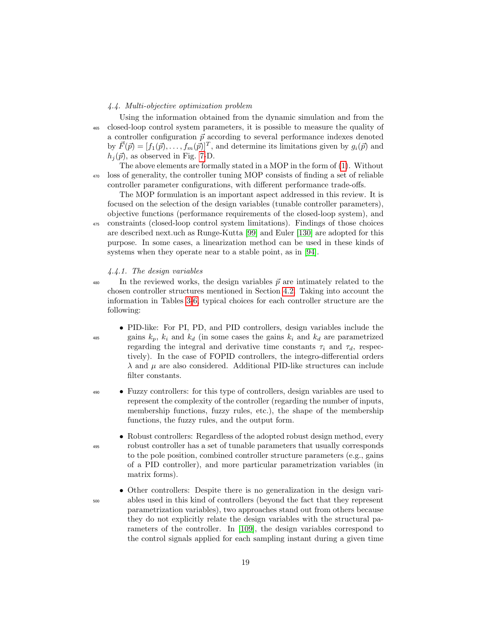# <span id="page-18-0"></span>4.4. Multi-objective optimization problem

Using the information obtained from the dynamic simulation and from the <sup>465</sup> closed-loop control system parameters, it is possible to measure the quality of a controller configuration  $\vec{p}$  according to several performance indexes denoted by  $\vec{F}(\vec{p}) = [f_1(\vec{p}), \ldots, f_m(\vec{p})]^T$ , and determine its limitations given by  $g_i(\vec{p})$  and  $h_i(\vec{p})$ , as observed in Fig. [7-](#page-13-1)D.

The above elements are formally stated in a MOP in the form of [\(1\)](#page-4-1). Without <sup>470</sup> loss of generality, the controller tuning MOP consists of finding a set of reliable controller parameter configurations, with different performance trade-offs.

The MOP formulation is an important aspect addressed in this review. It is focused on the selection of the design variables (tunable controller parameters), objective functions (performance requirements of the closed-loop system), and <sup>475</sup> constraints (closed-loop control system limitations). Findings of those choices are described next.uch as Runge-Kutta [\[99\]](#page-53-4) and Euler [\[130\]](#page-56-6) are adopted for this purpose. In some cases, a linearization method can be used in these kinds of

#### 4.4.1. The design variables

<sup>480</sup> In the reviewed works, the design variables  $\vec{p}$  are intimately related to the chosen controller structures mentioned in Section [4.2.](#page-14-0) Taking into account the information in Tables [3-](#page-22-0)[6,](#page-26-0) typical choices for each controller structure are the following:

systems when they operate near to a stable point, as in [\[94\]](#page-52-8).

- PID-like: For PI, PD, and PID controllers, design variables include the <sup>485</sup> gains  $k_p$ ,  $k_i$  and  $k_d$  (in some cases the gains  $k_i$  and  $k_d$  are parametrized regarding the integral and derivative time constants  $\tau_i$  and  $\tau_d$ , respectively). In the case of FOPID controllers, the integro-differential orders  $\lambda$  and  $\mu$  are also considered. Additional PID-like structures can include filter constants.
- <sup>490</sup> Fuzzy controllers: for this type of controllers, design variables are used to represent the complexity of the controller (regarding the number of inputs, membership functions, fuzzy rules, etc.), the shape of the membership functions, the fuzzy rules, and the output form.
- Robust controllers: Regardless of the adopted robust design method, every <sup>495</sup> robust controller has a set of tunable parameters that usually corresponds to the pole position, combined controller structure parameters (e.g., gains of a PID controller), and more particular parametrization variables (in matrix forms).
- Other controllers: Despite there is no generalization in the design vari-<sup>500</sup> ables used in this kind of controllers (beyond the fact that they represent parametrization variables), two approaches stand out from others because they do not explicitly relate the design variables with the structural parameters of the controller. In [\[109\]](#page-54-4), the design variables correspond to the control signals applied for each sampling instant during a given time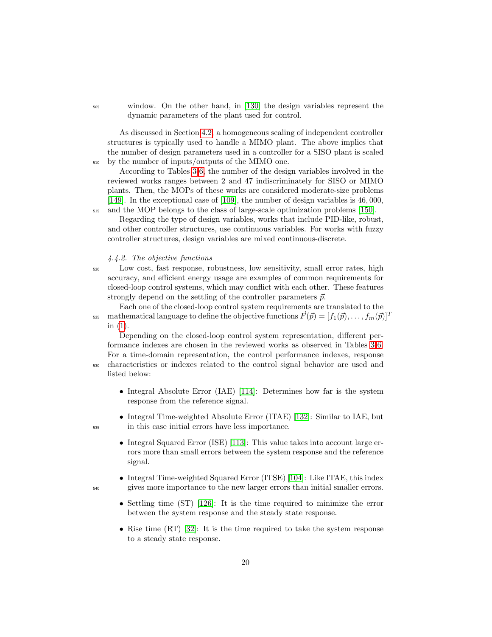<sup>505</sup> window. On the other hand, in [\[130\]](#page-56-6) the design variables represent the dynamic parameters of the plant used for control.

As discussed in Section [4.2,](#page-14-0) a homogeneous scaling of independent controller structures is typically used to handle a MIMO plant. The above implies that the number of design parameters used in a controller for a SISO plant is scaled <sup>510</sup> by the number of inputs/outputs of the MIMO one.

According to Tables [3-](#page-22-0)[6,](#page-26-0) the number of the design variables involved in the reviewed works ranges between 2 and 47 indiscriminately for SISO or MIMO plants. Then, the MOPs of these works are considered moderate-size problems [\[149\]](#page-58-6). In the exceptional case of [\[109\]](#page-54-4), the number of design variables is 46, 000, <sub>515</sub> and the MOP belongs to the class of large-scale optimization problems [\[150\]](#page-58-7).

Regarding the type of design variables, works that include PID-like, robust, and other controller structures, use continuous variables. For works with fuzzy controller structures, design variables are mixed continuous-discrete.

#### 4.4.2. The objective functions

<sup>520</sup> Low cost, fast response, robustness, low sensitivity, small error rates, high accuracy, and efficient energy usage are examples of common requirements for closed-loop control systems, which may conflict with each other. These features strongly depend on the settling of the controller parameters  $\vec{p}$ .

Each one of the closed-loop control system requirements are translated to the mathematical language to define the objective functions  $F(\vec{p}) = [f_1(\vec{p}), \ldots, f_m(\vec{p})]^T$ 525 in [\(1\)](#page-4-1).

Depending on the closed-loop control system representation, different performance indexes are chosen in the reviewed works as observed in Tables [3-](#page-22-0)[6.](#page-26-0) For a time-domain representation, the control performance indexes, response <sup>530</sup> characteristics or indexes related to the control signal behavior are used and listed below:

- Integral Absolute Error (IAE) [\[114\]](#page-54-9): Determines how far is the system response from the reference signal.
- Integral Time-weighted Absolute Error (ITAE) [\[132\]](#page-56-8): Similar to IAE, but <sup>535</sup> in this case initial errors have less importance.
	- Integral Squared Error (ISE) [\[113\]](#page-54-8): This value takes into account large errors more than small errors between the system response and the reference signal.
- Integral Time-weighted Squared Error (ITSE) [\[104\]](#page-53-9): Like ITAE, this index <sup>540</sup> gives more importance to the new larger errors than initial smaller errors.
	- Settling time (ST) [\[126\]](#page-56-2): It is the time required to minimize the error between the system response and the steady state response.
	- Rise time  $(RT)$  [\[32\]](#page-47-1): It is the time required to take the system response to a steady state response.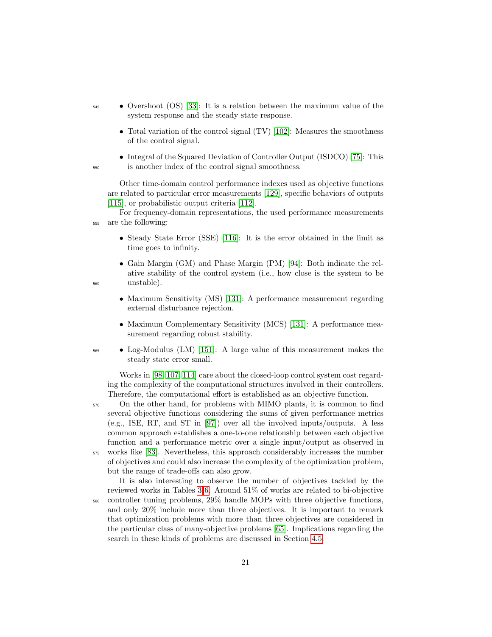- <sup>545</sup> Overshoot (OS) [\[33\]](#page-47-2): It is a relation between the maximum value of the system response and the steady state response.
	- Total variation of the control signal  $(TV)$  [\[102\]](#page-53-7): Measures the smoothness of the control signal.
- Integral of the Squared Deviation of Controller Output (ISDCO) [\[75\]](#page-51-2): This <sup>550</sup> is another index of the control signal smoothness.

Other time-domain control performance indexes used as objective functions are related to particular error measurements [\[129\]](#page-56-5), specific behaviors of outputs [\[115\]](#page-55-0), or probabilistic output criteria [\[112\]](#page-54-7).

For frequency-domain representations, the used performance measurements <sup>555</sup> are the following:

- Steady State Error (SSE) [\[116\]](#page-55-1): It is the error obtained in the limit as time goes to infinity.
- Gain Margin (GM) and Phase Margin (PM) [\[94\]](#page-52-8): Both indicate the relative stability of the control system (i.e., how close is the system to be <sup>560</sup> unstable).
	- Maximum Sensitivity (MS) [\[131\]](#page-56-7): A performance measurement regarding external disturbance rejection.
	- Maximum Complementary Sensitivity (MCS) [\[131\]](#page-56-7): A performance measurement regarding robust stability.
- <sup>565</sup> Log-Modulus (LM) [\[151\]](#page-58-8): A large value of this measurement makes the steady state error small.

Works in [\[98,](#page-53-3) [107,](#page-54-2) [114\]](#page-54-9) care about the closed-loop control system cost regarding the complexity of the computational structures involved in their controllers. Therefore, the computational effort is established as an objective function.

<sup>570</sup> On the other hand, for problems with MIMO plants, it is common to find several objective functions considering the sums of given performance metrics (e.g., ISE, RT, and ST in [\[97\]](#page-53-2)) over all the involved inputs/outputs. A less common approach establishes a one-to-one relationship between each objective function and a performance metric over a single input/output as observed in <sup>575</sup> works like [\[83\]](#page-51-10). Nevertheless, this approach considerably increases the number of objectives and could also increase the complexity of the optimization problem, but the range of trade-offs can also grow.

It is also interesting to observe the number of objectives tackled by the reviewed works in Tables [3-](#page-22-0)[6.](#page-26-0) Around 51% of works are related to bi-objective <sup>580</sup> controller tuning problems, 29% handle MOPs with three objective functions, and only 20% include more than three objectives. It is important to remark that optimization problems with more than three objectives are considered in the particular class of many-objective problems [\[65\]](#page-50-3). Implications regarding the search in these kinds of problems are discussed in Section [4.5.](#page-25-0)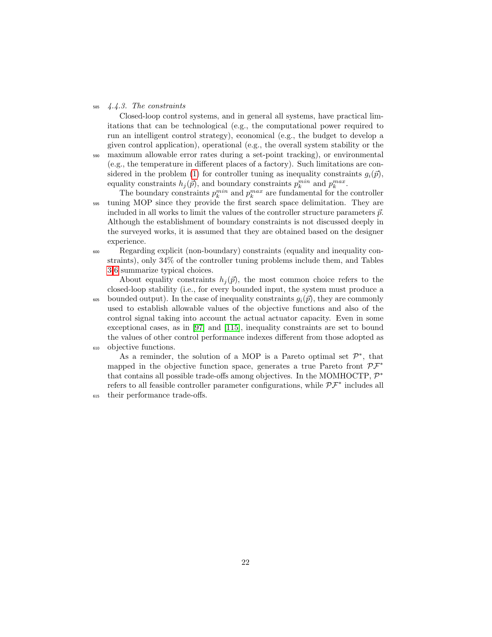## $585\quad 4.4.3.$  The constraints

Closed-loop control systems, and in general all systems, have practical limitations that can be technological (e.g., the computational power required to run an intelligent control strategy), economical (e.g., the budget to develop a given control application), operational (e.g., the overall system stability or the <sup>590</sup> maximum allowable error rates during a set-point tracking), or environmental (e.g., the temperature in different places of a factory). Such limitations are con-sidered in the problem [\(1\)](#page-4-1) for controller tuning as inequality constraints  $g_i(\vec{p})$ , equality constraints  $h_j(\vec{p})$ , and boundary constraints  $p_k^{min}$  and  $p_k^{max}$ .

The boundary constraints  $p_k^{min}$  and  $p_k^{max}$  are fundamental for the controller <sup>595</sup> tuning MOP since they provide the first search space delimitation. They are included in all works to limit the values of the controller structure parameters  $\vec{p}$ . Although the establishment of boundary constraints is not discussed deeply in the surveyed works, it is assumed that they are obtained based on the designer experience.

<sup>600</sup> Regarding explicit (non-boundary) constraints (equality and inequality constraints), only 34% of the controller tuning problems include them, and Tables [3-](#page-22-0)[6](#page-26-0) summarize typical choices.

About equality constraints  $h_i(\vec{p})$ , the most common choice refers to the closed-loop stability (i.e., for every bounded input, the system must produce a <sub>605</sub> bounded output). In the case of inequality constraints  $q_i(\vec{p})$ , they are commonly used to establish allowable values of the objective functions and also of the control signal taking into account the actual actuator capacity. Even in some exceptional cases, as in [\[97\]](#page-53-2) and [\[115\]](#page-55-0), inequality constraints are set to bound the values of other control performance indexes different from those adopted as

<sup>610</sup> objective functions.

As a reminder, the solution of a MOP is a Pareto optimal set  $\mathcal{P}^*$ , that mapped in the objective function space, generates a true Pareto front  $\mathcal{PF}^*$ that contains all possible trade-offs among objectives. In the MOMHOCTP,  $\mathcal{P}^*$ refers to all feasible controller parameter configurations, while  $\mathcal{PF}^*$  includes all

<sup>615</sup> their performance trade-offs.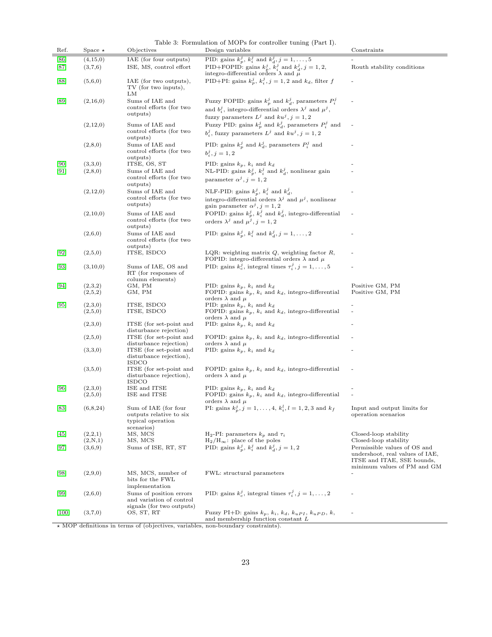<span id="page-22-0"></span>

| Ref.         | Space $\star$           | Objectives                                                                         | Table 3: Formulation of MOPs for controller tuning (Part I).<br>Design variables                                                                                                    | Constraints                                                                                                                  |
|--------------|-------------------------|------------------------------------------------------------------------------------|-------------------------------------------------------------------------------------------------------------------------------------------------------------------------------------|------------------------------------------------------------------------------------------------------------------------------|
| [86]<br> 87  | (4, 15, 0)<br>(3,7,6)   | IAE (for four outputs)<br>ISE, MS, control effort                                  | PID: gains $k_p^j$ , $k_i^j$ and $k_d^j$ , $j = 1, , 5$<br>PID+FOPID: gains $k_p^j$ , $k_i^j$ and $k_d^j$ , $j = 1, 2$ ,<br>integro-differential orders $\lambda$ and $\mu$         | Routh stability conditions                                                                                                   |
| [88]         | (5,6,0)                 | IAE (for two outputs),<br>TV (for two inputs),<br>LM                               | PID+PI: gains $k_p^j$ , $k_i^j$ , $j = 1, 2$ and $k_d$ , filter f                                                                                                                   |                                                                                                                              |
| [89]         | (2,16,0)                | Sums of IAE and<br>control efforts (for two<br>outputs)                            | Fuzzy FOPID: gains $k_p^j$ and $k_d^j$ , parameters $P_i^j$<br>and $b_i^j,$ integro-differential orders $\lambda^j$ and $\mu^j,$<br>fuzzy parameters ${\cal L}^j$ and $ku^j, j=1,2$ |                                                                                                                              |
|              | (2,12,0)                | Sums of IAE and<br>control efforts (for two<br>outputs)                            | Fuzzy PID: gains $k_p^j$ and $k_d^j$ , parameters $P_i^j$ and<br>$b_i^j,$ fuzzy parameters ${\cal L}^j$ and $ku^j, j=1,2$                                                           |                                                                                                                              |
|              | (2,8,0)                 | Sums of IAE and<br>control efforts (for two<br>outputs)                            | PID: gains $k_p^j$ and $k_d^j$ , parameters $P_i^j$ and<br>$b_i^j, j = 1, 2$                                                                                                        |                                                                                                                              |
| [90]<br>[91] | (3,3,0)<br>(2,8,0)      | ITSE, OS, ST<br>Sums of IAE and<br>control efforts (for two<br>outputs)            | PID: gains $k_p$ , $k_i$ and $k_d$<br>NL-PID: gains $k_p^j$ , $k_i^j$ and $k_d^j$ , nonlinear gain<br>parameter $\alpha^j$ , $j=1,2$                                                |                                                                                                                              |
|              | (2,12,0)                | Sums of IAE and<br>control efforts (for two<br>outputs)                            | NLF-PID: gains $k_p^j$ , $k_i^j$ and $k_d^j$ ,<br>integro-differential orders $\lambda^j$ and $\mu^j$ , nonlinear<br>gain parameter $\alpha^j$ , $j = 1, 2$                         |                                                                                                                              |
|              | (2,10,0)                | Sums of IAE and<br>control efforts (for two<br>outputs)                            | FOPID: gains $k_p^j$ , $k_i^j$ and $k_d^j$ , integro-differential<br>orders $\lambda^j$ and $\mu^j$ , $j = 1, 2$                                                                    |                                                                                                                              |
|              | (2,6,0)                 | Sums of IAE and<br>control efforts (for two<br>outputs)                            | PID: gains $k_p^j$ , $k_i^j$ and $k_d^j$ , $j = 1, \ldots, 2$                                                                                                                       |                                                                                                                              |
| [92]         | (2,5,0)                 | ITSE, ISDCO                                                                        | LQR: weighting matrix $Q$ , weighting factor $R$ ,<br>FOPID: integro-differential orders $\lambda$ and $\mu$                                                                        |                                                                                                                              |
| 93           | (3,10,0)                | Sums of IAE, OS and<br>RT (for responses of<br>column elements)                    | PID: gains $k_c^j$ , integral times $\tau_i^j$ , $j = 1, \ldots, 5$                                                                                                                 |                                                                                                                              |
| [94]         | (2,3,2)<br>(2,5,2)      | GM, PM<br>GM, PM                                                                   | PID: gains $k_p$ , $k_i$ and $k_d$<br>FOPID: gains $k_p$ , $k_i$ and $k_d$ , integro-differential<br>orders $\lambda$ and $\mu$                                                     | Positive GM, PM<br>Positive GM, PM                                                                                           |
| [95]         | (2,3,0)<br>(2,5,0)      | ITSE, ISDCO<br>ITSE, ISDCO                                                         | PID: gains $k_p$ , $k_i$ and $k_d$<br>FOPID: gains $k_p$ , $k_i$ and $k_d$ , integro-differential<br>orders $\lambda$ and $\mu$                                                     |                                                                                                                              |
|              | (2,3,0)                 | ITSE (for set-point and<br>disturbance rejection)                                  | PID: gains $k_p$ , $k_i$ and $k_d$                                                                                                                                                  |                                                                                                                              |
|              | (2,5,0)                 | ITSE (for set-point and<br>disturbance rejection)                                  | FOPID: gains $k_p$ , $k_i$ and $k_d$ , integro-differential<br>orders $\lambda$ and $\mu$                                                                                           |                                                                                                                              |
|              | (3,3,0)                 | ITSE (for set-point and<br>disturbance rejection),<br><b>ISDCO</b>                 | PID: gains $k_p$ , $k_i$ and $k_d$                                                                                                                                                  |                                                                                                                              |
|              | (3,5,0)                 | ITSE (for set-point and<br>disturbance rejection),<br><b>ISDCO</b>                 | FOPID: gains $k_p$ , $k_i$ and $k_d$ , integro-differential<br>orders $\lambda$ and $\mu$                                                                                           |                                                                                                                              |
| [96]         | (2,3,0)<br>$_{(2,5,0)}$ | ISE and ITSE<br>ISE and ITSE                                                       | PID: gains $k_p$ , $k_i$ and $k_d$<br>FOPID: gains $k_p$ , $k_i$ and $k_d$ , integro-differential<br>orders $\lambda$ and $\mu$                                                     |                                                                                                                              |
| [83]         | (6,8,24)                | Sum of IAE (for four<br>outputs relative to six<br>typical operation<br>scenarios) | PI: gains $k_p^j$ , $j = 1, , 4, k_i^l, l = 1, 2, 3$ and $k_f$                                                                                                                      | Input and output limits for<br>operation scenarios                                                                           |
| 45           | (2,2,1)<br>(2,N,1)      | MS, MCS<br>MS, MCS                                                                 | H <sub>2</sub> -PI: parameters $k_p$ and $\tau_i$<br>$\rm H_2/H_{\infty}\colon$ place of the poles                                                                                  | Closed-loop stability<br>Closed-loop stability                                                                               |
| [97]         | (3,6,9)                 | Sums of ISE, RT, ST                                                                | PID: gains $k_p^j$ , $k_i^j$ and $k_d^j$ , $j = 1, 2$                                                                                                                               | Permissible values of OS and<br>undershoot, real values of IAE,<br>ITSE and ITAE, SSE bounds,<br>minimum values of PM and GM |
| $[98]$       | (2,9,0)                 | MS, MCS, number of<br>bits for the FWL<br>implementation                           | FWL: structural parameters                                                                                                                                                          |                                                                                                                              |
| $[99]$       | (2,6,0)                 | Sums of position errors<br>and variation of control<br>signals (for two outputs)   | PID: gains $k_c^j$ , integral times $\tau_i^j$ , $j = 1, \ldots, 2$                                                                                                                 |                                                                                                                              |
| $[100]$      | (3,7,0)                 | OS, ST, RT                                                                         | Fuzzy PI+D: gains $k_p$ , $k_i$ , $k_d$ , $k_{uPI}$ , $k_{uPD}$ , $k$ ,<br>and membership function constant $L$                                                                     |                                                                                                                              |

? MOP definitions in terms of (objectives, variables, non-boundary constraints).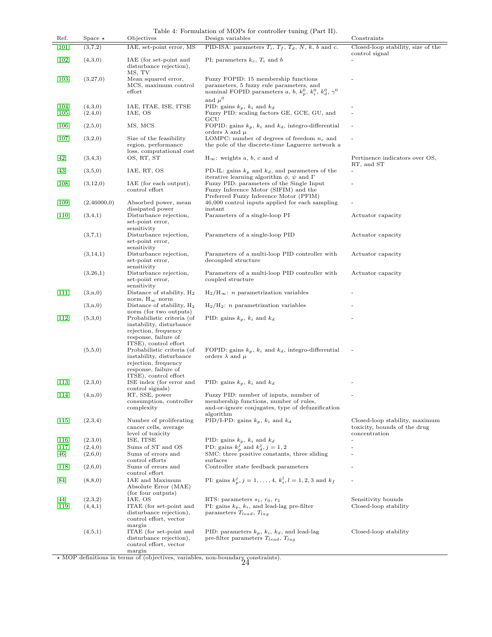Table 4: Formulation of MOPs for controller tuning (Part II).

| Ref.               | $Space *$          | Objectives                                                                                                                      | Design variables                                                                                                                                                           | Constraints                                                                     |
|--------------------|--------------------|---------------------------------------------------------------------------------------------------------------------------------|----------------------------------------------------------------------------------------------------------------------------------------------------------------------------|---------------------------------------------------------------------------------|
| $[101]$            | (3,7,2)            | IAE, set-point error, MS                                                                                                        | PID-ISA: parameters $T_i$ , $T_f$ , $T_d$ , $N$ , $k$ , $b$ and $c$ .                                                                                                      | Closed-loop stability, size of the                                              |
| $[102]$            | (4,3,0)            | IAE (for set-point and<br>disturbance rejection),                                                                               | PI: parameters $k_c$ , $T_i$ and b                                                                                                                                         | control signal                                                                  |
| $\vert 103 \vert$  | (3,27,0)           | MS, TV<br>Mean squared error,<br>MCS, maximum control<br>effort                                                                 | Fuzzy FOPID: 15 membership functions<br>parameters, 5 fuzzy rule parameters, and<br>nominal FOPID parameters a, b, $k_p^0$ , $k_i^0$ , $k_d^0$ , $\gamma^0$<br>and $\mu^0$ |                                                                                 |
| 104 <br> 105       | (4,3,0)<br>(2,4,0) | IAE, ITAE, ISE, ITSE<br>IAE, OS                                                                                                 | PID: gains $k_p$ , $k_i$ and $k_d$<br>Fuzzy PID: scaling factors GE, GCE, GU, and<br>$_{\rm GCU}$                                                                          |                                                                                 |
| 106                | (2,5,0)            | MS, MCS                                                                                                                         | FOPID: gains $k_p$ , $k_i$ and $k_d$ , integro-differential<br>orders $\lambda$ and $\mu$                                                                                  |                                                                                 |
| $\left[107\right]$ | (3,2,0)            | Size of the feasibility<br>region, performance<br>loss, computational cost                                                      | LOMPC: number of degrees of freedom $n_c$ and<br>the pole of the discrete-time Laguerre network a                                                                          |                                                                                 |
| [42]               | (3,4,3)            | OS, RT, ST                                                                                                                      | $H_{\infty}$ : weights a, b, c and d                                                                                                                                       | Pertinence indicators over OS,<br>RT, and ST                                    |
| [43]               | (3,5,0)            | IAE, RT, OS                                                                                                                     | PD-IL: gains $k_p$ and $k_d$ , and parameters of the<br>iterative learning algorithm $\phi$ , $\psi$ and $\Gamma$                                                          | $\overline{\phantom{a}}$                                                        |
| $[108]$            | (3,12,0)           | IAE (for each output),<br>control effort                                                                                        | Fuzzy PID: parameters of the Single Input<br>Fuzzy Inference Motor (SIFIM) and the<br>Preferred Fuzzy Inference Motor (PFIM)                                               |                                                                                 |
| $[109]$            | (2,46000,0)        | Absorbed power, mean<br>dissipated power                                                                                        | 46,000 control inputs applied for each sampling<br>instant                                                                                                                 |                                                                                 |
| $[110]$            | (3,4,1)            | Disturbance rejection,<br>set-point error,<br>sensitivity                                                                       | Parameters of a single-loop PI                                                                                                                                             | Actuator capacity                                                               |
|                    | (3,7,1)            | Disturbance rejection,<br>set-point error,<br>sensitivity                                                                       | Parameters of a single-loop PID                                                                                                                                            | Actuator capacity                                                               |
|                    | (3,14,1)           | Disturbance rejection,<br>set-point error,<br>sensitivity                                                                       | Parameters of a multi-loop PID controller with<br>decoupled structure                                                                                                      | Actuator capacity                                                               |
|                    | (3,26,1)           | Disturbance rejection,<br>set-point error,<br>sensitivity                                                                       | Parameters of a multi-loop PID controller with<br>coupled structure                                                                                                        | Actuator capacity                                                               |
| $[111]$            | (3,n,0)            | Distance of stability, $H_2$<br>norm, $H_{\infty}$ norm                                                                         | $H_2/H_{\infty}$ : <i>n</i> parametrization variables                                                                                                                      |                                                                                 |
|                    | (3,n,0)            | Distance of stability, $H_2$<br>norm (for two outputs)                                                                          | $H_2/H_2$ : <i>n</i> parametrization variables                                                                                                                             |                                                                                 |
| $[112]$            | (5,3,0)            | Probabilistic criteria (of<br>instability, disturbance<br>rejection, frequency<br>response, failure of<br>ITSE), control effort | PID: gains $k_p$ , $k_i$ and $k_d$                                                                                                                                         |                                                                                 |
|                    | (5,5,0)            | Probabilistic criteria (of<br>instability, disturbance<br>rejection, frequency<br>response, failure of<br>ITSE), control effort | FOPID: gains $k_p$ , $k_i$ and $k_d$ , integro-differential<br>orders $\lambda$ and $\mu$                                                                                  |                                                                                 |
| 113                | (2,3,0)            | ISE index (for error and<br>control signals)                                                                                    | PID: gains $k_p$ , $k_i$ and $k_d$                                                                                                                                         |                                                                                 |
| $[114]$            | (4, n, 0)          | RT, SSE, power<br>consumption, controller<br>complexity                                                                         | Fuzzy PID: number of inputs, number of<br>membership functions, number of rules,<br>and-or-ignore conjugates, type of defuzzification<br>algorithm                         |                                                                                 |
| $[115]$            | (2,3,4)            | Number of proliferating<br>cancer cells, average<br>level of toxicity                                                           | PID/I-PD: gains $k_p$ , $k_i$ and $k_d$                                                                                                                                    | Closed-loop stability, maximum<br>toxicity, bounds of the drug<br>concentration |
| 116                | (2,3,0)            | ISE, ITSE                                                                                                                       | PID: gains $k_p$ , $k_i$ and $k_d$                                                                                                                                         |                                                                                 |
| $[117]$            | (2,4,0)            | Sums of ST and OS                                                                                                               | PD: gains $k_p^j$ and $k_d^j$ , $j = 1, 2$                                                                                                                                 |                                                                                 |
| 46                 | (2,6,0)            | Sums of errors and<br>control efforts                                                                                           | SMC: three positive constants, three sliding<br>surfaces                                                                                                                   |                                                                                 |
| [118]              | (2,6,0)            | Sums of errors and<br>control effort                                                                                            | Controller state feedback parameters                                                                                                                                       |                                                                                 |
| [84]               | (8, 8, 0)          | IAE and Maximum<br>Absolute Error (MAE)<br>(for four outputs)                                                                   | PI: gains $k_p^j$ , $j = 1, , 4, k_i^l$ , $l = 1, 2, 3$ and $k_f$                                                                                                          |                                                                                 |
| 44 <br>$[119]$     | (2,3,2)<br>(4,4,1) | IAE, OS<br>ITAE (for set-point and<br>disturbance rejection),<br>control effort, vector                                         | RTS: parameters $s_1, r_0, r_1$<br>PI: gains $k_p$ , $k_i$ , and lead-lag pre-filter<br>parameters $T_{lead}$ , $T_{lag}$                                                  | Sensitivity bounds<br>Closed-loop stability                                     |
|                    | (4,5,1)            | margin<br>ITAE (for set-point and<br>disturbance rejection),<br>control effort, vector<br>margin                                | PID: parameters $k_p$ , $k_i$ , $k_d$ , and lead-lag<br>pre-filter parameters $T_{lead}$ , $T_{lag}$                                                                       | Closed-loop stability                                                           |

? MOP definitions in terms of (objectives, variables, non-boundary constraints). 24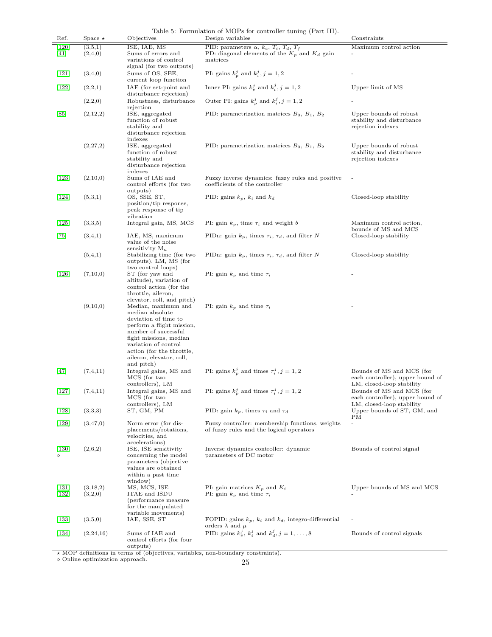Table 5: Formulation of MOPs for controller tuning (Part III).

| Ref.<br>$Space *$                         | Objectives                                                                                                                                                                                                                                   | Design variables                                                                            | Constraints                                                                                |
|-------------------------------------------|----------------------------------------------------------------------------------------------------------------------------------------------------------------------------------------------------------------------------------------------|---------------------------------------------------------------------------------------------|--------------------------------------------------------------------------------------------|
| $\left[120\right]$<br>(3,5,1)             | ISE, IAE, MS                                                                                                                                                                                                                                 | PID: parameters $\alpha$ , $k_c$ , $T_i$ , $T_d$ , $T_f$                                    | Maximum control action                                                                     |
| (2,4,0)<br> 41                            | Sums of errors and<br>variations of control<br>signal (for two outputs)                                                                                                                                                                      | PD: diagonal elements of the $K_p$ and $K_d$ gain<br>matrices                               |                                                                                            |
| $[121]$<br>(3,4,0)                        | Sums of OS, SEE,<br>current loop function                                                                                                                                                                                                    | PI: gains $k_p^j$ and $k_i^j$ , $j = 1, 2$                                                  |                                                                                            |
| $[122]$<br>(2,2,1)                        | IAE (for set-point and<br>disturbance rejection)                                                                                                                                                                                             | Inner PI: gains $k_p^j$ and $k_i^j$ , $j = 1, 2$                                            | Upper limit of MS                                                                          |
| (2,2,0)                                   | Robustness, disturbance<br>rejection                                                                                                                                                                                                         | Outer PI: gains $k_p^j$ and $k_i^j, j=1,2$                                                  |                                                                                            |
| [85]<br>(2,12,2)                          | ISE, aggregated<br>function of robust<br>stability and<br>disturbance rejection<br>indexes                                                                                                                                                   | PID: parametrization matrices $B_0$ , $B_1$ , $B_2$                                         | Upper bounds of robust<br>stability and disturbance<br>rejection indexes                   |
| (2, 27, 2)                                | ISE, aggregated<br>function of robust<br>stability and<br>disturbance rejection<br>indexes                                                                                                                                                   | PID: parametrization matrices $B_0$ , $B_1$ , $B_2$                                         | Upper bounds of robust<br>stability and disturbance<br>rejection indexes                   |
| $[123]$<br>(2,10,0)                       | Sums of IAE and<br>control efforts (for two                                                                                                                                                                                                  | Fuzzy inverse dynamics: fuzzy rules and positive<br>coefficients of the controller          |                                                                                            |
| $[124]$<br>(5,3,1)                        | outputs)<br>OS, SSE, ST,<br>position/tip response,<br>peak response of tip<br>vibration                                                                                                                                                      | PID: gains $k_p$ , $k_i$ and $k_d$                                                          | Closed-loop stability                                                                      |
| $[125]$<br>(3,3,5)                        | Integral gain, MS, MCS                                                                                                                                                                                                                       | PI: gain $k_p$ , time $\tau_i$ and weight b                                                 | Maximum control action,<br>bounds of MS and MCS                                            |
| $[75]$<br>(3,4,1)                         | IAE, MS, maximum<br>value of the noise                                                                                                                                                                                                       | PIDn: gain $k_p$ , times $\tau_i$ , $\tau_d$ , and filter N                                 | Closed-loop stability                                                                      |
| (5,4,1)                                   | sensitivity $M_u$<br>Stabilizing time (for two<br>outputs), LM, MS (for<br>two control loops)                                                                                                                                                | PIDn: gain $k_p$ , times $\tau_i$ , $\tau_d$ , and filter N                                 | Closed-loop stability                                                                      |
| $[126]$<br>(7,10,0)                       | ST (for yaw and<br>altitude), variation of<br>control action (for the<br>throttle, aileron,<br>elevator, roll, and pitch)                                                                                                                    | PI: gain $k_p$ and time $\tau_i$                                                            |                                                                                            |
| (9,10,0)                                  | Median, maximum and<br>median absolute<br>deviation of time to<br>perform a flight mission,<br>number of successful<br>fight missions, median<br>variation of control<br>action (for the throttle,<br>aileron, elevator, roll,<br>and pitch) | PI: gain $k_p$ and time $\tau_i$                                                            |                                                                                            |
| $[47]$<br>(7,4,11)                        | Integral gains, MS and<br>MCS (for two<br>controllers), LM                                                                                                                                                                                   | PI: gains $k_p^j$ and times $\tau_i^j$ , $j = 1, 2$                                         | Bounds of MS and MCS (for<br>each controller), upper bound of<br>LM, closed-loop stability |
| $[127]$<br>(7,4,11)                       | Integral gains, MS and<br>MCS (for two<br>controllers), LM                                                                                                                                                                                   | PI: gains $k_p^j$ and times $\tau_i^j$ , $j = 1, 2$                                         | Bounds of MS and MCS (for<br>each controller), upper bound of<br>LM, closed-loop stability |
| $[128]$<br>(3,3,3)                        | ST, GM, PM                                                                                                                                                                                                                                   | PID: gain $k_p$ , times $\tau_i$ and $\tau_d$                                               | Upper bounds of ST, GM, and<br>PМ                                                          |
| $[129]$<br>(3, 47, 0)                     | Norm error (for dis-<br>placements/rotations,<br>velocities, and<br>accelerations)                                                                                                                                                           | Fuzzy controller: membership functions, weights<br>of fuzzy rules and the logical operators |                                                                                            |
| $[130]$<br>(2,6,2)<br>$\Diamond$          | ISE, ISE sensitivity<br>concerning the model<br>parameters (objective<br>values are obtained<br>within a past time<br>window)                                                                                                                | Inverse dynamics controller: dynamic<br>parameters of DC motor                              | Bounds of control signal                                                                   |
| $[131]$<br>(3,18,2)<br>$[132]$<br>(3,2,0) | MS, MCS, ISE<br>ITAE and ISDU<br>(performance measure)<br>for the manipulated<br>variable movements)                                                                                                                                         | PI: gain matrices $K_p$ and $K_i$<br>PI: gain $k_p$ and time $\tau_i$                       | Upper bounds of MS and MCS                                                                 |
| $[133]$<br>(3,5,0)                        | IAE, SSE, ST                                                                                                                                                                                                                                 | FOPID: gains $k_p$ , $k_i$ and $k_d$ , integro-differential<br>orders $\lambda$ and $\mu$   |                                                                                            |
|                                           |                                                                                                                                                                                                                                              | PID: gains $k_p^j$ , $k_i^j$ and $k_d^j$ , $j = 1, \ldots, 8$                               | Bounds of control signals                                                                  |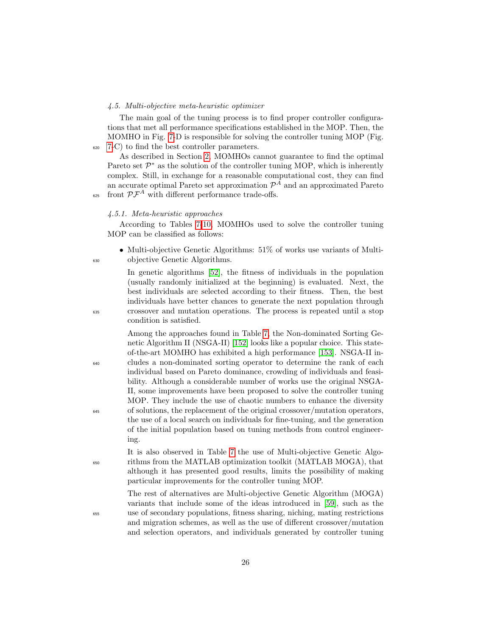## <span id="page-25-0"></span>4.5. Multi-objective meta-heuristic optimizer

The main goal of the tuning process is to find proper controller configurations that met all performance specifications established in the MOP. Then, the MOMHO in Fig. [7-](#page-13-1)D is responsible for solving the controller tuning MOP (Fig.  $620$  [7-](#page-13-1)C) to find the best controller parameters.

As described in Section [2,](#page-4-0) MOMHOs cannot guarantee to find the optimal Pareto set  $\mathcal{P}^*$  as the solution of the controller tuning MOP, which is inherently complex. Still, in exchange for a reasonable computational cost, they can find an accurate optimal Pareto set approximation  $\mathcal{P}^A$  and an approximated Pareto  $f_{625}$  front  $\mathcal{PF}^A$  with different performance trade-offs.

#### 4.5.1. Meta-heuristic approaches

According to Tables [7](#page-30-0)[-10,](#page-32-0) MOMHOs used to solve the controller tuning MOP can be classified as follows:

• Multi-objective Genetic Algorithms: 51% of works use variants of Multi-<sup>630</sup> objective Genetic Algorithms.

In genetic algorithms [\[52\]](#page-49-1), the fitness of individuals in the population (usually randomly initialized at the beginning) is evaluated. Next, the best individuals are selected according to their fitness. Then, the best individuals have better chances to generate the next population through <sup>635</sup> crossover and mutation operations. The process is repeated until a stop condition is satisfied.

Among the approaches found in Table [7,](#page-30-0) the Non-dominated Sorting Genetic Algorithm II (NSGA-II) [\[152\]](#page-58-9) looks like a popular choice. This stateof-the-art MOMHO has exhibited a high performance [\[153\]](#page-58-10). NSGA-II in-<sup>640</sup> cludes a non-dominated sorting operator to determine the rank of each individual based on Pareto dominance, crowding of individuals and feasibility. Although a considerable number of works use the original NSGA-II, some improvements have been proposed to solve the controller tuning MOP. They include the use of chaotic numbers to enhance the diversity <sup>645</sup> of solutions, the replacement of the original crossover/mutation operators, the use of a local search on individuals for fine-tuning, and the generation of the initial population based on tuning methods from control engineering.

It is also observed in Table [7](#page-30-0) the use of Multi-objective Genetic Algo-<sup>650</sup> rithms from the MATLAB optimization toolkit (MATLAB MOGA), that although it has presented good results, limits the possibility of making particular improvements for the controller tuning MOP.

The rest of alternatives are Multi-objective Genetic Algorithm (MOGA) variants that include some of the ideas introduced in [\[59\]](#page-49-8), such as the <sup>655</sup> use of secondary populations, fitness sharing, niching, mating restrictions and migration schemes, as well as the use of different crossover/mutation and selection operators, and individuals generated by controller tuning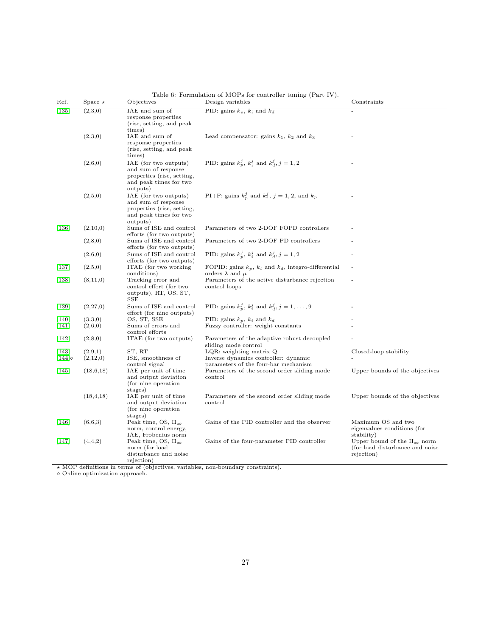| Ref.             | Space $\star$ | Objectives                                           | Design variables                                                                    | Constraints                                        |
|------------------|---------------|------------------------------------------------------|-------------------------------------------------------------------------------------|----------------------------------------------------|
| $\overline{135}$ | (2,3,0)       | IAE and sum of                                       | PID: gains $k_p$ , $k_i$ and $k_d$                                                  |                                                    |
|                  |               | response properties                                  |                                                                                     |                                                    |
|                  |               | (rise, setting, and peak)                            |                                                                                     |                                                    |
|                  | (2,3,0)       | times)<br>IAE and sum of                             | Lead compensator: gains $k_1$ , $k_2$ and $k_3$                                     |                                                    |
|                  |               | response properties                                  |                                                                                     |                                                    |
|                  |               | (rise, setting, and peak)                            |                                                                                     |                                                    |
|                  |               | times)                                               |                                                                                     |                                                    |
|                  | (2,6,0)       | IAE (for two outputs)                                | PID: gains $k_p^j$ , $k_i^j$ and $k_d^j$ , $j = 1, 2$                               |                                                    |
|                  |               | and sum of response<br>properties (rise, setting,    |                                                                                     |                                                    |
|                  |               | and peak times for two                               |                                                                                     |                                                    |
|                  |               | outputs)                                             |                                                                                     |                                                    |
|                  | (2,5,0)       | IAE (for two outputs)                                | PI+P: gains $k_p^j$ and $k_i^j$ , $j = 1, 2$ , and $k_p$                            |                                                    |
|                  |               | and sum of response                                  |                                                                                     |                                                    |
|                  |               | properties (rise, setting,                           |                                                                                     |                                                    |
|                  |               | and peak times for two<br>outputs)                   |                                                                                     |                                                    |
| $[136]$          | (2,10,0)      | Sums of ISE and control                              | Parameters of two 2-DOF FOPD controllers                                            |                                                    |
|                  |               | efforts (for two outputs)                            |                                                                                     |                                                    |
|                  | (2,8,0)       | Sums of ISE and control                              | Parameters of two 2-DOF PD controllers                                              |                                                    |
|                  | (2,6,0)       | efforts (for two outputs)<br>Sums of ISE and control | PID: gains $k_p^j$ , $k_i^j$ and $k_d^j$ , $j = 1, 2$                               |                                                    |
|                  |               | efforts (for two outputs)                            |                                                                                     |                                                    |
| $[137]$          | (2,5,0)       | ITAE (for two working)                               | FOPID: gains $k_p$ , $k_i$ and $k_d$ , integro-differential                         |                                                    |
|                  |               | conditions)                                          | orders $\lambda$ and $\mu$                                                          |                                                    |
| $[138]$          | (8, 11, 0)    | Tracking error and                                   | Parameters of the active disturbance rejection                                      |                                                    |
|                  |               | control effort (for two<br>outputs), RT, OS, ST,     | control loops                                                                       |                                                    |
|                  |               | <b>SSE</b>                                           |                                                                                     |                                                    |
| $[139]$          | (2,27,0)      | Sums of ISE and control                              | PID: gains $k_p^j$ , $k_i^j$ and $k_d^j$ , $j = 1, \ldots, 9$                       |                                                    |
|                  |               | effort (for nine outputs)                            |                                                                                     |                                                    |
| $[140]$          | (3,3,0)       | OS, ST, SSE                                          | PID: gains $k_p$ , $k_i$ and $k_d$                                                  |                                                    |
| [141]            | (2,6,0)       | Sums of errors and<br>control efforts                | Fuzzy controller: weight constants                                                  |                                                    |
| $[142]$          | (2,8,0)       | ITAE (for two outputs)                               | Parameters of the adaptive robust decoupled                                         |                                                    |
|                  |               |                                                      | sliding mode control                                                                |                                                    |
| 143              | (2,9,1)       | ST, RT                                               | $LQR$ : weighting matrix $Q$                                                        | Closed-loop stability                              |
| $[144] \diamond$ | (2,12,0)      | ISE, smoothness of                                   | Inverse dynamics controller: dynamic                                                |                                                    |
| $[145]$          | (18,6,18)     | control signal<br>IAE per unit of time               | parameters of the four-bar mechanism<br>Parameters of the second order sliding mode | Upper bounds of the objectives                     |
|                  |               | and output deviation                                 | control                                                                             |                                                    |
|                  |               | (for nine operation)                                 |                                                                                     |                                                    |
|                  |               | stages)                                              |                                                                                     |                                                    |
|                  | (18, 4, 18)   | IAE per unit of time<br>and output deviation         | Parameters of the second order sliding mode<br>control                              | Upper bounds of the objectives                     |
|                  |               | (for nine operation)                                 |                                                                                     |                                                    |
|                  |               | stages)                                              |                                                                                     |                                                    |
| $[146]$          | (6,6,3)       | Peak time, OS, $H_{\infty}$                          | Gains of the PID controller and the observer                                        | Maximum OS and two                                 |
|                  |               | norm, control energy,                                |                                                                                     | eigenvalues conditions (for                        |
| $[147]$          | (4,4,2)       | IAE, Frobenius norm<br>Peak time, OS, $H_{\infty}$   | Gains of the four-parameter PID controller                                          | stability)<br>Upper bound of the $H_{\infty}$ norm |
|                  |               | norm (for load                                       |                                                                                     | (for load disturbance and noise                    |
|                  |               | disturbance and noise                                |                                                                                     | rejection)                                         |
|                  |               | rejection)                                           |                                                                                     |                                                    |

<span id="page-26-0"></span>Table 6: Formulation of MOPs for controller tuning (Part IV).

\* MOP definitions in terms of (objectives, variables, non-boundary constraints).<br>  $\diamond$  Online optimization approach.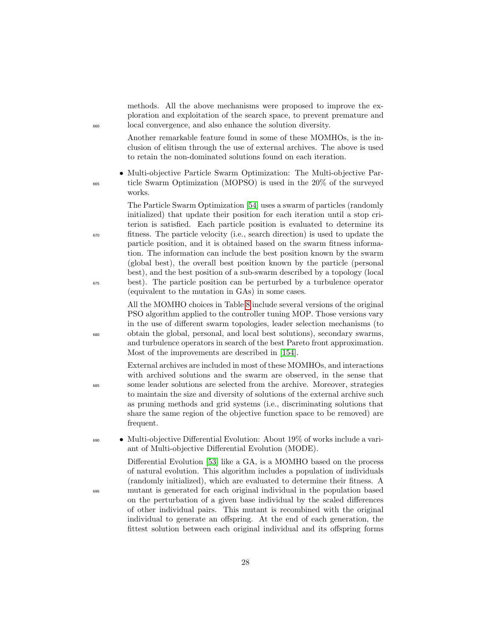methods. All the above mechanisms were proposed to improve the exploration and exploitation of the search space, to prevent premature and <sup>660</sup> local convergence, and also enhance the solution diversity.

> Another remarkable feature found in some of these MOMHOs, is the inclusion of elitism through the use of external archives. The above is used to retain the non-dominated solutions found on each iteration.

• Multi-objective Particle Swarm Optimization: The Multi-objective Par-<sup>665</sup> ticle Swarm Optimization (MOPSO) is used in the 20% of the surveyed works.

The Particle Swarm Optimization [\[54\]](#page-49-3) uses a swarm of particles (randomly initialized) that update their position for each iteration until a stop criterion is satisfied. Each particle position is evaluated to determine its <sup>670</sup> fitness. The particle velocity (i.e., search direction) is used to update the particle position, and it is obtained based on the swarm fitness information. The information can include the best position known by the swarm (global best), the overall best position known by the particle (personal best), and the best position of a sub-swarm described by a topology (local <sup>675</sup> best). The particle position can be perturbed by a turbulence operator (equivalent to the mutation in GAs) in some cases.

All the MOMHO choices in Table [8](#page-31-0) include several versions of the original PSO algorithm applied to the controller tuning MOP. Those versions vary in the use of different swarm topologies, leader selection mechanisms (to <sup>680</sup> obtain the global, personal, and local best solutions), secondary swarms, and turbulence operators in search of the best Pareto front approximation. Most of the improvements are described in [\[154\]](#page-58-11).

External archives are included in most of these MOMHOs, and interactions with archived solutions and the swarm are observed, in the sense that <sup>685</sup> some leader solutions are selected from the archive. Moreover, strategies to maintain the size and diversity of solutions of the external archive such as pruning methods and grid systems (i.e., discriminating solutions that share the same region of the objective function space to be removed) are frequent.

<sup>690</sup> • Multi-objective Differential Evolution: About 19% of works include a variant of Multi-objective Differential Evolution (MODE).

Differential Evolution [\[53\]](#page-49-2) like a GA, is a MOMHO based on the process of natural evolution. This algorithm includes a population of individuals (randomly initialized), which are evaluated to determine their fitness. A <sup>695</sup> mutant is generated for each original individual in the population based on the perturbation of a given base individual by the scaled differences of other individual pairs. This mutant is recombined with the original individual to generate an offspring. At the end of each generation, the fittest solution between each original individual and its offspring forms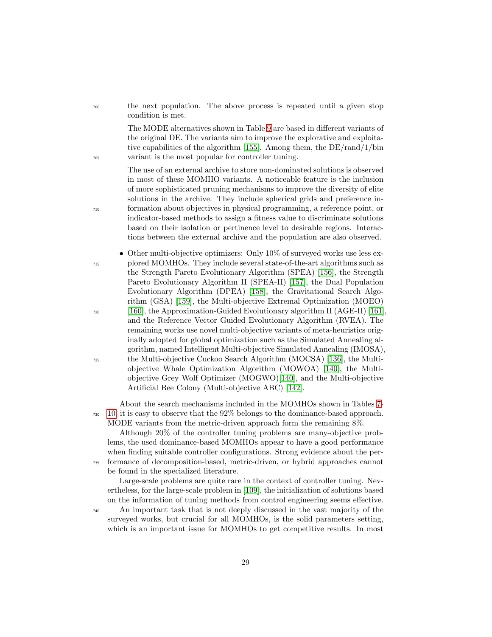<sup>700</sup> the next population. The above process is repeated until a given stop condition is met.

The MODE alternatives shown in Table [9](#page-32-1) are based in different variants of the original DE. The variants aim to improve the explorative and exploitative capabilities of the algorithm [\[155\]](#page-59-0). Among them, the DE/rand/1/bin <sup>705</sup> variant is the most popular for controller tuning.

The use of an external archive to store non-dominated solutions is observed in most of these MOMHO variants. A noticeable feature is the inclusion of more sophisticated pruning mechanisms to improve the diversity of elite solutions in the archive. They include spherical grids and preference in-<sup>710</sup> formation about objectives in physical programming, a reference point, or indicator-based methods to assign a fitness value to discriminate solutions based on their isolation or pertinence level to desirable regions. Interactions between the external archive and the population are also observed.

• Other multi-objective optimizers: Only 10% of surveyed works use less ex-<sup>715</sup> plored MOMHOs. They include several state-of-the-art algorithms such as the Strength Pareto Evolutionary Algorithm (SPEA) [\[156\]](#page-59-1), the Strength Pareto Evolutionary Algorithm II (SPEA-II) [\[157\]](#page-59-2), the Dual Population Evolutionary Algorithm (DPEA) [\[158\]](#page-59-3), the Gravitational Search Algorithm (GSA) [\[159\]](#page-59-4), the Multi-objective Extremal Optimization (MOEO)  $_{720}$  [\[160\]](#page-59-5), the Approximation-Guided Evolutionary algorithm II (AGE-II) [\[161\]](#page-59-6), and the Reference Vector Guided Evolutionary Algorithm (RVEA). The remaining works use novel multi-objective variants of meta-heuristics originally adopted for global optimization such as the Simulated Annealing algorithm, named Intelligent Multi-objective Simulated Annealing (IMOSA), <sup>725</sup> the Multi-objective Cuckoo Search Algorithm (MOCSA) [\[136\]](#page-57-3), the Multiobjective Whale Optimization Algorithm (MOWOA) [\[140\]](#page-57-7), the Multiobjective Grey Wolf Optimizer (MOGWO)[\[140\]](#page-57-7), and the Multi-objective Artificial Bee Colony (Multi-objective ABC) [\[142\]](#page-57-9).

About the search mechanisms included in the MOMHOs shown in Tables [7-](#page-30-0) <sup>730</sup> [10,](#page-32-0) it is easy to observe that the 92% belongs to the dominance-based approach. MODE variants from the metric-driven approach form the remaining 8%.

Although 20% of the controller tuning problems are many-objective problems, the used dominance-based MOMHOs appear to have a good performance when finding suitable controller configurations. Strong evidence about the per-<sup>735</sup> formance of decomposition-based, metric-driven, or hybrid approaches cannot be found in the specialized literature.

Large-scale problems are quite rare in the context of controller tuning. Nevertheless, for the large-scale problem in [\[109\]](#page-54-4), the initialization of solutions based on the information of tuning methods from control engineering seems effective.

<sup>740</sup> An important task that is not deeply discussed in the vast majority of the surveyed works, but crucial for all MOMHOs, is the solid parameters setting, which is an important issue for MOMHOs to get competitive results. In most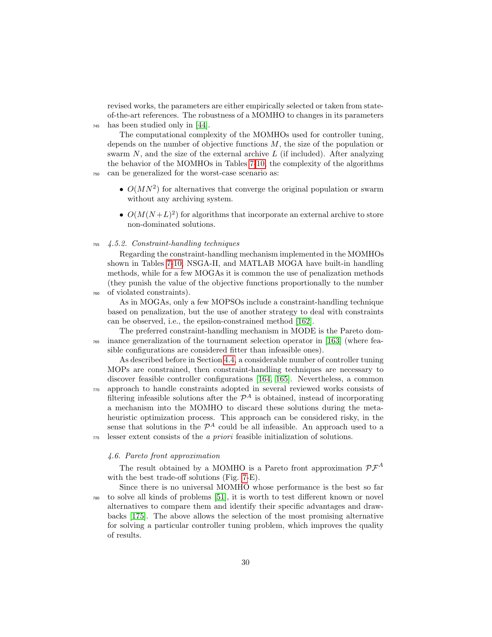revised works, the parameters are either empirically selected or taken from stateof-the-art references. The robustness of a MOMHO to changes in its parameters <sup>745</sup> has been studied only in [\[44\]](#page-48-3).

The computational complexity of the MOMHOs used for controller tuning, depends on the number of objective functions  $M$ , the size of the population or swarm  $N$ , and the size of the external archive  $L$  (if included). After analyzing the behavior of the MOMHOs in Tables [7](#page-30-0)[-10,](#page-32-0) the complexity of the algorithms <sup>750</sup> can be generalized for the worst-case scenario as:

- $O(MN^2)$  for alternatives that converge the original population or swarm without any archiving system.
- $O(M(N+L)^2)$  for algorithms that incorporate an external archive to store non-dominated solutions.

#### <sup>755</sup> 4.5.2. Constraint-handling techniques

Regarding the constraint-handling mechanism implemented in the MOMHOs shown in Tables [7-](#page-30-0)[10,](#page-32-0) NSGA-II, and MATLAB MOGA have built-in handling methods, while for a few MOGAs it is common the use of penalization methods (they punish the value of the objective functions proportionally to the number <sup>760</sup> of violated constraints).

As in MOGAs, only a few MOPSOs include a constraint-handling technique based on penalization, but the use of another strategy to deal with constraints can be observed, i.e., the epsilon-constrained method [\[162\]](#page-59-7).

The preferred constraint-handling mechanism in MODE is the Pareto dom-<sup>765</sup> inance generalization of the tournament selection operator in [\[163\]](#page-59-8) (where feasible configurations are considered fitter than infeasible ones).

As described before in Section [4.4,](#page-18-0) a considerable number of controller tuning MOPs are constrained, then constraint-handling techniques are necessary to discover feasible controller configurations [\[164,](#page-59-9) [165\]](#page-59-10). Nevertheless, a common <sup>770</sup> approach to handle constraints adopted in several reviewed works consists of filtering infeasible solutions after the  $\mathcal{P}^A$  is obtained, instead of incorporating a mechanism into the MOMHO to discard these solutions during the metaheuristic optimization process. This approach can be considered risky, in the sense that solutions in the  $\mathcal{P}^A$  could be all infeasible. An approach used to a <sup>775</sup> lesser extent consists of the a priori feasible initialization of solutions.

# 4.6. Pareto front approximation

The result obtained by a MOMHO is a Pareto front approximation  $\mathcal{PF}^A$ with the best trade-off solutions (Fig. [7-](#page-13-1)E).

Since there is no universal MOMHO whose performance is the best so far <sup>780</sup> to solve all kinds of problems [\[51\]](#page-49-0), it is worth to test different known or novel alternatives to compare them and identify their specific advantages and drawbacks [\[175\]](#page-60-0). The above allows the selection of the most promising alternative for solving a particular controller tuning problem, which improves the quality of results.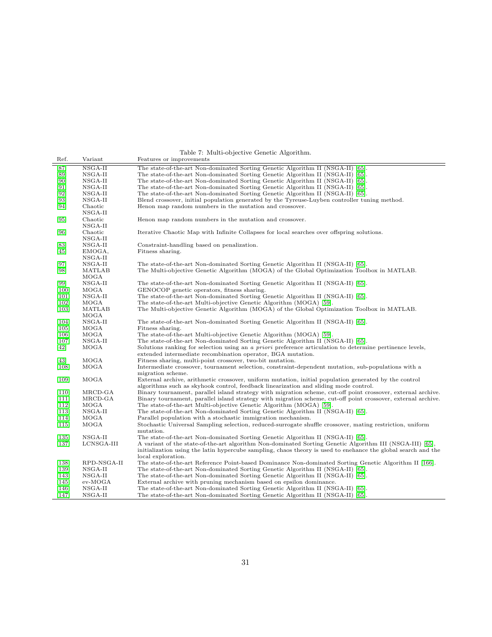<span id="page-30-0"></span>

|  | Table 7: Multi-objective Genetic Algorithm. |  |  |
|--|---------------------------------------------|--|--|
|--|---------------------------------------------|--|--|

|                                | Table 7: Multi-objective Genetic Algorithm. |                                                                                                               |  |  |
|--------------------------------|---------------------------------------------|---------------------------------------------------------------------------------------------------------------|--|--|
| Ref.                           | Variant                                     | Features or improvements                                                                                      |  |  |
| [87]                           | NSGA-II                                     | The state-of-the-art Non-dominated Sorting Genetic Algorithm II (NSGA-II) [65].                               |  |  |
| [89]                           | $NSGA-II$                                   | The state-of-the-art Non-dominated Sorting Genetic Algorithm II (NSGA-II) [65].                               |  |  |
| [90]                           | NSGA-II                                     | The state-of-the-art Non-dominated Sorting Genetic Algorithm II (NSGA-II) [65].                               |  |  |
| [91]                           | NSGA-II                                     | The state-of-the-art Non-dominated Sorting Genetic Algorithm II (NSGA-II) [65].                               |  |  |
| [92]                           | NSGA-II                                     | The state-of-the-art Non-dominated Sorting Genetic Algorithm II (NSGA-II) [65].                               |  |  |
| [93]                           | NSGA-II                                     | Blend crossover, initial population generated by the Tyreuse-Luyben controller tuning method.                 |  |  |
| [94]                           | Chaotic                                     | Henon map random numbers in the mutation and crossover.                                                       |  |  |
|                                | NSGA-II                                     |                                                                                                               |  |  |
| $\left[95\right]$              | Chaotic                                     | Henon map random numbers in the mutation and crossover.                                                       |  |  |
|                                | NSGA-II                                     |                                                                                                               |  |  |
| [96]                           | Chaotic                                     | Iterative Chaotic Map with Infinite Collapses for local searches over offspring solutions.                    |  |  |
|                                | NSGA-II                                     |                                                                                                               |  |  |
| [83]                           | NSGA-II                                     | Constraint-handling based on penalization.                                                                    |  |  |
| [45]                           | EMOGA,                                      | Fitness sharing.                                                                                              |  |  |
|                                | NSGA-II                                     |                                                                                                               |  |  |
| [97]                           | NSGA-II                                     | The state-of-the-art Non-dominated Sorting Genetic Algorithm II (NSGA-II) [65].                               |  |  |
| [98]                           | <b>MATLAB</b>                               | The Multi-objective Genetic Algorithm (MOGA) of the Global Optimization Toolbox in MATLAB.                    |  |  |
|                                | MOGA                                        |                                                                                                               |  |  |
| [99]                           | NSGA-II                                     | The state-of-the-art Non-dominated Sorting Genetic Algorithm II (NSGA-II) [65].                               |  |  |
| [100]                          | MOGA                                        | GENOCOP genetic operators, fitness sharing.                                                                   |  |  |
| $\left\lceil 101 \right\rceil$ | NSGA-II                                     | The state-of-the-art Non-dominated Sorting Genetic Algorithm II (NSGA-II) [65].                               |  |  |
| [102]                          | MOGA                                        | The state-of-the-art Multi-objective Genetic Algorithm (MOGA) [59].                                           |  |  |
| $\left[103\right]$             | <b>MATLAB</b><br>MOGA                       | The Multi-objective Genetic Algorithm (MOGA) of the Global Optimization Toolbox in MATLAB.                    |  |  |
| $\lceil 104 \rceil$            | NSGA-II                                     | The state-of-the-art Non-dominated Sorting Genetic Algorithm II (NSGA-II) [65].                               |  |  |
| [105]                          | MOGA                                        | Fitness sharing.                                                                                              |  |  |
| [106]                          | MOGA                                        | The state-of-the-art Multi-objective Genetic Algorithm (MOGA) [59].                                           |  |  |
| [107]                          | NSGA-II                                     | The state-of-the-art Non-dominated Sorting Genetic Algorithm II (NSGA-II) [65].                               |  |  |
| [42]                           | MOGA                                        | Solutions ranking for selection using an a priori preference articulation to determine pertinence levels,     |  |  |
|                                |                                             | extended intermediate recombination operator, BGA mutation.                                                   |  |  |
| $\left[43\right]$              | MOGA                                        | Fitness sharing, multi-point crossover, two-bit mutation.                                                     |  |  |
| [108]                          | MOGA                                        | Intermediate crossover, tournament selection, constraint-dependent mutation, sub-populations with a           |  |  |
|                                |                                             | migration scheme.                                                                                             |  |  |
| [109]                          | MOGA                                        | External archive, arithmetic crossover, uniform mutation, initial population generated by the control         |  |  |
|                                |                                             | algorithms such as skyhook control, feedback linearization and sliding mode control.                          |  |  |
| $[110]$                        | MRCD-GA                                     | Binary tournament, parallel island strategy with migration scheme, cut-off point crossover, external archive. |  |  |
| $[111]$                        | MRCD-GA                                     | Binary tournament, parallel island strategy with migration scheme, cut-off point crossover, external archive. |  |  |
| $[112]$                        | MOGA                                        | The state-of-the-art Multi-objective Genetic Algorithm (MOGA) [59].                                           |  |  |
| $[113]$                        | NSGA-II                                     | The state-of-the-art Non-dominated Sorting Genetic Algorithm II (NSGA-II) [65].                               |  |  |
| $[114]$                        | MOGA                                        | Parallel population with a stochastic immigration mechanism.                                                  |  |  |
| $[115]$                        | MOGA                                        | Stochastic Universal Sampling selection, reduced-surrogate shuffle crossover, mating restriction, uniform     |  |  |
|                                |                                             | mutation.                                                                                                     |  |  |
| $[135]$                        | NSGA-II                                     | The state-of-the-art Non-dominated Sorting Genetic Algorithm II (NSGA-II) [65].                               |  |  |
| $[137]$                        | LCNSGA-III                                  | A variant of the state-of-the-art algorithm Non-dominated Sorting Genetic Algorithm III (NSGA-III) [65],      |  |  |
|                                |                                             | initialization using the latin hypercube sampling, chaos theory is used to enehance the global search and the |  |  |
|                                |                                             | local exploration.                                                                                            |  |  |
| $\left[138\right]$             | RPD-NSGA-II                                 | The state-of-the-art Reference Point-based Dominance Non-dominated Sorting Genetic Algorithm II [166].        |  |  |
| $\left[139\right]$             | NSGA-II                                     | The state-of-the-art Non-dominated Sorting Genetic Algorithm II (NSGA-II) [65].                               |  |  |
| $\left[143\right]$             | NSGA-II                                     | The state-of-the-art Non-dominated Sorting Genetic Algorithm II (NSGA-II) [65].                               |  |  |
| $[145]$                        | ev-MOGA                                     | External archive with pruning mechanism based on epsilon dominance.                                           |  |  |
| $[146]$                        | NSGA-II                                     | The state-of-the-art Non-dominated Sorting Genetic Algorithm II (NSGA-II) [65].                               |  |  |
| [147]                          | NSGA-II                                     | The state-of-the-art Non-dominated Sorting Genetic Algorithm II (NSGA-II) [65].                               |  |  |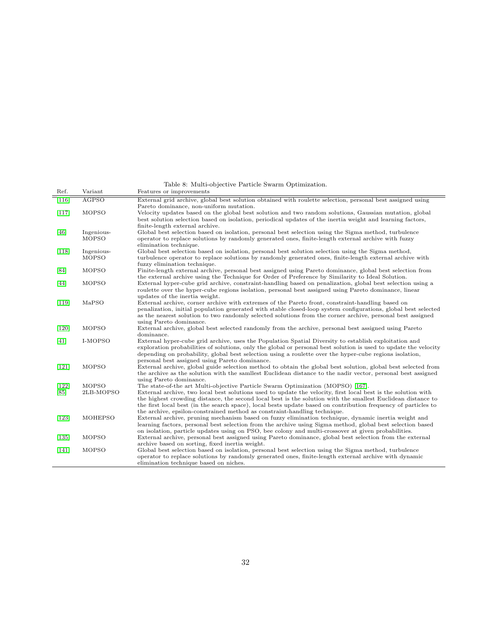<span id="page-31-0"></span>Table 8: Multi-objective Particle Swarm Optimization.<br>Ref. Variant Features or improvements

| nei.    | variant        | reatures or improvements                                                                                         |
|---------|----------------|------------------------------------------------------------------------------------------------------------------|
| $[116]$ | <b>AGPSO</b>   | External grid archive, global best solution obtained with roulette selection, personal best assigned using       |
|         |                | Pareto dominance, non-uniform mutation.                                                                          |
| $[117]$ | MOPSO          | Velocity updates based on the global best solution and two random solutions, Gaussian mutation, global           |
|         |                | best solution selection based on isolation, periodical updates of the inertia weight and learning factors,       |
|         |                | finite-length external archive.                                                                                  |
| [46]    | Ingenious-     | Global best selection based on isolation, personal best selection using the Sigma method, turbulence             |
|         | <b>MOPSO</b>   | operator to replace solutions by randomly generated ones, finite-length external archive with fuzzy              |
|         |                | elimination technique.                                                                                           |
| $[118]$ | Ingenious-     | Global best selection based on isolation, personal best solution selection using the Sigma method,               |
|         | MOPSO          | turbulence operator to replace solutions by randomly generated ones, finite-length external archive with         |
|         |                | fuzzy elimination technique.                                                                                     |
| [84]    | MOPSO          | Finite-length external archive, personal best assigned using Pareto dominance, global best selection from        |
|         |                | the external archive using the Technique for Order of Preference by Similarity to Ideal Solution.                |
| [44]    | MOPSO          | External hyper-cube grid archive, constraint-handling based on penalization, global best selection using a       |
|         |                | roulette over the hyper-cube regions isolation, personal best assigned using Pareto dominance, linear            |
|         |                | updates of the inertia weight.                                                                                   |
| $[119]$ | MaPSO          | External archive, corner archive with extremes of the Pareto front, constraint-handling based on                 |
|         |                | penalization, initial population generated with stable closed-loop system configurations, global best selected   |
|         |                | as the nearest solution to two randomly selected solutions from the corner archive, personal best assigned       |
|         |                | using Pareto dominance.                                                                                          |
| $[120]$ | MOPSO          | External archive, global best selected randomly from the archive, personal best assigned using Pareto            |
|         |                | dominance.                                                                                                       |
| [41]    | I-MOPSO        | External hyper-cube grid archive, uses the Population Spatial Diversity to establish exploitation and            |
|         |                | exploration probabilities of solutions, only the global or personal best solution is used to update the velocity |
|         |                | depending on probability, global best selection using a roulette over the hyper-cube regions isolation,          |
|         |                | personal best assigned using Pareto dominance.                                                                   |
| $[121]$ | MOPSO          | External archive, global guide selection method to obtain the global best solution, global best selected from    |
|         |                | the archive as the solution with the samllest Euclidean distance to the nadir vector, personal best assigned     |
|         |                | using Pareto dominance.                                                                                          |
| $[122]$ | <b>MOPSO</b>   | The state-of-the art Multi-objective Particle Swarm Optimization (MOPSO) [167].                                  |
| [85]    | 2LB-MOPSO      | External archive, two local best solutions used to update the velocity, first local best is the solution with    |
|         |                | the highest crowding distance, the second local best is the solution with the smallest Euclidean distance to     |
|         |                | the first local best (in the search space), local bests update based on contribution frequency of particles to   |
|         |                | the archive, epsilon-constrained method as constraint-handling technique.                                        |
| $[123]$ | <b>MOHEPSO</b> | External archive, pruning mechanism based on fuzzy elimination technique, dynamic inertia weight and             |
|         |                | learning factors, personal best selection from the archive using Sigma method, global best selection based       |
|         |                | on isolation, particle updates using on PSO, bee colony and multi-crossover at given probabilities.              |
| $[135]$ | MOPSO          | External archive, personal best assigned using Pareto dominance, global best selection from the external         |
|         |                | archive based on sorting, fixed inertia weight.                                                                  |
| $[141]$ | MOPSO          | Global best selection based on isolation, personal best selection using the Sigma method, turbulence             |
|         |                | operator to replace solutions by randomly generated ones, finite-length external archive with dynamic            |
|         |                | elimination technique based on niches.                                                                           |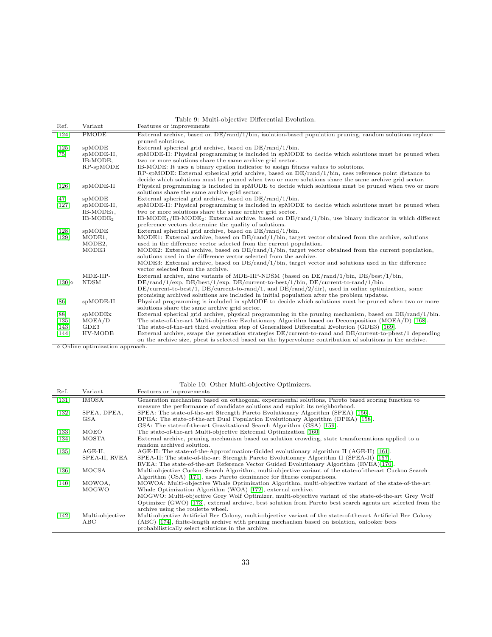<span id="page-32-1"></span>Table 9: Multi-objective Differential Evolution.

|                    |                       | Table 9: Multi-objective Differential Evolution.                                                                                                                                                     |
|--------------------|-----------------------|------------------------------------------------------------------------------------------------------------------------------------------------------------------------------------------------------|
| Ref.               | Variant               | Features or improvements                                                                                                                                                                             |
| $[124]$            | <b>PMODE</b>          | External archive, based on $DE/rand/1/b$ in, isolation-based population pruning, random solutions replace                                                                                            |
|                    |                       | pruned solutions.                                                                                                                                                                                    |
| $[125]$            | spMODE                | External spherical grid archive, based on DE/rand/1/bin.                                                                                                                                             |
| $[75]$             | spMODE-II,            | spMODE-II: Physical programming is included in spMODE to decide which solutions must be pruned when                                                                                                  |
|                    | IB-MODE,<br>RP-spMODE | two or more solutions share the same archive grid sector.<br>IB-MODE: It uses a binary epsilon indicator to assign fitness values to solutions.                                                      |
|                    |                       | RP-spMODE: External spherical grid archive, based on $DE/rand/1/b$ in, uses reference point distance to                                                                                              |
|                    |                       | decide which solutions must be pruned when two or more solutions share the same archive grid sector.                                                                                                 |
| $[126]$            | spMODE-II             | Physical programming is included in spMODE to decide which solutions must be pruned when two or more                                                                                                 |
|                    |                       | solutions share the same archive grid sector.                                                                                                                                                        |
| [47]               | spMODE                | External spherical grid archive, based on DE/rand/1/bin.                                                                                                                                             |
| $[127]$            | spMODE-II,            | spMODE-II: Physical programming is included in spMODE to decide which solutions must be pruned when                                                                                                  |
|                    | $IB-MODE1$ ,          | two or more solutions share the same archive grid sector.                                                                                                                                            |
|                    | $IB-MODE2$            | $IB-MODE_1/IB-MODE_2$ : External archive, based on $DE/rand/1/b$ in, use binary indicator in which different                                                                                         |
|                    | spMODE                | preference vectors determine the quality of solutions.                                                                                                                                               |
| $[128]$<br>$[129]$ | MODE1,                | External spherical grid archive, based on $DE/rand/1/bin$ .<br>MODE1: External archive, based on DE/rand/1/bin, target vector obtained from the archive, solutions                                   |
|                    | MODE2,                | used in the difference vector selected from the current population.                                                                                                                                  |
|                    | MODE3                 | MODE2: External archive, based on $DE/rand/1/b$ in, target vector obtained from the current population,                                                                                              |
|                    |                       | solutions used in the difference vector selected from the archive.                                                                                                                                   |
|                    |                       | MODE3: External archive, based on $DE/rand/1/b$ in, target vector and solutions used in the difference                                                                                               |
|                    |                       | vector selected from the archive.                                                                                                                                                                    |
|                    | MDE-IIP-              | External archive, nine variants of MDE-IIP-NDSM (based on $DE/rand/1/bin$ , $DE/best/1/bin$ ,                                                                                                        |
| $[130] \diamond$   | <b>NDSM</b>           | $DE/rand/1/exp$ , $DE/best/1/exp$ , $DE/current-to-best/1/bin$ , $DE/current-to-rand/1/bin$ ,                                                                                                        |
|                    |                       | $DE/current-to-best/1, DE/current-to-random/1, and DE/rand/2/dir)$ , used in online optimization, some<br>promising archived solutions are included in initial population after the problem updates. |
| [86]               | spMODE-II             | Physical programming is included in spMODE to decide which solutions must be pruned when two or more                                                                                                 |
|                    |                       | solutions share the same archive grid sector.                                                                                                                                                        |
| [88]               | spMODEx               | External spherical grid archive, physical programming in the pruning mechanism, based on $DE/rand/1/bin$ .                                                                                           |
| $[135]$            | MOEA/D                | The state-of-the-art Multi-objective Evolutionary Algorithm based on Decomposition (MOEA/D) [168].                                                                                                   |
| $[143]$            | GDE3                  | The state-of-the-art third evolution step of Generalized Differential Evolution (GDE3) [169].                                                                                                        |
| $[144]$            | HV-MODE               | External archive, swaps the generation strategies $DE/current-to-rand$ and $DE/current-to-pbest/1$ depending                                                                                         |
|                    |                       | on the archive size, pbest is selected based on the hypervolume contribution of solutions in the archive.                                                                                            |

 $\Diamond$  Online optimization approach.

<span id="page-32-0"></span>Table 10: Other Multi-objective Optimizers.

| Ref.                          | Variant         | Features or improvements                                                                                     |
|-------------------------------|-----------------|--------------------------------------------------------------------------------------------------------------|
| $[131]$                       | <b>IMOSA</b>    | Generation mechanism based on orthogonal experimental solutions, Pareto based scoring function to            |
|                               |                 | measure the performance of candidate solutions and exploit its neighborhood.                                 |
| $[132]$                       | SPEA, DPEA,     | SPEA: The state-of-the-art Strength Pareto Evolutionary Algorithm (SPEA) [156].                              |
|                               | GSA             | DPEA: The state-of-the-art Dual Population Evolutionary Algorithm (DPEA) [158].                              |
|                               |                 | GSA: The state-of-the-art Gravitational Search Algorithm (GSA) [159].                                        |
| $\left\lceil 133\right\rceil$ | MOEO            | The state-of-the-art Multi-objective Extremal Optimization [160]                                             |
| $[134]$                       | MOSTA           | External archive, pruning mechanism based on solution crowding, state transformations applied to a           |
|                               |                 | random archived solution.                                                                                    |
| $[135]$                       | $AGE-II$ ,      | AGE-II: The state-of-the-Approximation-Guided evolutionary algorithm II (AGE-II) [161].                      |
|                               | SPEA-II, RVEA   | SPEA-II: The state-of-the-art Strength Pareto Evolutionary Algorithm II (SPEA-II) [157].                     |
|                               |                 | RVEA: The state-of-the-art Reference Vector Guided Evolutionary Algorithm (RVEA)[170].                       |
| $[136]$                       | <b>MOCSA</b>    | Multi-objective Cuckoo Search Algorithm, multi-objective variant of the state-of-the-art Cuckoo Search       |
|                               |                 | Algorithm (CSA) [171], uses Pareto dominance for fitness comparisons.                                        |
| [140]                         | MOWOA,          | MOWOA: Multi-objective Whale Optimization Algorithm, multi-objective variant of the state-of-the-art         |
|                               | <b>MOGWO</b>    | Whale Optimization Algorithm (WOA) [172], external archive.                                                  |
|                               |                 | MOGWO: Multi-objective Grey Wolf Optimizer, multi-objective variant of the state-of-the-art Grey Wolf        |
|                               |                 | Optimizer (GWO) [173], external archive, best solution from Pareto best search agents are selected from the  |
|                               |                 | archive using the roulette wheel.                                                                            |
| [142]                         | Multi-objective | Multi-objective Artificial Bee Colony, multi-objective variant of the state-of-the-art Artificial Bee Colony |
|                               | $_{\rm ABC}$    | (ABC) [174], finite-length archive with pruning mechanism based on isolation, onlooker bees                  |
|                               |                 | probabilistically select solutions in the archive.                                                           |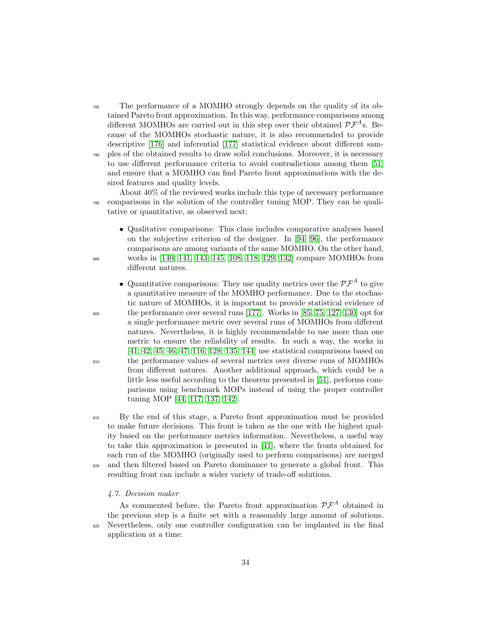<sup>785</sup> The performance of a MOMHO strongly depends on the quality of its obtained Pareto front approximation. In this way, performance comparisons among different MOMHOs are carried out in this step over their obtained  $\mathcal{P} \mathcal{F}^A$ s. Because of the MOMHOs stochastic nature, it is also recommended to provide descriptive [\[176\]](#page-60-10) and inferential [\[177\]](#page-61-0) statistical evidence about different sam-<sup>790</sup> ples of the obtained results to draw solid conclusions. Moreover, it is necessary to use different performance criteria to avoid contradictions among them [\[51\]](#page-49-0) and ensure that a MOMHO can find Pareto front approximations with the de-

sired features and quality levels. About 40% of the reviewed works include this type of necessary performance <sup>795</sup> comparisons in the solution of the controller tuning MOP. They can be qualitative or quantitative, as observed next:

- Qualitative comparisons: This class includes comparative analyses based on the subjective criterion of the designer. In [\[94,](#page-52-8) [96\]](#page-53-1), the performance comparisons are among variants of the same MOMHO. On the other hand, <sup>800</sup> works in [\[140,](#page-57-7) [141,](#page-57-8) [143,](#page-58-0) [145,](#page-58-2) [108,](#page-54-3) [118,](#page-55-3) [129,](#page-56-5) [132\]](#page-56-8) compare MOMHOs from different natures.
- Quantitative comparisons: They use quality metrics over the  $\mathcal{PF}^A$  to give a quantitative measure of the MOMHO performance. Due to the stochastic nature of MOMHOs, it is important to provide statistical evidence of <sup>805</sup> the performance over several runs [\[177\]](#page-61-0). Works in [\[85,](#page-52-9) [75,](#page-51-2) [127,](#page-56-3) [130\]](#page-56-6) opt for a single performance metric over several runs of MOMHOs from different natures. Nevertheless, it is highly recommendable to use more than one metric to ensure the reliability of results. In such a way, the works in [\[41,](#page-48-0) [42,](#page-48-1) [45,](#page-48-4) [46,](#page-48-5) [47,](#page-48-6) [116,](#page-55-1) [128,](#page-56-4) [135,](#page-57-2) [144\]](#page-58-1) use statistical comparisons based on <sup>810</sup> the performance values of several metrics over diverse runs of MOMHOs from different natures. Another additional approach, which could be a little less useful according to the theorem presented in [\[51\]](#page-49-0), performs comparisons using benchmark MOPs instead of using the proper controller tuning MOP [\[44,](#page-48-3) [117,](#page-55-2) [137,](#page-57-4) [142\]](#page-57-9).
- <sup>815</sup> By the end of this stage, a Pareto front approximation must be provided to make future decisions. This front is taken as the one with the highest quality based on the performance metrics information. Nevertheless, a useful way to take this approximation is presented in [\[41\]](#page-48-0), where the fronts obtained for each run of the MOMHO (originally used to perform comparisons) are merged <sup>820</sup> and then filtered based on Pareto dominance to generate a global front. This resulting front can include a wider variety of trade-off solutions.

#### 4.7. Decision maker

As commented before, the Pareto front approximation  $\mathcal{PF}^A$  obtained in the previous step is a finite set with a reasonably large amount of solutions. <sup>825</sup> Nevertheless, only one controller configuration can be implanted in the final application at a time.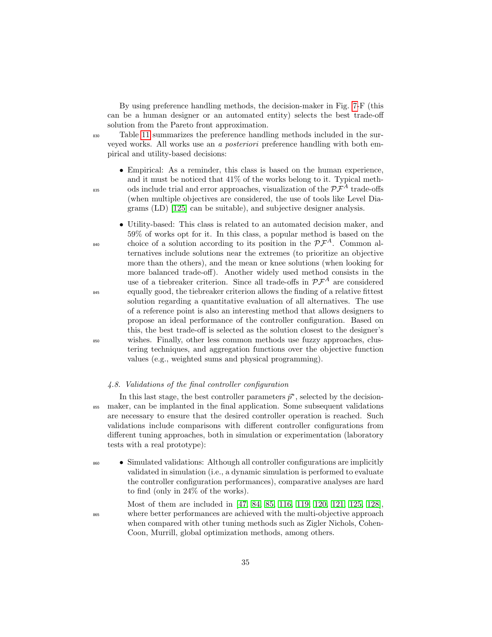By using preference handling methods, the decision-maker in Fig. [7-](#page-13-1)F (this can be a human designer or an automated entity) selects the best trade-off solution from the Pareto front approximation.

<sup>830</sup> Table [11](#page-35-1) summarizes the preference handling methods included in the surveyed works. All works use an a *posteriori* preference handling with both empirical and utility-based decisions:

- Empirical: As a reminder, this class is based on the human experience, and it must be noticed that 41% of the works belong to it. Typical meth-<sup>835</sup> ods include trial and error approaches, visualization of the  $\mathcal{PF}^A$  trade-offs (when multiple objectives are considered, the use of tools like Level Diagrams (LD) [\[125\]](#page-56-1) can be suitable), and subjective designer analysis.
- Utility-based: This class is related to an automated decision maker, and 59% of works opt for it. In this class, a popular method is based on the choice of a solution according to its position in the  $\mathcal{PF}^A$ . Common alternatives include solutions near the extremes (to prioritize an objective more than the others), and the mean or knee solutions (when looking for more balanced trade-off). Another widely used method consists in the use of a tiebreaker criterion. Since all trade-offs in  $\mathcal{PF}^A$  are considered <sup>845</sup> equally good, the tiebreaker criterion allows the finding of a relative fittest solution regarding a quantitative evaluation of all alternatives. The use of a reference point is also an interesting method that allows designers to propose an ideal performance of the controller configuration. Based on this, the best trade-off is selected as the solution closest to the designer's <sup>850</sup> wishes. Finally, other less common methods use fuzzy approaches, clustering techniques, and aggregation functions over the objective function values (e.g., weighted sums and physical programming).

# 4.8. Validations of the final controller configuration

In this last stage, the best controller parameters  $\bar{p}^*$ , selected by the decision-<sup>855</sup> maker, can be implanted in the final application. Some subsequent validations are necessary to ensure that the desired controller operation is reached. Such validations include comparisons with different controller configurations from different tuning approaches, both in simulation or experimentation (laboratory tests with a real prototype):

- <sup>860</sup> Simulated validations: Although all controller configurations are implicitly validated in simulation (i.e., a dynamic simulation is performed to evaluate the controller configuration performances), comparative analyses are hard to find (only in 24% of the works).
- Most of them are included in [\[47,](#page-48-6) [84,](#page-51-11) [85,](#page-52-9) [116,](#page-55-1) [119,](#page-55-4) [120,](#page-55-5) [121,](#page-55-6) [125,](#page-56-1) [128\]](#page-56-4), <sup>865</sup> where better performances are achieved with the multi-objective approach when compared with other tuning methods such as Zigler Nichols, Cohen-Coon, Murrill, global optimization methods, among others.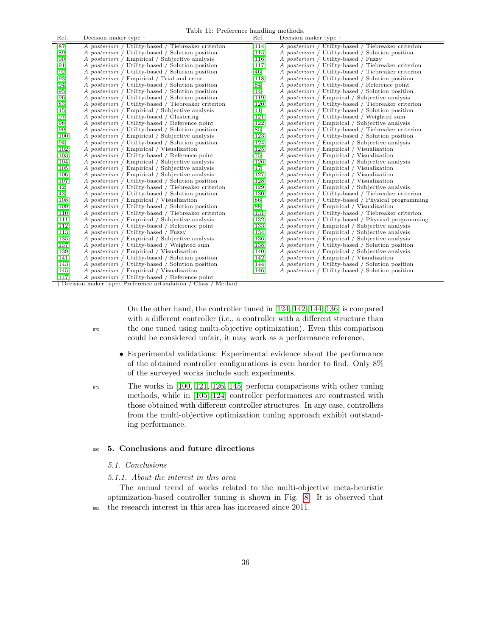<span id="page-35-1"></span>Table 11: Preference handling methods.

| Ref.                          | Decision maker type t                               | Ref.                          | Decision maker type $\dagger$                       |
|-------------------------------|-----------------------------------------------------|-------------------------------|-----------------------------------------------------|
| $\sqrt{87}$                   | A posteriori / Utility-based / Tiebreaker criterion | $[114]$                       | A posteriori / Utility-based / Tiebreaker criterion |
| [89]                          | A posteriori / Utility-based / Solution position    | $[115]$                       | A posteriori / Utility-based / Solution position    |
| [90]                          | A posteriori / Empirical / Subjective analysis      | $[116]$                       | A posteriori / Utility-based / Fuzzy                |
| [91]                          | A posteriori / Utility-based / Solution position    | $[117]$                       | A posteriori / Utility-based / Tiebreaker criterion |
| [92]                          | A posteriori / Utility-based / Solution position    | [46]                          | A posteriori / Utility-based / Tiebreaker criterion |
| [93]                          | A posteriori / Empirical / Trial and error          | [118]                         | A posteriori / Utility-based / Solution position    |
| [94]                          | A posteriori / Utility-based / Solution position    | [84]                          | A posteriori / Utility-based / Reference point      |
| [95]                          | A posteriori / Utility-based / Solution position    | [44]                          | A posteriori / Utility-based / Solution position    |
| [96]                          | A posteriori / Utility-based / Solution position    | [119]                         | A posteriori / Empirical / Subjective analysis      |
| [83]                          | A posteriori / Utility-based / Tiebreaker criterion | $[120]$                       | A posteriori / Utility-based / Tiebreaker criterion |
| [45]                          | A posteriori / Empirical / Subjective analysis      | [41]                          | A posteriori / Utility-based / Solution position    |
| [97]                          | A posteriori / Utility-based / Clustering           | [121]                         | A posteriori / Utility-based / Weighted sum         |
| [98]                          | A posteriori / Utility-based / Reference point      | $[122]$                       | A posteriori / Empirical / Subjective analysis      |
| [99]                          | A posteriori / Utility-based / Solution position    | [85]                          | A posteriori / Utility-based / Tiebreaker criterion |
| [100]                         | A posteriori / Empirical / Subjective analysis      | [123]                         | A posteriori / Utility-based / Solution position    |
| [94]                          | A posteriori / Utility-based / Solution position    | [124]                         | A posteriori / Empirical / Subjective analysis      |
| $\left[102\right]$            | A posteriori / Empirical / Visualization            | $\left[125\right]$            | A posteriori / Empirical / Visualization            |
| $\left[103\right]$            | A posteriori / Utility-based / Reference point      | 75]                           | A posteriori / Empirical / Visualization            |
| $\left[104\right]$            | A posteriori / Empirical / Subjective analysis      | $[126]$                       | A posteriori / Empirical / Subjective analysis      |
| $\left[105\right]$            | A posteriori / Empirical / Subjective analysis      | [47]                          | A posteriori / Empirical / Visualization            |
| [106]                         | A posteriori / Empirical / Subjective analysis      | [127]                         | A posteriori / Empirical / Visualization            |
| $[107]$                       | A posteriori / Utility-based / Solution position    | [128]                         | A posteriori / Empirical / Visualization            |
| [42]                          | A posteriori / Utility-based / Tiebreaker criterion | $[129]$                       | A posteriori / Empirical / Subjective analysis      |
| $\left[43\right]$             | A posteriori / Utility-based / Solution position    | [130]                         | A posteriori / Utility-based / Tiebreaker criterion |
| [108]                         | A posteriori / Empirical / Visualization            | [86]                          | A posteriori / Utility-based / Physical programming |
| $\left[109\right]$            | A posteriori / Utility-based / Solution position    | [88]                          | A posteriori / Empirical / Visualization            |
| $[110]$                       | A posteriori / Utility-based / Tiebreaker criterion | $\left\lceil 131\right\rceil$ | A posteriori / Utility-based / Tiebreaker criterion |
| $\left\lceil 111\right\rceil$ | A posteriori / Empirical / Subjective analysis      | $\left[132\right]$            | A posteriori / Utility-based / Physical programming |
| $\left\lceil 112\right\rceil$ | A posteriori / Utility-based / Reference point      | $[133]$                       | A posteriori / Empirical / Subjective analysis      |
| $[113]$                       | A posteriori / Utility-based / Fuzzy                | [134]                         | A posteriori / Empirical / Subjective analysis      |
| $\left\lceil 135\right\rceil$ | A posteriori / Empirical / Subjective analysis      | $\left[136\right]$            | A posteriori / Empirical / Subjective analysis      |
| [137]                         | A posteriori / Utility-based / Weighted sum         | [138]                         | A posteriori / Utility-based / Solution position    |
| [139]                         | A posteriori / Empirical / Visualization            | $[140]$                       | A posteriori / Empirical / Subjective analysis      |
| $[141]$                       | A posteriori / Utility-based / Solution position    | $[142]$                       | A posteriori / Empirical / Visualization            |
| $\left[143\right]$            | A posteriori / Utility-based / Solution position    | $[144]$                       | A posteriori / Utility-based / Solution position    |
| [145]                         | A posteriori / Empirical / Visualization            | $[146]$                       | A posteriori / Utility-based / Solution position    |
| $[147]$                       | A posteriori / Utility-based / Reference point      |                               |                                                     |

† Decision maker type: Preference articulation / Class / Method.

On the other hand, the controller tuned in [\[124,](#page-56-0) [142,](#page-57-9) [144,](#page-58-1) [136\]](#page-57-3) is compared with a different controller (i.e., a controller with a different structure than <sup>870</sup> the one tuned using multi-objective optimization). Even this comparison could be considered unfair, it may work as a performance reference.

- Experimental validations: Experimental evidence about the performance of the obtained controller configurations is even harder to find. Only 8% of the surveyed works include such experiments.
- <sup>875</sup> The works in [\[100,](#page-53-5) [121,](#page-55-6) [126,](#page-56-2) [145\]](#page-58-2) perform comparisons with other tuning methods, while in [\[105,](#page-54-0) [124\]](#page-56-0) controller performances are contrasted with those obtained with different controller structures. In any case, controllers from the multi-objective optimization tuning approach exhibit outstanding performance.

# <span id="page-35-0"></span><sup>880</sup> 5. Conclusions and future directions

# 5.1. Conclusions

5.1.1. About the interest in this area

The annual trend of works related to the multi-objective meta-heuristic optimization-based controller tuning is shown in Fig. [8.](#page-36-0) It is observed that <sup>885</sup> the research interest in this area has increased since 2011.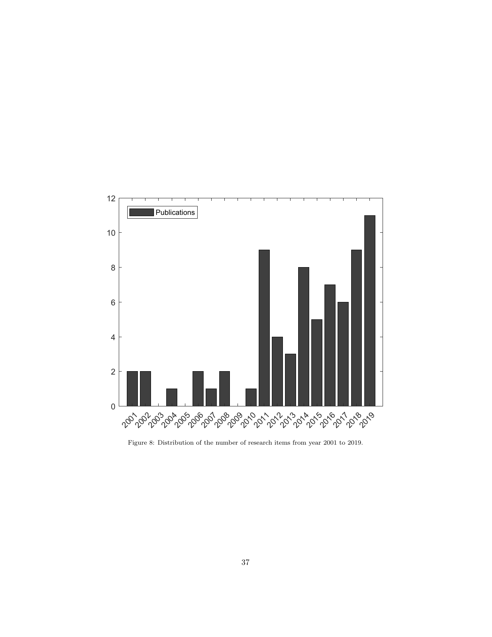

<span id="page-36-0"></span>Figure 8: Distribution of the number of research items from year 2001 to 2019.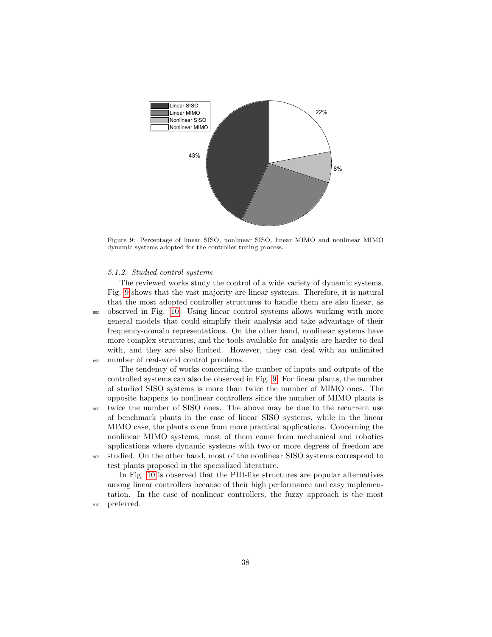

<span id="page-37-0"></span>Figure 9: Percentage of linear SISO, nonlinear SISO, linear MIMO and nonlinear MIMO dynamic systems adopted for the controller tuning process.

#### 5.1.2. Studied control systems

The reviewed works study the control of a wide variety of dynamic systems. Fig. [9](#page-37-0) shows that the vast majority are linear systems. Therefore, it is natural that the most adopted controller structures to handle them are also linear, as <sup>890</sup> observed in Fig. [10.](#page-38-0) Using linear control systems allows working with more general models that could simplify their analysis and take advantage of their frequency-domain representations. On the other hand, nonlinear systems have more complex structures, and the tools available for analysis are harder to deal with, and they are also limited. However, they can deal with an unlimited <sup>895</sup> number of real-world control problems.

The tendency of works concerning the number of inputs and outputs of the controlled systems can also be observed in Fig. [9.](#page-37-0) For linear plants, the number of studied SISO systems is more than twice the number of MIMO ones. The opposite happens to nonlinear controllers since the number of MIMO plants is <sup>900</sup> twice the number of SISO ones. The above may be due to the recurrent use of benchmark plants in the case of linear SISO systems, while in the linear MIMO case, the plants come from more practical applications. Concerning the nonlinear MIMO systems, most of them come from mechanical and robotics applications where dynamic systems with two or more degrees of freedom are <sup>905</sup> studied. On the other hand, most of the nonlinear SISO systems correspond to test plants proposed in the specialized literature.

In Fig. [10](#page-38-0) is observed that the PID-like structures are popular alternatives among linear controllers because of their high performance and easy implementation. In the case of nonlinear controllers, the fuzzy approach is the most <sup>910</sup> preferred.

38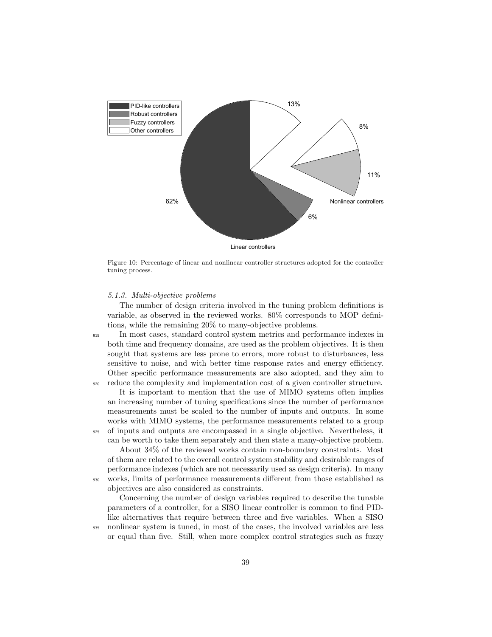

<span id="page-38-0"></span>Figure 10: Percentage of linear and nonlinear controller structures adopted for the controller tuning process.

## 5.1.3. Multi-objective problems

The number of design criteria involved in the tuning problem definitions is variable, as observed in the reviewed works. 80% corresponds to MOP definitions, while the remaining 20% to many-objective problems.

<sup>915</sup> In most cases, standard control system metrics and performance indexes in both time and frequency domains, are used as the problem objectives. It is then sought that systems are less prone to errors, more robust to disturbances, less sensitive to noise, and with better time response rates and energy efficiency. Other specific performance measurements are also adopted, and they aim to <sup>920</sup> reduce the complexity and implementation cost of a given controller structure.

It is important to mention that the use of MIMO systems often implies an increasing number of tuning specifications since the number of performance measurements must be scaled to the number of inputs and outputs. In some works with MIMO systems, the performance measurements related to a group <sup>925</sup> of inputs and outputs are encompassed in a single objective. Nevertheless, it can be worth to take them separately and then state a many-objective problem.

About 34% of the reviewed works contain non-boundary constraints. Most of them are related to the overall control system stability and desirable ranges of performance indexes (which are not necessarily used as design criteria). In many <sup>930</sup> works, limits of performance measurements different from those established as objectives are also considered as constraints.

Concerning the number of design variables required to describe the tunable parameters of a controller, for a SISO linear controller is common to find PIDlike alternatives that require between three and five variables. When a SISO <sup>935</sup> nonlinear system is tuned, in most of the cases, the involved variables are less or equal than five. Still, when more complex control strategies such as fuzzy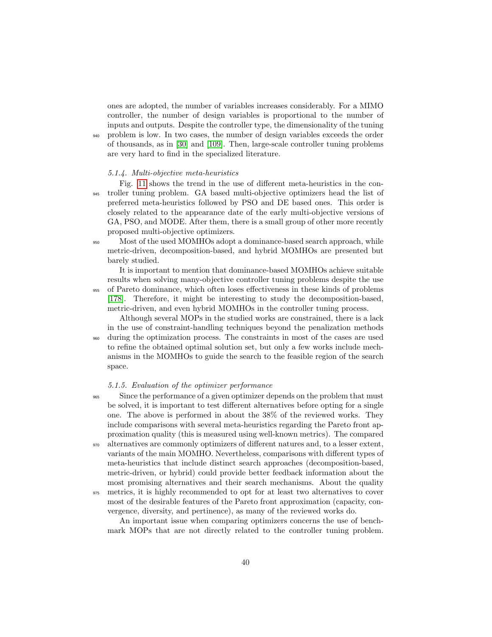ones are adopted, the number of variables increases considerably. For a MIMO controller, the number of design variables is proportional to the number of inputs and outputs. Despite the controller type, the dimensionality of the tuning <sup>940</sup> problem is low. In two cases, the number of design variables exceeds the order of thousands, as in [\[30\]](#page-46-11) and [\[109\]](#page-54-4). Then, large-scale controller tuning problems are very hard to find in the specialized literature.

#### 5.1.4. Multi-objective meta-heuristics

Fig. [11](#page-40-0) shows the trend in the use of different meta-heuristics in the con-<sup>945</sup> troller tuning problem. GA based multi-objective optimizers head the list of preferred meta-heuristics followed by PSO and DE based ones. This order is closely related to the appearance date of the early multi-objective versions of GA, PSO, and MODE. After them, there is a small group of other more recently proposed multi-objective optimizers.

<sup>950</sup> Most of the used MOMHOs adopt a dominance-based search approach, while metric-driven, decomposition-based, and hybrid MOMHOs are presented but barely studied.

It is important to mention that dominance-based MOMHOs achieve suitable results when solving many-objective controller tuning problems despite the use <sup>955</sup> of Pareto dominance, which often loses effectiveness in these kinds of problems [\[178\]](#page-61-1). Therefore, it might be interesting to study the decomposition-based, metric-driven, and even hybrid MOMHOs in the controller tuning process.

Although several MOPs in the studied works are constrained, there is a lack in the use of constraint-handling techniques beyond the penalization methods <sup>960</sup> during the optimization process. The constraints in most of the cases are used to refine the obtained optimal solution set, but only a few works include mechanisms in the MOMHOs to guide the search to the feasible region of the search space.

#### 5.1.5. Evaluation of the optimizer performance

<sup>965</sup> Since the performance of a given optimizer depends on the problem that must be solved, it is important to test different alternatives before opting for a single one. The above is performed in about the 38% of the reviewed works. They include comparisons with several meta-heuristics regarding the Pareto front approximation quality (this is measured using well-known metrics). The compared

<sup>970</sup> alternatives are commonly optimizers of different natures and, to a lesser extent, variants of the main MOMHO. Nevertheless, comparisons with different types of meta-heuristics that include distinct search approaches (decomposition-based, metric-driven, or hybrid) could provide better feedback information about the most promising alternatives and their search mechanisms. About the quality <sup>975</sup> metrics, it is highly recommended to opt for at least two alternatives to cover

most of the desirable features of the Pareto front approximation (capacity, convergence, diversity, and pertinence), as many of the reviewed works do.

An important issue when comparing optimizers concerns the use of benchmark MOPs that are not directly related to the controller tuning problem.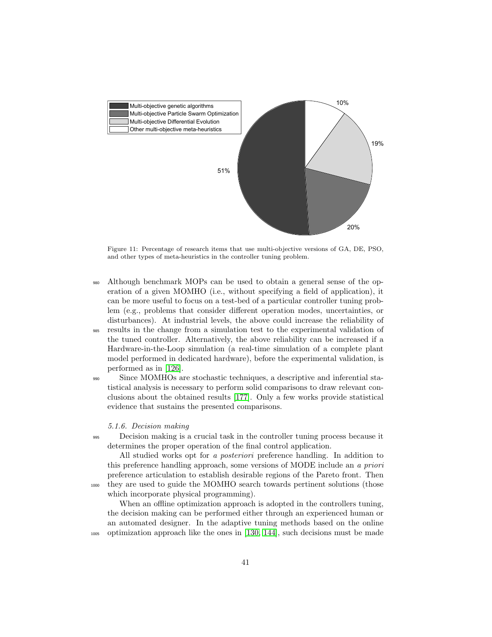

<span id="page-40-0"></span>Figure 11: Percentage of research items that use multi-objective versions of GA, DE, PSO, and other types of meta-heuristics in the controller tuning problem.

- Although benchmark MOPs can be used to obtain a general sense of the operation of a given MOMHO (i.e., without specifying a field of application), it can be more useful to focus on a test-bed of a particular controller tuning problem (e.g., problems that consider different operation modes, uncertainties, or disturbances). At industrial levels, the above could increase the reliability of
- <sup>985</sup> results in the change from a simulation test to the experimental validation of the tuned controller. Alternatively, the above reliability can be increased if a Hardware-in-the-Loop simulation (a real-time simulation of a complete plant model performed in dedicated hardware), before the experimental validation, is performed as in [\[126\]](#page-56-2).
- <sup>990</sup> Since MOMHOs are stochastic techniques, a descriptive and inferential statistical analysis is necessary to perform solid comparisons to draw relevant conclusions about the obtained results [\[177\]](#page-61-0). Only a few works provide statistical evidence that sustains the presented comparisons.

#### 5.1.6. Decision making

<sup>995</sup> Decision making is a crucial task in the controller tuning process because it determines the proper operation of the final control application.

All studied works opt for a posteriori preference handling. In addition to this preference handling approach, some versions of MODE include an a priori preference articulation to establish desirable regions of the Pareto front. Then <sup>1000</sup> they are used to guide the MOMHO search towards pertinent solutions (those which incorporate physical programming).

When an offline optimization approach is adopted in the controllers tuning, the decision making can be performed either through an experienced human or an automated designer. In the adaptive tuning methods based on the online <sup>1005</sup> optimization approach like the ones in [\[130,](#page-56-6) [144\]](#page-58-1), such decisions must be made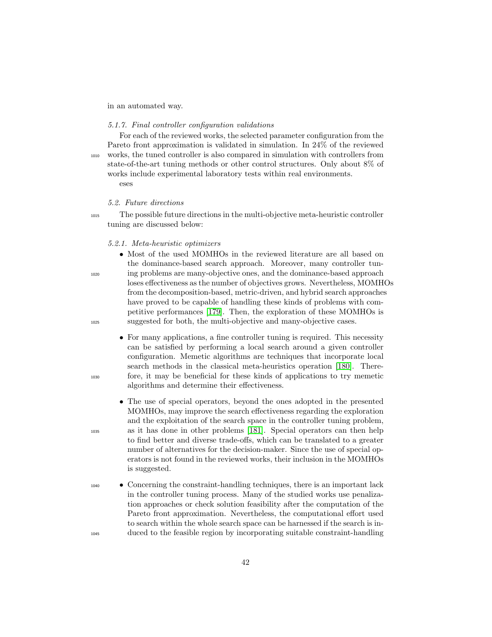in an automated way.

## 5.1.7. Final controller configuration validations

For each of the reviewed works, the selected parameter configuration from the Pareto front approximation is validated in simulation. In 24% of the reviewed <sup>1010</sup> works, the tuned controller is also compared in simulation with controllers from state-of-the-art tuning methods or other control structures. Only about 8% of works include experimental laboratory tests within real environments.

eses

# 5.2. Future directions

<sup>1015</sup> The possible future directions in the multi-objective meta-heuristic controller tuning are discussed below:

- 5.2.1. Meta-heuristic optimizers
- 

• Most of the used MOMHOs in the reviewed literature are all based on the dominance-based search approach. Moreover, many controller tun-<sup>1020</sup> ing problems are many-objective ones, and the dominance-based approach loses effectiveness as the number of objectives grows. Nevertheless, MOMHOs from the decomposition-based, metric-driven, and hybrid search approaches have proved to be capable of handling these kinds of problems with competitive performances [\[179\]](#page-61-2). Then, the exploration of these MOMHOs is <sup>1025</sup> suggested for both, the multi-objective and many-objective cases.

- For many applications, a fine controller tuning is required. This necessity can be satisfied by performing a local search around a given controller configuration. Memetic algorithms are techniques that incorporate local search methods in the classical meta-heuristics operation [\[180\]](#page-61-3). There-<sup>1030</sup> fore, it may be beneficial for these kinds of applications to try memetic algorithms and determine their effectiveness.
- The use of special operators, beyond the ones adopted in the presented MOMHOs, may improve the search effectiveness regarding the exploration and the exploitation of the search space in the controller tuning problem, <sup>1035</sup> as it has done in other problems [\[181\]](#page-61-4). Special operators can then help to find better and diverse trade-offs, which can be translated to a greater number of alternatives for the decision-maker. Since the use of special operators is not found in the reviewed works, their inclusion in the MOMHOs is suggested.
- <sup>1040</sup> Concerning the constraint-handling techniques, there is an important lack in the controller tuning process. Many of the studied works use penalization approaches or check solution feasibility after the computation of the Pareto front approximation. Nevertheless, the computational effort used to search within the whole search space can be harnessed if the search is in-<sup>1045</sup> duced to the feasible region by incorporating suitable constraint-handling
	-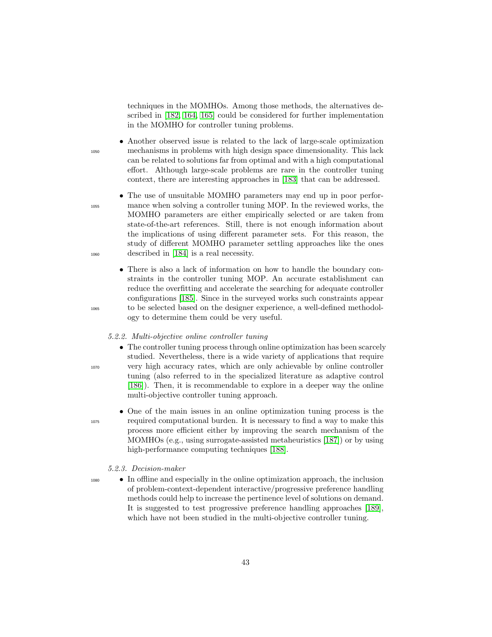techniques in the MOMHOs. Among those methods, the alternatives described in [\[182,](#page-61-5) [164,](#page-59-9) [165\]](#page-59-10) could be considered for further implementation in the MOMHO for controller tuning problems.

• Another observed issue is related to the lack of large-scale optimization <sup>1050</sup> mechanisms in problems with high design space dimensionality. This lack can be related to solutions far from optimal and with a high computational effort. Although large-scale problems are rare in the controller tuning context, there are interesting approaches in [\[183\]](#page-61-6) that can be addressed.

• The use of unsuitable MOMHO parameters may end up in poor perfor-<sup>1055</sup> mance when solving a controller tuning MOP. In the reviewed works, the MOMHO parameters are either empirically selected or are taken from state-of-the-art references. Still, there is not enough information about the implications of using different parameter sets. For this reason, the study of different MOMHO parameter settling approaches like the ones <sup>1060</sup> described in [\[184\]](#page-61-7) is a real necessity.

• There is also a lack of information on how to handle the boundary constraints in the controller tuning MOP. An accurate establishment can reduce the overfitting and accelerate the searching for adequate controller configurations [\[185\]](#page-61-8). Since in the surveyed works such constraints appear <sup>1065</sup> to be selected based on the designer experience, a well-defined methodology to determine them could be very useful.

# 5.2.2. Multi-objective online controller tuning

• The controller tuning process through online optimization has been scarcely studied. Nevertheless, there is a wide variety of applications that require <sup>1070</sup> very high accuracy rates, which are only achievable by online controller tuning (also referred to in the specialized literature as adaptive control [\[186\]](#page-61-9)). Then, it is recommendable to explore in a deeper way the online multi-objective controller tuning approach.

• One of the main issues in an online optimization tuning process is the <sup>1075</sup> required computational burden. It is necessary to find a way to make this process more efficient either by improving the search mechanism of the MOMHOs (e.g., using surrogate-assisted metaheuristics [\[187\]](#page-61-10)) or by using high-performance computing techniques [\[188\]](#page-61-11).

## 5.2.3. Decision-maker

<sup>1080</sup> • In offline and especially in the online optimization approach, the inclusion of problem-context-dependent interactive/progressive preference handling methods could help to increase the pertinence level of solutions on demand. It is suggested to test progressive preference handling approaches [\[189\]](#page-62-0), which have not been studied in the multi-objective controller tuning.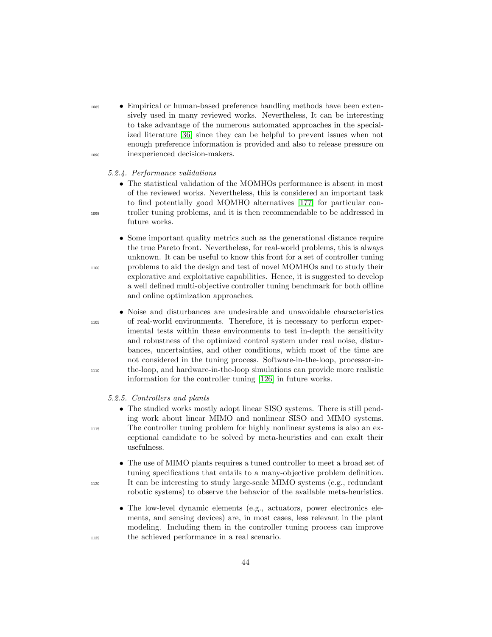<sup>1085</sup> • Empirical or human-based preference handling methods have been extensively used in many reviewed works. Nevertheless, It can be interesting to take advantage of the numerous automated approaches in the specialized literature [\[36\]](#page-47-5) since they can be helpful to prevent issues when not enough preference information is provided and also to release pressure on <sup>1090</sup> inexperienced decision-makers.

#### 5.2.4. Performance validations

- The statistical validation of the MOMHOs performance is absent in most of the reviewed works. Nevertheless, this is considered an important task to find potentially good MOMHO alternatives [\[177\]](#page-61-0) for particular con-<sup>1095</sup> troller tuning problems, and it is then recommendable to be addressed in future works.
- Some important quality metrics such as the generational distance require the true Pareto front. Nevertheless, for real-world problems, this is always unknown. It can be useful to know this front for a set of controller tuning <sup>1100</sup> problems to aid the design and test of novel MOMHOs and to study their explorative and exploitative capabilities. Hence, it is suggested to develop a well defined multi-objective controller tuning benchmark for both offline and online optimization approaches.
- Noise and disturbances are undesirable and unavoidable characteristics <sup>1105</sup> of real-world environments. Therefore, it is necessary to perform experimental tests within these environments to test in-depth the sensitivity and robustness of the optimized control system under real noise, disturbances, uncertainties, and other conditions, which most of the time are not considered in the tuning process. Software-in-the-loop, processor-in-<sup>1110</sup> the-loop, and hardware-in-the-loop simulations can provide more realistic information for the controller tuning [\[126\]](#page-56-2) in future works.
	- 5.2.5. Controllers and plants
- The studied works mostly adopt linear SISO systems. There is still pending work about linear MIMO and nonlinear SISO and MIMO systems. <sup>1115</sup> The controller tuning problem for highly nonlinear systems is also an exceptional candidate to be solved by meta-heuristics and can exalt their usefulness.
- The use of MIMO plants requires a tuned controller to meet a broad set of tuning specifications that entails to a many-objective problem definition. <sup>1120</sup> It can be interesting to study large-scale MIMO systems (e.g., redundant robotic systems) to observe the behavior of the available meta-heuristics.
- The low-level dynamic elements (e.g., actuators, power electronics elements, and sensing devices) are, in most cases, less relevant in the plant modeling. Including them in the controller tuning process can improve <sup>1125</sup> the achieved performance in a real scenario.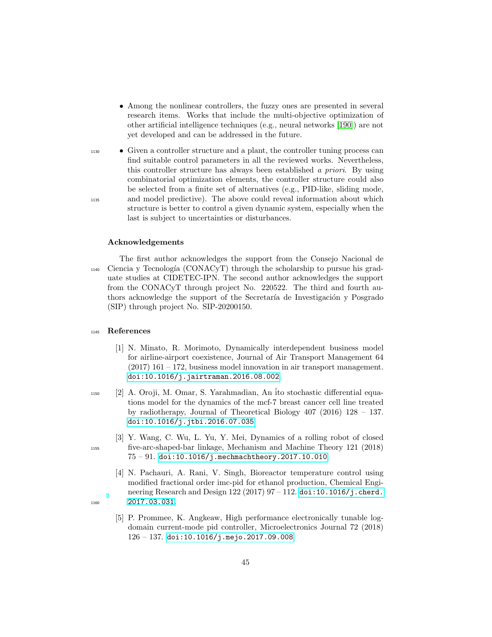- Among the nonlinear controllers, the fuzzy ones are presented in several research items. Works that include the multi-objective optimization of other artificial intelligence techniques (e.g., neural networks [\[190\]](#page-62-1)) are not yet developed and can be addressed in the future.
- <sup>1130</sup> Given a controller structure and a plant, the controller tuning process can find suitable control parameters in all the reviewed works. Nevertheless, this controller structure has always been established a priori. By using combinatorial optimization elements, the controller structure could also be selected from a finite set of alternatives (e.g., PID-like, sliding mode, <sup>1135</sup> and model predictive). The above could reveal information about which structure is better to control a given dynamic system, especially when the last is subject to uncertainties or disturbances.

## Acknowledgements

The first author acknowledges the support from the Consejo Nacional de  $_{1140}$  Ciencia y Tecnología (CONACyT) through the scholarship to pursue his graduate studies at CIDETEC-IPN. The second author acknowledges the support from the CONACyT through project No. 220522. The third and fourth authors acknowledge the support of the Secretaría de Investigación y Posgrado (SIP) through project No. SIP-20200150.

## <sup>1145</sup> References

- <span id="page-44-0"></span>[1] N. Minato, R. Morimoto, Dynamically interdependent business model for airline-airport coexistence, Journal of Air Transport Management 64 (2017) 161 – 172, business model innovation in air transport management. [doi:10.1016/j.jairtraman.2016.08.002](http://dx.doi.org/10.1016/j.jairtraman.2016.08.002).
- <span id="page-44-1"></span><sup>1150</sup> [2] A. Oroji, M. Omar, S. Yarahmadian, An ˇito stochastic differential equations model for the dynamics of the mcf-7 breast cancer cell line treated by radiotherapy, Journal of Theoretical Biology 407 (2016) 128 – 137. [doi:10.1016/j.jtbi.2016.07.035](http://dx.doi.org/10.1016/j.jtbi.2016.07.035).
- <span id="page-44-2"></span>[3] Y. Wang, C. Wu, L. Yu, Y. Mei, Dynamics of a rolling robot of closed <sup>1155</sup> five-arc-shaped-bar linkage, Mechanism and Machine Theory 121 (2018)  $75 - 91.$  [doi:10.1016/j.mechmachtheory.2017.10.010](http://dx.doi.org/10.1016/j.mechmachtheory.2017.10.010).
- <span id="page-44-3"></span>[4] N. Pachauri, A. Rani, V. Singh, Bioreactor temperature control using modified fractional order imc-pid for ethanol production, Chemical Engineering Research and Design 122 (2017) 97 – 112. [doi:10.1016/j.cherd.](http://dx.doi.org/10.1016/j.cherd.2017.03.031) 1160 [2017.03.031](http://dx.doi.org/10.1016/j.cherd.2017.03.031).
	- [5] P. Prommee, K. Angkeaw, High performance electronically tunable logdomain current-mode pid controller, Microelectronics Journal 72 (2018)  $126 - 137$ . [doi:10.1016/j.mejo.2017.09.008](http://dx.doi.org/10.1016/j.mejo.2017.09.008).

<span id="page-44-4"></span>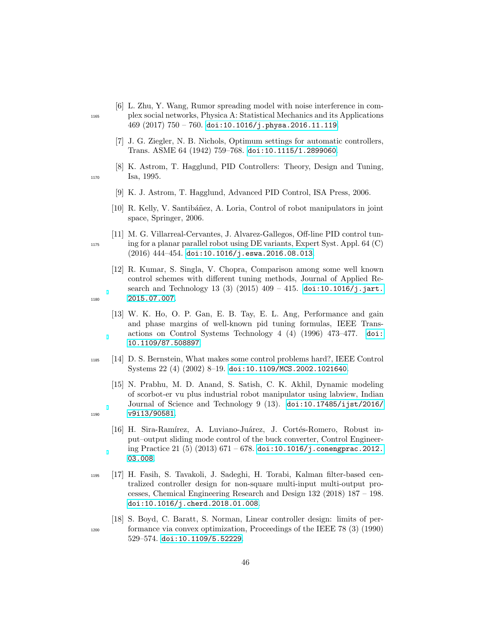- <span id="page-45-0"></span>[6] L. Zhu, Y. Wang, Rumor spreading model with noise interference in com-<sup>1165</sup> plex social networks, Physica A: Statistical Mechanics and its Applications  $469 (2017) 750 - 760$ . [doi:10.1016/j.physa.2016.11.119](http://dx.doi.org/10.1016/j.physa.2016.11.119).
	- [7] J. G. Ziegler, N. B. Nichols, Optimum settings for automatic controllers, Trans. ASME 64 (1942) 759–768. [doi:10.1115/1.2899060](http://dx.doi.org/10.1115/1.2899060).
- <span id="page-45-3"></span><span id="page-45-2"></span>[8] K. Astrom, T. Hagglund, PID Controllers: Theory, Design and Tuning, 1170 Isa, 1995.
	- [9] K. J. Astrom, T. Hagglund, Advanced PID Control, ISA Press, 2006.
	- [10] R. Kelly, V. Santibáñez, A. Loria, Control of robot manipulators in joint space, Springer, 2006.
- <span id="page-45-5"></span><span id="page-45-4"></span>[11] M. G. Villarreal-Cervantes, J. Alvarez-Gallegos, Off-line PID control tun-<sup>1175</sup> ing for a planar parallel robot using DE variants, Expert Syst. Appl. 64 (C) (2016) 444–454. [doi:10.1016/j.eswa.2016.08.013](http://dx.doi.org/10.1016/j.eswa.2016.08.013).
- <span id="page-45-6"></span>[12] R. Kumar, S. Singla, V. Chopra, Comparison among some well known control schemes with different tuning methods, Journal of Applied Research and Technology 13 (3)  $(2015)$  409 – 415. [doi:10.1016/j.jart.](http://dx.doi.org/10.1016/j.jart.2015.07.007) 1180 [2015.07.007](http://dx.doi.org/10.1016/j.jart.2015.07.007).
	- [13] W. K. Ho, O. P. Gan, E. B. Tay, E. L. Ang, Performance and gain and phase margins of well-known pid tuning formulas, IEEE Transactions on Control Systems Technology 4 (4) (1996) 473–477. [doi:](http://dx.doi.org/10.1109/87.508897) [10.1109/87.508897](http://dx.doi.org/10.1109/87.508897).
- <span id="page-45-8"></span><sup>1185</sup> [14] D. S. Bernstein, What makes some control problems hard?, IEEE Control Systems 22 (4) (2002) 8–19. [doi:10.1109/MCS.2002.1021640](http://dx.doi.org/10.1109/MCS.2002.1021640).
- <span id="page-45-9"></span>[15] N. Prabhu, M. D. Anand, S. Satish, C. K. Akhil, Dynamic modeling of scorbot-er vu plus industrial robot manipulator using labview, Indian Journal of Science and Technology 9 (13). [doi:10.17485/ijst/2016/](http://dx.doi.org/10.17485/ijst/2016/v9i13/90581) 1190 [v9i13/90581](http://dx.doi.org/10.17485/ijst/2016/v9i13/90581).
	- [16] H. Sira-Ramírez, A. Luviano-Juárez, J. Cortés-Romero, Robust input–output sliding mode control of the buck converter, Control Engineering Practice 21 (5) (2013) 671 – 678. [doi:10.1016/j.conengprac.2012.](http://dx.doi.org/10.1016/j.conengprac.2012.03.008)
- <sup>1195</sup> [17] H. Fasih, S. Tavakoli, J. Sadeghi, H. Torabi, Kalman filter-based centralized controller design for non-square multi-input multi-output processes, Chemical Engineering Research and Design 132 (2018) 187 – 198. [doi:10.1016/j.cherd.2018.01.008](http://dx.doi.org/10.1016/j.cherd.2018.01.008).
- <span id="page-45-12"></span>[18] S. Boyd, C. Baratt, S. Norman, Linear controller design: limits of per-<sup>1200</sup> formance via convex optimization, Proceedings of the IEEE 78 (3) (1990) 529–574. [doi:10.1109/5.52229](http://dx.doi.org/10.1109/5.52229).

<span id="page-45-1"></span>

<span id="page-45-7"></span>

<span id="page-45-10"></span>

<span id="page-45-11"></span>[03.008](http://dx.doi.org/10.1016/j.conengprac.2012.03.008).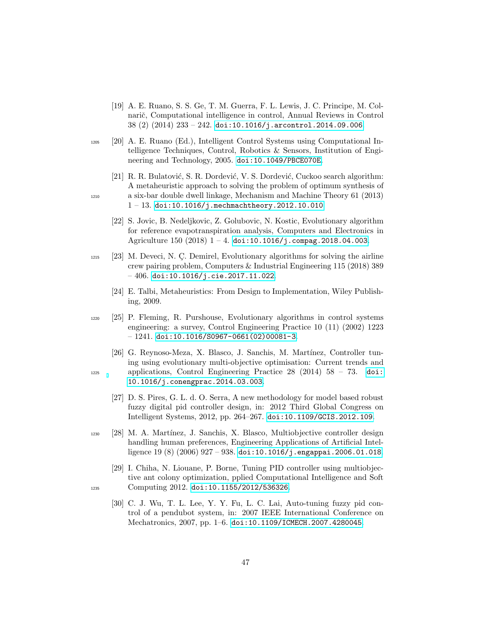- <span id="page-46-0"></span>[19] A. E. Ruano, S. S. Ge, T. M. Guerra, F. L. Lewis, J. C. Principe, M. Colnarič, Computational intelligence in control, Annual Reviews in Control  $38$   $(2)$   $(2014)$   $233 - 242$ . [doi:10.1016/j.arcontrol.2014.09.006](http://dx.doi.org/10.1016/j.arcontrol.2014.09.006).
- <span id="page-46-1"></span><sup>1205</sup> [20] A. E. Ruano (Ed.), Intelligent Control Systems using Computational Intelligence Techniques, Control, Robotics & Sensors, Institution of Engineering and Technology, 2005. [doi:10.1049/PBCE070E](http://dx.doi.org/10.1049/PBCE070E).
- <span id="page-46-2"></span>[21] R. R. Bulatović, S. R. Dordević, V. S. Dordević, Cuckoo search algorithm: A metaheuristic approach to solving the problem of optimum synthesis of <sup>1210</sup> a six-bar double dwell linkage, Mechanism and Machine Theory 61 (2013)  $1 - 13.$  [doi:10.1016/j.mechmachtheory.2012.10.010](http://dx.doi.org/10.1016/j.mechmachtheory.2012.10.010).
	- [22] S. Jovic, B. Nedeljkovic, Z. Golubovic, N. Kostic, Evolutionary algorithm for reference evapotranspiration analysis, Computers and Electronics in Agriculture 150 (2018) 1 – 4. [doi:10.1016/j.compag.2018.04.003](http://dx.doi.org/10.1016/j.compag.2018.04.003).
- <span id="page-46-4"></span> $1215$  [23] M. Deveci, N. C. Demirel, Evolutionary algorithms for solving the airline crew pairing problem, Computers & Industrial Engineering 115 (2018) 389  $-406.$  [doi:10.1016/j.cie.2017.11.022](http://dx.doi.org/10.1016/j.cie.2017.11.022).
	- [24] E. Talbi, Metaheuristics: From Design to Implementation, Wiley Publishing, 2009.
- <span id="page-46-6"></span><span id="page-46-5"></span><sup>1220</sup> [25] P. Fleming, R. Purshouse, Evolutionary algorithms in control systems engineering: a survey, Control Engineering Practice 10 (11) (2002) 1223  $-1241.$  [doi:10.1016/S0967-0661\(02\)00081-3](http://dx.doi.org/10.1016/S0967-0661(02)00081-3).
- <span id="page-46-7"></span>[26] G. Reynoso-Meza, X. Blasco, J. Sanchis, M. Martínez, Controller tuning using evolutionary multi-objective optimisation: Current trends and <sup>1225</sup> applications, Control Engineering Practice 28 (2014) 58 – 73. [doi:](http://dx.doi.org/10.1016/j.conengprac.2014.03.003) [10.1016/j.conengprac.2014.03.003](http://dx.doi.org/10.1016/j.conengprac.2014.03.003).
	- [27] D. S. Pires, G. L. d. O. Serra, A new methodology for model based robust fuzzy digital pid controller design, in: 2012 Third Global Congress on Intelligent Systems, 2012, pp. 264–267. [doi:10.1109/GCIS.2012.109](http://dx.doi.org/10.1109/GCIS.2012.109).
- <span id="page-46-9"></span><span id="page-46-8"></span><sup>1230</sup> [28] M. A. Mart´ınez, J. Sanchis, X. Blasco, Multiobjective controller design handling human preferences, Engineering Applications of Artificial Intelligence 19 (8) (2006) 927 – 938. [doi:10.1016/j.engappai.2006.01.018](http://dx.doi.org/10.1016/j.engappai.2006.01.018).
- <span id="page-46-11"></span><span id="page-46-10"></span>[29] I. Chiha, N. Liouane, P. Borne, Tuning PID controller using multiobjective ant colony optimization, pplied Computational Intelligence and Soft 1235 Computing 2012. [doi:10.1155/2012/536326](http://dx.doi.org/10.1155/2012/536326).
	- [30] C. J. Wu, T. L. Lee, Y. Y. Fu, L. C. Lai, Auto-tuning fuzzy pid control of a pendubot system, in: 2007 IEEE International Conference on Mechatronics, 2007, pp. 1–6. [doi:10.1109/ICMECH.2007.4280045](http://dx.doi.org/10.1109/ICMECH.2007.4280045).

<span id="page-46-3"></span>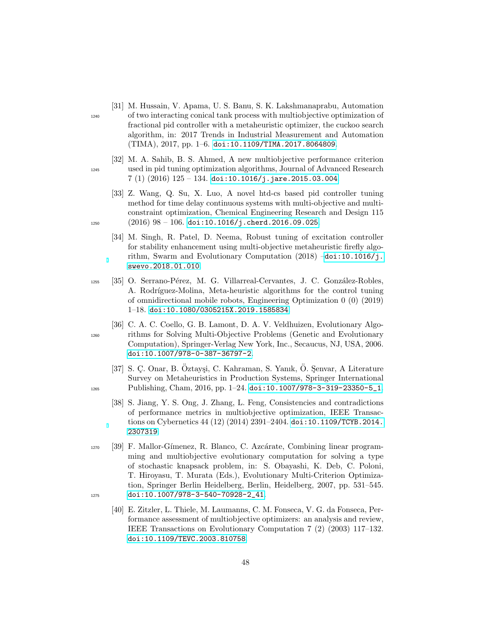- <span id="page-47-0"></span>[31] M. Hussain, V. Apama, U. S. Banu, S. K. Lakshmanaprabu, Automation <sup>1240</sup> of two interacting conical tank process with multiobjective optimization of fractional pid controller with a metaheuristic optimizer, the cuckoo search algorithm, in: 2017 Trends in Industrial Measurement and Automation (TIMA), 2017, pp. 1–6. [doi:10.1109/TIMA.2017.8064809](http://dx.doi.org/10.1109/TIMA.2017.8064809).
- <span id="page-47-1"></span>[32] M. A. Sahib, B. S. Ahmed, A new multiobjective performance criterion <sup>1245</sup> used in pid tuning optimization algorithms, Journal of Advanced Research  $7(1)(2016)$  125 – 134. [doi:10.1016/j.jare.2015.03.004](http://dx.doi.org/10.1016/j.jare.2015.03.004).
- <span id="page-47-2"></span>[33] Z. Wang, Q. Su, X. Luo, A novel htd-cs based pid controller tuning method for time delay continuous systems with multi-objective and multiconstraint optimization, Chemical Engineering Research and Design 115  $1250$  (2016) 98 – 106. [doi:10.1016/j.cherd.2016.09.025](http://dx.doi.org/10.1016/j.cherd.2016.09.025).
	- [34] M. Singh, R. Patel, D. Neema, Robust tuning of excitation controller for stability enhancement using multi-objective metaheuristic firefly algorithm, Swarm and Evolutionary Computation (2018) –[doi:10.1016/j.](http://dx.doi.org/10.1016/j.swevo.2018.01.010) [swevo.2018.01.010](http://dx.doi.org/10.1016/j.swevo.2018.01.010).
- <span id="page-47-4"></span>1255 [35] O. Serrano-Pérez, M. G. Villarreal-Cervantes, J. C. González-Robles, A. Rodríguez-Molina, Meta-heuristic algorithms for the control tuning of omnidirectional mobile robots, Engineering Optimization 0 (0) (2019) 1–18. [doi:10.1080/0305215X.2019.1585834](http://dx.doi.org/10.1080/0305215X.2019.1585834).
- <span id="page-47-5"></span>[36] C. A. C. Coello, G. B. Lamont, D. A. V. Veldhuizen, Evolutionary Algo-<sup>1260</sup> rithms for Solving Multi-Objective Problems (Genetic and Evolutionary Computation), Springer-Verlag New York, Inc., Secaucus, NJ, USA, 2006. [doi:10.1007/978-0-387-36797-2](http://dx.doi.org/10.1007/978-0-387-36797-2).
- <span id="page-47-6"></span>[37] S. C. Onar, B. Öztaysi, C. Kahraman, S. Yanık, Ö. Senvar, A Literature Survey on Metaheuristics in Production Systems, Springer International <sup>1265</sup> Publishing, Cham, 2016, pp. 1–24. [doi:10.1007/978-3-319-23350-5\\_1](http://dx.doi.org/10.1007/978-3-319-23350-5_1).
	- [38] S. Jiang, Y. S. Ong, J. Zhang, L. Feng, Consistencies and contradictions of performance metrics in multiobjective optimization, IEEE Transactions on Cybernetics  $44 (12) (2014) 2391 - 2404$ . [doi:10.1109/TCYB.2014.](http://dx.doi.org/10.1109/TCYB.2014.2307319) [2307319](http://dx.doi.org/10.1109/TCYB.2014.2307319).
- <span id="page-47-8"></span><sup>1270</sup> [39] F. Mallor-G´ımenez, R. Blanco, C. Azc´arate, Combining linear programming and multiobjective evolutionary computation for solving a type of stochastic knapsack problem, in: S. Obayashi, K. Deb, C. Poloni, T. Hiroyasu, T. Murata (Eds.), Evolutionary Multi-Criterion Optimization, Springer Berlin Heidelberg, Berlin, Heidelberg, 2007, pp. 531–545. 1275 [doi:10.1007/978-3-540-70928-2\\_41](http://dx.doi.org/10.1007/978-3-540-70928-2_41).
	- [40] E. Zitzler, L. Thiele, M. Laumanns, C. M. Fonseca, V. G. da Fonseca, Performance assessment of multiobjective optimizers: an analysis and review, IEEE Transactions on Evolutionary Computation 7 (2) (2003) 117–132. [doi:10.1109/TEVC.2003.810758](http://dx.doi.org/10.1109/TEVC.2003.810758).

<span id="page-47-3"></span>



<span id="page-47-7"></span>

<span id="page-47-9"></span>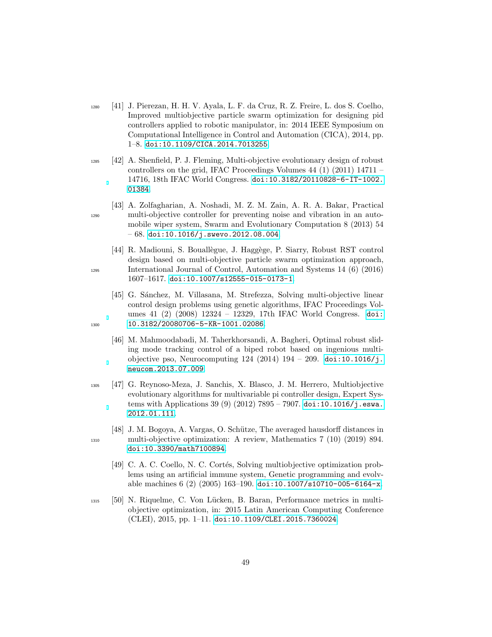- <span id="page-48-0"></span><sup>1280</sup> [41] J. Pierezan, H. H. V. Ayala, L. F. da Cruz, R. Z. Freire, L. dos S. Coelho, Improved multiobjective particle swarm optimization for designing pid controllers applied to robotic manipulator, in: 2014 IEEE Symposium on Computational Intelligence in Control and Automation (CICA), 2014, pp. 1–8. [doi:10.1109/CICA.2014.7013255](http://dx.doi.org/10.1109/CICA.2014.7013255).
- <span id="page-48-1"></span><sup>1285</sup> [42] A. Shenfield, P. J. Fleming, Multi-objective evolutionary design of robust controllers on the grid, IFAC Proceedings Volumes  $44$  (1) (2011)  $14711 -$ 14716, 18th IFAC World Congress. [doi:10.3182/20110828-6-IT-1002.](http://dx.doi.org/10.3182/20110828-6-IT-1002.01384) [01384](http://dx.doi.org/10.3182/20110828-6-IT-1002.01384).
- <span id="page-48-2"></span>[43] A. Zolfagharian, A. Noshadi, M. Z. M. Zain, A. R. A. Bakar, Practical <sup>1290</sup> multi-objective controller for preventing noise and vibration in an automobile wiper system, Swarm and Evolutionary Computation 8 (2013) 54  $-68.$  [doi:10.1016/j.swevo.2012.08.004](http://dx.doi.org/10.1016/j.swevo.2012.08.004).
- <span id="page-48-3"></span>[44] R. Madiouni, S. Bouall`egue, J. Hagg`ege, P. Siarry, Robust RST control design based on multi-objective particle swarm optimization approach, <sup>1295</sup> International Journal of Control, Automation and Systems 14 (6) (2016) 1607–1617. [doi:10.1007/s12555-015-0173-1](http://dx.doi.org/10.1007/s12555-015-0173-1).
- <span id="page-48-4"></span>[45] G. S´anchez, M. Villasana, M. Strefezza, Solving multi-objective linear control design problems using genetic algorithms, IFAC Proceedings Volumes 41 (2) (2008) 12324 – 12329, 17th IFAC World Congress. [doi:](http://dx.doi.org/10.3182/20080706-5-KR-1001.02086) 1300 [10.3182/20080706-5-KR-1001.02086](http://dx.doi.org/10.3182/20080706-5-KR-1001.02086).
	- [46] M. Mahmoodabadi, M. Taherkhorsandi, A. Bagheri, Optimal robust sliding mode tracking control of a biped robot based on ingenious multiobjective pso, Neurocomputing  $124$  (2014)  $194 - 209$ . [doi:10.1016/j.](http://dx.doi.org/10.1016/j.neucom.2013.07.009) [neucom.2013.07.009](http://dx.doi.org/10.1016/j.neucom.2013.07.009).
- <span id="page-48-6"></span><sup>1305</sup> [47] G. Reynoso-Meza, J. Sanchis, X. Blasco, J. M. Herrero, Multiobjective evolutionary algorithms for multivariable pi controller design, Expert Systems with Applications 39 (9) (2012) 7895 – 7907. [doi:10.1016/j.eswa.](http://dx.doi.org/10.1016/j.eswa.2012.01.111) [2012.01.111](http://dx.doi.org/10.1016/j.eswa.2012.01.111).
- <span id="page-48-7"></span>[48] J. M. Bogoya, A. Vargas, O. Schütze, The averaged hausdorff distances in <sup>1310</sup> multi-objective optimization: A review, Mathematics 7 (10) (2019) 894. [doi:10.3390/math7100894](http://dx.doi.org/10.3390/math7100894).
	- [49] C. A. C. Coello, N. C. Cortés, Solving multiobjective optimization problems using an artificial immune system, Genetic programming and evolvable machines 6 (2) (2005) 163-190. [doi:10.1007/s10710-005-6164-x](http://dx.doi.org/10.1007/s10710-005-6164-x).
- <span id="page-48-9"></span><sup>1315</sup> [50] N. Riquelme, C. Von L¨ucken, B. Baran, Performance metrics in multiobjective optimization, in: 2015 Latin American Computing Conference (CLEI), 2015, pp. 1–11. [doi:10.1109/CLEI.2015.7360024](http://dx.doi.org/10.1109/CLEI.2015.7360024).

<span id="page-48-5"></span>

<span id="page-48-8"></span>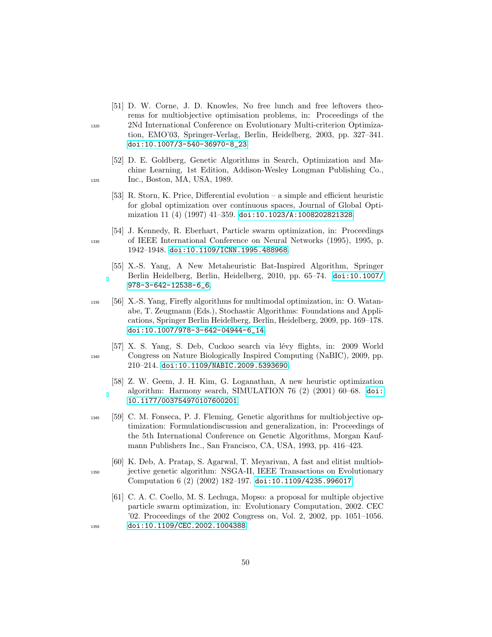- <span id="page-49-0"></span>[51] D. W. Corne, J. D. Knowles, No free lunch and free leftovers theorems for multiobjective optimisation problems, in: Proceedings of the <sup>1320</sup> 2Nd International Conference on Evolutionary Multi-criterion Optimization, EMO'03, Springer-Verlag, Berlin, Heidelberg, 2003, pp. 327–341. [doi:10.1007/3-540-36970-8\\_23](http://dx.doi.org/10.1007/3-540-36970-8_23).
- <span id="page-49-2"></span><span id="page-49-1"></span>[52] D. E. Goldberg, Genetic Algorithms in Search, Optimization and Machine Learning, 1st Edition, Addison-Wesley Longman Publishing Co., <sup>1325</sup> Inc., Boston, MA, USA, 1989.
	- [53] R. Storn, K. Price, Differential evolution a simple and efficient heuristic for global optimization over continuous spaces, Journal of Global Optimization 11 (4) (1997) 41–359. [doi:10.1023/A:1008202821328](http://dx.doi.org/10.1023/A:1008202821328).
- <span id="page-49-4"></span><span id="page-49-3"></span>[54] J. Kennedy, R. Eberhart, Particle swarm optimization, in: Proceedings <sup>1330</sup> of IEEE International Conference on Neural Networks (1995), 1995, p. 1942–1948. [doi:10.1109/ICNN.1995.488968](http://dx.doi.org/10.1109/ICNN.1995.488968).
	- [55] X.-S. Yang, A New Metaheuristic Bat-Inspired Algorithm, Springer Berlin Heidelberg, Berlin, Heidelberg, 2010, pp. 65–74. [doi:10.1007/](http://dx.doi.org/10.1007/978-3-642-12538-6_6) [978-3-642-12538-6\\_6](http://dx.doi.org/10.1007/978-3-642-12538-6_6).
- <span id="page-49-5"></span><sup>1335</sup> [56] X.-S. Yang, Firefly algorithms for multimodal optimization, in: O. Watanabe, T. Zeugmann (Eds.), Stochastic Algorithms: Foundations and Applications, Springer Berlin Heidelberg, Berlin, Heidelberg, 2009, pp. 169–178. [doi:10.1007/978-3-642-04944-6\\_14](http://dx.doi.org/10.1007/978-3-642-04944-6_14).
- <span id="page-49-6"></span>[57] X. S. Yang, S. Deb, Cuckoo search via lévy flights, in: 2009 World <sup>1340</sup> Congress on Nature Biologically Inspired Computing (NaBIC), 2009, pp. 210–214. [doi:10.1109/NABIC.2009.5393690](http://dx.doi.org/10.1109/NABIC.2009.5393690).
	- [58] Z. W. Geem, J. H. Kim, G. Loganathan, A new heuristic optimization algorithm: Harmony search, SIMULATION 76 (2) (2001) 60–68. [doi:](http://dx.doi.org/10.1177/003754970107600201) [10.1177/003754970107600201](http://dx.doi.org/10.1177/003754970107600201).
- <span id="page-49-8"></span><sup>1345</sup> [59] C. M. Fonseca, P. J. Fleming, Genetic algorithms for multiobjective optimization: Formulationdiscussion and generalization, in: Proceedings of the 5th International Conference on Genetic Algorithms, Morgan Kaufmann Publishers Inc., San Francisco, CA, USA, 1993, pp. 416–423.
- <span id="page-49-9"></span>[60] K. Deb, A. Pratap, S. Agarwal, T. Meyarivan, A fast and elitist multiob-<sup>1350</sup> jective genetic algorithm: NSGA-II, IEEE Transactions on Evolutionary Computation 6 (2) (2002) 182–197. [doi:10.1109/4235.996017](http://dx.doi.org/10.1109/4235.996017).
- <span id="page-49-10"></span>[61] C. A. C. Coello, M. S. Lechuga, Mopso: a proposal for multiple objective particle swarm optimization, in: Evolutionary Computation, 2002. CEC '02. Proceedings of the 2002 Congress on, Vol. 2, 2002, pp. 1051–1056. 1355 [doi:10.1109/CEC.2002.1004388](http://dx.doi.org/10.1109/CEC.2002.1004388).

<span id="page-49-7"></span>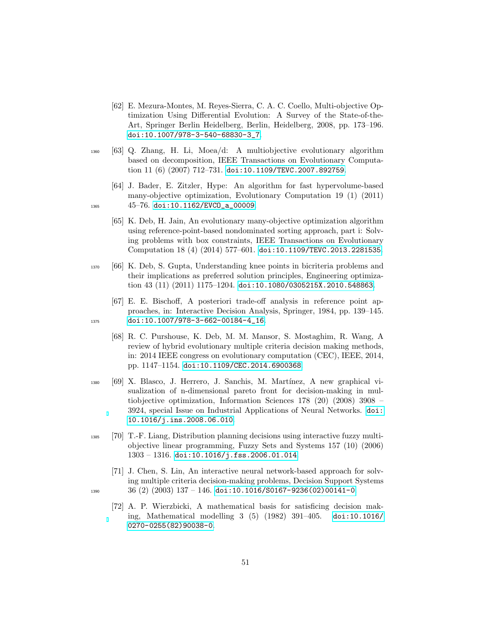- <span id="page-50-0"></span>[62] E. Mezura-Montes, M. Reyes-Sierra, C. A. C. Coello, Multi-objective Optimization Using Differential Evolution: A Survey of the State-of-the-Art, Springer Berlin Heidelberg, Berlin, Heidelberg, 2008, pp. 173–196. [doi:10.1007/978-3-540-68830-3\\_7](http://dx.doi.org/10.1007/978-3-540-68830-3_7).
- <span id="page-50-1"></span><sup>1360</sup> [63] Q. Zhang, H. Li, Moea/d: A multiobjective evolutionary algorithm based on decomposition, IEEE Transactions on Evolutionary Computation 11 (6) (2007) 712–731. [doi:10.1109/TEVC.2007.892759](http://dx.doi.org/10.1109/TEVC.2007.892759).
- <span id="page-50-3"></span><span id="page-50-2"></span>[64] J. Bader, E. Zitzler, Hype: An algorithm for fast hypervolume-based many-objective optimization, Evolutionary Computation 19 (1) (2011) 1365 45-76. [doi:10.1162/EVCO\\_a\\_00009](http://dx.doi.org/10.1162/EVCO_a_00009).
	- [65] K. Deb, H. Jain, An evolutionary many-objective optimization algorithm using reference-point-based nondominated sorting approach, part i: Solving problems with box constraints, IEEE Transactions on Evolutionary Computation 18 (4) (2014) 577–601. [doi:10.1109/TEVC.2013.2281535](http://dx.doi.org/10.1109/TEVC.2013.2281535).
- <span id="page-50-4"></span><sup>1370</sup> [66] K. Deb, S. Gupta, Understanding knee points in bicriteria problems and their implications as preferred solution principles, Engineering optimization 43 (11) (2011) 1175–1204. [doi:10.1080/0305215X.2010.548863](http://dx.doi.org/10.1080/0305215X.2010.548863).
- <span id="page-50-6"></span><span id="page-50-5"></span>[67] E. E. Bischoff, A posteriori trade-off analysis in reference point approaches, in: Interactive Decision Analysis, Springer, 1984, pp. 139–145. 1375 [doi:10.1007/978-3-662-00184-4\\_16](http://dx.doi.org/10.1007/978-3-662-00184-4_16).
	- [68] R. C. Purshouse, K. Deb, M. M. Mansor, S. Mostaghim, R. Wang, A review of hybrid evolutionary multiple criteria decision making methods, in: 2014 IEEE congress on evolutionary computation (CEC), IEEE, 2014, pp. 1147–1154. [doi:10.1109/CEC.2014.6900368](http://dx.doi.org/10.1109/CEC.2014.6900368).
- <span id="page-50-7"></span><sup>1380</sup> [69] X. Blasco, J. Herrero, J. Sanchis, M. Mart´ınez, A new graphical visualization of n-dimensional pareto front for decision-making in multiobjective optimization, Information Sciences 178 (20) (2008) 3908 – 3924, special Issue on Industrial Applications of Neural Networks. [doi:](http://dx.doi.org/10.1016/j.ins.2008.06.010) [10.1016/j.ins.2008.06.010](http://dx.doi.org/10.1016/j.ins.2008.06.010).
- <span id="page-50-8"></span><sup>1385</sup> [70] T.-F. Liang, Distribution planning decisions using interactive fuzzy multiobjective linear programming, Fuzzy Sets and Systems 157 (10) (2006)  $1303 - 1316$ . [doi:10.1016/j.fss.2006.01.014](http://dx.doi.org/10.1016/j.fss.2006.01.014).
- <span id="page-50-9"></span>[71] J. Chen, S. Lin, An interactive neural network-based approach for solving multiple criteria decision-making problems, Decision Support Systems  $1390 \hspace{1.5cm} 36 \hspace{1.5cm} (2) \hspace{1.5cm} (2003) \hspace{1.5cm} 137 - 146. \hspace{1.5cm} \text{doi:10.1016/S0167-9236(O2)00141-0.}$
- 
- <span id="page-50-10"></span>[72] A. P. Wierzbicki, A mathematical basis for satisficing decision making, Mathematical modelling 3 (5) (1982) 391–405. [doi:10.1016/](http://dx.doi.org/10.1016/0270-0255(82)90038-0) [0270-0255\(82\)90038-0](http://dx.doi.org/10.1016/0270-0255(82)90038-0).
	- 51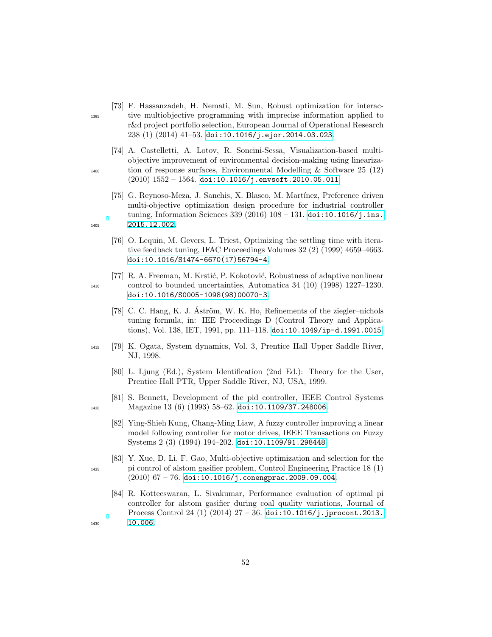- <span id="page-51-0"></span>[73] F. Hassanzadeh, H. Nemati, M. Sun, Robust optimization for interac-<sup>1395</sup> tive multiobjective programming with imprecise information applied to r&d project portfolio selection, European Journal of Operational Research 238 (1) (2014) 41–53. [doi:10.1016/j.ejor.2014.03.023](http://dx.doi.org/10.1016/j.ejor.2014.03.023).
- <span id="page-51-1"></span>[74] A. Castelletti, A. Lotov, R. Soncini-Sessa, Visualization-based multiobjective improvement of environmental decision-making using lineariza-<sup>1400</sup> tion of response surfaces, Environmental Modelling & Software 25 (12) (2010) 1552 – 1564. [doi:10.1016/j.envsoft.2010.05.011](http://dx.doi.org/10.1016/j.envsoft.2010.05.011).
- <span id="page-51-2"></span>[75] G. Reynoso-Meza, J. Sanchis, X. Blasco, M. Martínez, Preference driven multi-objective optimization design procedure for industrial controller tuning, Information Sciences 339 (2016)  $108 - 131$ . [doi:10.1016/j.ins.](http://dx.doi.org/10.1016/j.ins.2015.12.002) <sup>1405</sup> [2015.12.002](http://dx.doi.org/10.1016/j.ins.2015.12.002).
	- [76] O. Lequin, M. Gevers, L. Triest, Optimizing the settling time with iterative feedback tuning, IFAC Proceedings Volumes 32 (2) (1999) 4659–4663. [doi:10.1016/S1474-6670\(17\)56794-4](http://dx.doi.org/10.1016/S1474-6670(17)56794-4).
- <span id="page-51-4"></span>[77] R. A. Freeman, M. Krstić, P. Kokotović, Robustness of adaptive nonlinear <sup>1410</sup> control to bounded uncertainties, Automatica 34 (10) (1998) 1227–1230. [doi:10.1016/S0005-1098\(98\)00070-3](http://dx.doi.org/10.1016/S0005-1098(98)00070-3).
	- [78] C. C. Hang, K. J. Åström, W. K. Ho, Refinements of the ziegler–nichols tuning formula, in: IEE Proceedings D (Control Theory and Applications), Vol. 138, IET, 1991, pp. 111–118. [doi:10.1049/ip-d.1991.0015](http://dx.doi.org/10.1049/ip-d.1991.0015).
- <span id="page-51-6"></span><sup>1415</sup> [79] K. Ogata, System dynamics, Vol. 3, Prentice Hall Upper Saddle River, NJ, 1998.
	- [80] L. Ljung (Ed.), System Identification (2nd Ed.): Theory for the User, Prentice Hall PTR, Upper Saddle River, NJ, USA, 1999.
- <span id="page-51-9"></span><span id="page-51-8"></span>[81] S. Bennett, Development of the pid controller, IEEE Control Systems <sup>1420</sup> Magazine 13 (6) (1993) 58–62. [doi:10.1109/37.248006](http://dx.doi.org/10.1109/37.248006).
	- [82] Ying-Shieh Kung, Chang-Ming Liaw, A fuzzy controller improving a linear model following controller for motor drives, IEEE Transactions on Fuzzy Systems 2 (3) (1994) 194–202. [doi:10.1109/91.298448](http://dx.doi.org/10.1109/91.298448).
- <span id="page-51-10"></span>[83] Y. Xue, D. Li, F. Gao, Multi-objective optimization and selection for the <sup>1425</sup> pi control of alstom gasifier problem, Control Engineering Practice 18 (1)  $(2010)$  67 - 76. [doi:10.1016/j.conengprac.2009.09.004](http://dx.doi.org/10.1016/j.conengprac.2009.09.004).
- <span id="page-51-11"></span>[84] R. Kotteeswaran, L. Sivakumar, Performance evaluation of optimal pi controller for alstom gasifier during coal quality variations, Journal of Process Control 24 (1) (2014) 27 – 36. [doi:10.1016/j.jprocont.2013.](http://dx.doi.org/10.1016/j.jprocont.2013.10.006) 1430 [10.006](http://dx.doi.org/10.1016/j.jprocont.2013.10.006).

<span id="page-51-3"></span>

<span id="page-51-5"></span>

<span id="page-51-7"></span>

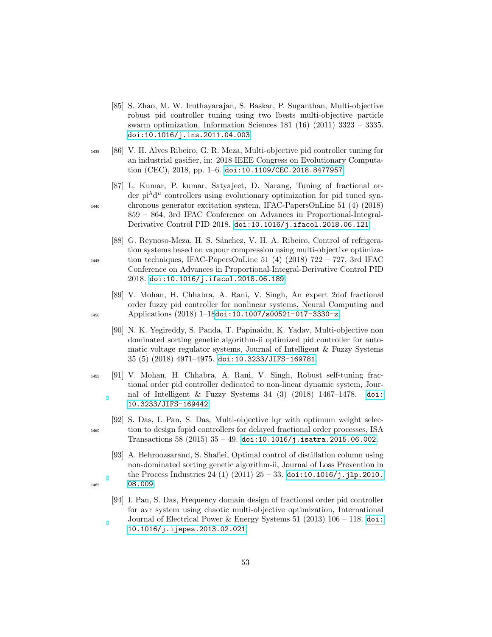- <span id="page-52-9"></span>[85] S. Zhao, M. W. Iruthayarajan, S. Baskar, P. Suganthan, Multi-objective robust pid controller tuning using two lbests multi-objective particle swarm optimization, Information Sciences 181 (16) (2011) 3323 – 3335. [doi:10.1016/j.ins.2011.04.003](http://dx.doi.org/10.1016/j.ins.2011.04.003).
- <span id="page-52-0"></span><sup>1435</sup> [86] V. H. Alves Ribeiro, G. R. Meza, Multi-objective pid controller tuning for an industrial gasifier, in: 2018 IEEE Congress on Evolutionary Computation (CEC), 2018, pp. 1–6. [doi:10.1109/CEC.2018.8477957](http://dx.doi.org/10.1109/CEC.2018.8477957).
- <span id="page-52-1"></span>[87] L. Kumar, P. kumar, Satyajeet, D. Narang, Tuning of fractional order  $pi^{\lambda}d^{\mu}$  controllers using evolutionary optimization for pid tuned syn-<sup>1440</sup> chronous generator excitation system, IFAC-PapersOnLine 51 (4) (2018) 859 – 864, 3rd IFAC Conference on Advances in Proportional-Integral-Derivative Control PID 2018. [doi:10.1016/j.ifacol.2018.06.121](http://dx.doi.org/10.1016/j.ifacol.2018.06.121).
- <span id="page-52-2"></span>[88] G. Reynoso-Meza, H. S. Sánchez, V. H. A. Ribeiro, Control of refrigeration systems based on vapour compression using multi-objective optimiza-<sup>1445</sup> tion techniques, IFAC-PapersOnLine 51 (4) (2018) 722 – 727, 3rd IFAC Conference on Advances in Proportional-Integral-Derivative Control PID 2018. [doi:10.1016/j.ifacol.2018.06.189](http://dx.doi.org/10.1016/j.ifacol.2018.06.189).
- <span id="page-52-3"></span>[89] V. Mohan, H. Chhabra, A. Rani, V. Singh, An expert 2dof fractional order fuzzy pid controller for nonlinear systems, Neural Computing and 1450 Applications (2018) 1-18[doi:10.1007/s00521-017-3330-z](http://dx.doi.org/10.1007/s00521-017-3330-z).
	- [90] N. K. Yegireddy, S. Panda, T. Papinaidu, K. Yadav, Multi-objective non dominated sorting genetic algorithm-ii optimized pid controller for automatic voltage regulator systems, Journal of Intelligent & Fuzzy Systems 35 (5) (2018) 4971–4975. [doi:10.3233/JIFS-169781](http://dx.doi.org/10.3233/JIFS-169781).
- <span id="page-52-5"></span><sup>1455</sup> [91] V. Mohan, H. Chhabra, A. Rani, V. Singh, Robust self-tuning fractional order pid controller dedicated to non-linear dynamic system, Journal of Intelligent & Fuzzy Systems 34 (3) (2018) 1467–1478. [doi:](http://dx.doi.org/10.3233/JIFS-169442) [10.3233/JIFS-169442](http://dx.doi.org/10.3233/JIFS-169442).
- <span id="page-52-6"></span>[92] S. Das, I. Pan, S. Das, Multi-objective lqr with optimum weight selec-<sup>1460</sup> tion to design fopid controllers for delayed fractional order processes, ISA Transactions 58 (2015) 35 – 49. [doi:10.1016/j.isatra.2015.06.002](http://dx.doi.org/10.1016/j.isatra.2015.06.002).
- <span id="page-52-8"></span><span id="page-52-7"></span>[93] A. Behroozsarand, S. Shafiei, Optimal control of distillation column using non-dominated sorting genetic algorithm-ii, Journal of Loss Prevention in the Process Industries 24 (1) (2011)  $25 - 33$ . [doi:10.1016/j.jlp.2010.](http://dx.doi.org/10.1016/j.jlp.2010.08.009) 1465 [08.009](http://dx.doi.org/10.1016/j.jlp.2010.08.009).
	- [94] I. Pan, S. Das, Frequency domain design of fractional order pid controller for avr system using chaotic multi-objective optimization, International Journal of Electrical Power & Energy Systems 51 (2013)  $106 - 118$ . [doi:](http://dx.doi.org/10.1016/j.ijepes.2013.02.021) [10.1016/j.ijepes.2013.02.021](http://dx.doi.org/10.1016/j.ijepes.2013.02.021).

<span id="page-52-4"></span>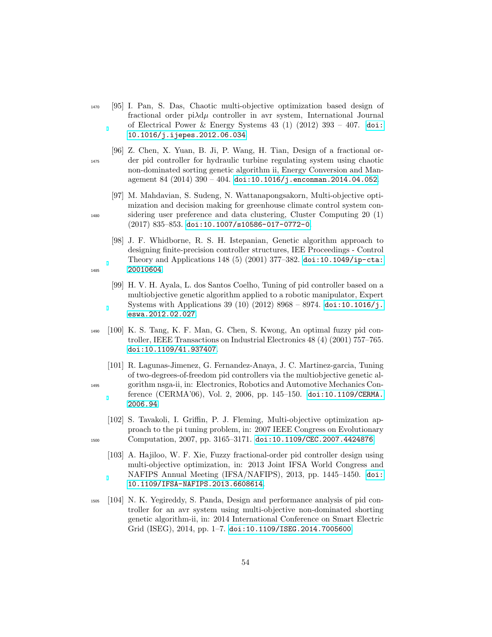- <span id="page-53-0"></span><sup>1470</sup> [95] I. Pan, S. Das, Chaotic multi-objective optimization based design of fractional order  $pi\lambda d\mu$  controller in avr system, International Journal of Electrical Power & Energy Systems  $43$  (1) (2012)  $393 - 407$ . [doi:](http://dx.doi.org/10.1016/j.ijepes.2012.06.034) [10.1016/j.ijepes.2012.06.034](http://dx.doi.org/10.1016/j.ijepes.2012.06.034).
- <span id="page-53-1"></span>[96] Z. Chen, X. Yuan, B. Ji, P. Wang, H. Tian, Design of a fractional or-<sup>1475</sup> der pid controller for hydraulic turbine regulating system using chaotic non-dominated sorting genetic algorithm ii, Energy Conversion and Management 84 (2014) 390 – 404. [doi:10.1016/j.enconman.2014.04.052](http://dx.doi.org/10.1016/j.enconman.2014.04.052).
- <span id="page-53-2"></span>[97] M. Mahdavian, S. Sudeng, N. Wattanapongsakorn, Multi-objective optimization and decision making for greenhouse climate control system con-<sup>1480</sup> sidering user preference and data clustering, Cluster Computing 20 (1) (2017) 835–853. [doi:10.1007/s10586-017-0772-0](http://dx.doi.org/10.1007/s10586-017-0772-0).
- <span id="page-53-3"></span>[98] J. F. Whidborne, R. S. H. Istepanian, Genetic algorithm approach to designing finite-precision controller structures, IEE Proceedings - Control Theory and Applications 148 (5) (2001) 377–382. [doi:10.1049/ip-cta:](http://dx.doi.org/10.1049/ip-cta:20010604) <sup>1485</sup> [20010604](http://dx.doi.org/10.1049/ip-cta:20010604).
	- [99] H. V. H. Ayala, L. dos Santos Coelho, Tuning of pid controller based on a multiobjective genetic algorithm applied to a robotic manipulator, Expert Systems with Applications 39 (10) (2012) 8968 – 8974. [doi:10.1016/j.](http://dx.doi.org/10.1016/j.eswa.2012.02.027) [eswa.2012.02.027](http://dx.doi.org/10.1016/j.eswa.2012.02.027).
- <span id="page-53-5"></span><sup>1490</sup> [100] K. S. Tang, K. F. Man, G. Chen, S. Kwong, An optimal fuzzy pid controller, IEEE Transactions on Industrial Electronics 48 (4) (2001) 757–765. [doi:10.1109/41.937407](http://dx.doi.org/10.1109/41.937407).
- <span id="page-53-6"></span>[101] R. Lagunas-Jimenez, G. Fernandez-Anaya, J. C. Martinez-garcia, Tuning of two-degrees-of-freedom pid controllers via the multiobjective genetic al-<sup>1495</sup> gorithm nsga-ii, in: Electronics, Robotics and Automotive Mechanics Conference (CERMA'06), Vol. 2, 2006, pp. 145–150. [doi:10.1109/CERMA.](http://dx.doi.org/10.1109/CERMA.2006.94) [2006.94](http://dx.doi.org/10.1109/CERMA.2006.94).
- <span id="page-53-8"></span><span id="page-53-7"></span>[102] S. Tavakoli, I. Griffin, P. J. Fleming, Multi-objective optimization approach to the pi tuning problem, in: 2007 IEEE Congress on Evolutionary <sup>1500</sup> Computation, 2007, pp. 3165–3171. [doi:10.1109/CEC.2007.4424876](http://dx.doi.org/10.1109/CEC.2007.4424876).
	- [103] A. Hajiloo, W. F. Xie, Fuzzy fractional-order pid controller design using multi-objective optimization, in: 2013 Joint IFSA World Congress and NAFIPS Annual Meeting (IFSA/NAFIPS), 2013, pp. 1445–1450. [doi:](http://dx.doi.org/10.1109/IFSA-NAFIPS.2013.6608614) [10.1109/IFSA-NAFIPS.2013.6608614](http://dx.doi.org/10.1109/IFSA-NAFIPS.2013.6608614).
- <span id="page-53-9"></span><sup>1505</sup> [104] N. K. Yegireddy, S. Panda, Design and performance analysis of pid controller for an avr system using multi-objective non-dominated shorting genetic algorithm-ii, in: 2014 International Conference on Smart Electric Grid (ISEG), 2014, pp. 1–7. [doi:10.1109/ISEG.2014.7005600](http://dx.doi.org/10.1109/ISEG.2014.7005600).

<span id="page-53-4"></span>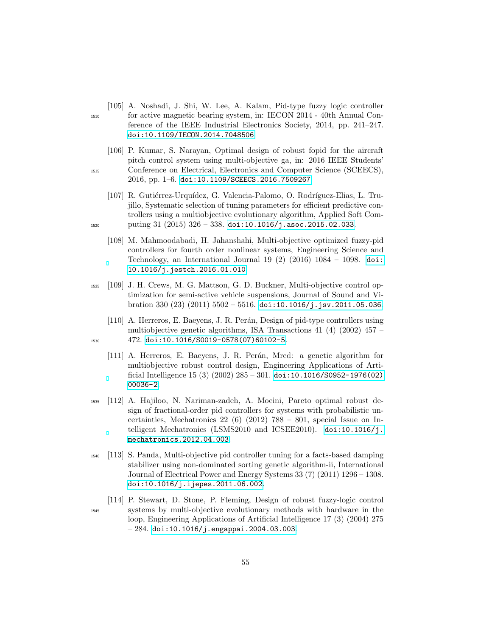- <span id="page-54-0"></span>[105] A. Noshadi, J. Shi, W. Lee, A. Kalam, Pid-type fuzzy logic controller <sup>1510</sup> for active magnetic bearing system, in: IECON 2014 - 40th Annual Conference of the IEEE Industrial Electronics Society, 2014, pp. 241–247. [doi:10.1109/IECON.2014.7048506](http://dx.doi.org/10.1109/IECON.2014.7048506).
- <span id="page-54-1"></span>[106] P. Kumar, S. Narayan, Optimal design of robust fopid for the aircraft pitch control system using multi-objective ga, in: 2016 IEEE Students' <sup>1515</sup> Conference on Electrical, Electronics and Computer Science (SCEECS), 2016, pp. 1–6. [doi:10.1109/SCEECS.2016.7509267](http://dx.doi.org/10.1109/SCEECS.2016.7509267).
- <span id="page-54-2"></span>[107] R. Gutiérrez-Urquídez, G. Valencia-Palomo, O. Rodríguez-Elias, L. Trujillo, Systematic selection of tuning parameters for efficient predictive controllers using a multiobjective evolutionary algorithm, Applied Soft Com- $_{1520}$  puting 31 (2015) 326 - 338. [doi:10.1016/j.asoc.2015.02.033](http://dx.doi.org/10.1016/j.asoc.2015.02.033).
	- [108] M. Mahmoodabadi, H. Jahanshahi, Multi-objective optimized fuzzy-pid controllers for fourth order nonlinear systems, Engineering Science and Technology, an International Journal 19  $(2)$   $(2016)$  1084 – 1098. [doi:](http://dx.doi.org/10.1016/j.jestch.2016.01.010) [10.1016/j.jestch.2016.01.010](http://dx.doi.org/10.1016/j.jestch.2016.01.010).
- <span id="page-54-4"></span><sup>1525</sup> [109] J. H. Crews, M. G. Mattson, G. D. Buckner, Multi-objective control optimization for semi-active vehicle suspensions, Journal of Sound and Vibration 330 (23) (2011)  $5502 - 5516$ . [doi:10.1016/j.jsv.2011.05.036](http://dx.doi.org/10.1016/j.jsv.2011.05.036).
- <span id="page-54-6"></span><span id="page-54-5"></span>[110] A. Herreros, E. Baeyens, J. R. Perán, Design of pid-type controllers using multiobjective genetic algorithms, ISA Transactions 41 (4) (2002) 457 – <sup>1530</sup> 472. [doi:10.1016/S0019-0578\(07\)60102-5](http://dx.doi.org/10.1016/S0019-0578(07)60102-5).
	- [111] A. Herreros, E. Baeyens, J. R. Per´an, Mrcd: a genetic algorithm for multiobjective robust control design, Engineering Applications of Artificial Intelligence  $15(3)(2002)285 - 301$ . [doi:10.1016/S0952-1976\(02\)](http://dx.doi.org/10.1016/S0952-1976(02)00036-2) [00036-2](http://dx.doi.org/10.1016/S0952-1976(02)00036-2).
- <span id="page-54-7"></span><sup>1535</sup> [112] A. Hajiloo, N. Nariman-zadeh, A. Moeini, Pareto optimal robust design of fractional-order pid controllers for systems with probabilistic uncertainties, Mechatronics  $22(6)$   $(2012)$   $788 - 801$ , special Issue on Intelligent Mechatronics (LSMS2010 and ICSEE2010). [doi:10.1016/j.](http://dx.doi.org/10.1016/j.mechatronics.2012.04.003) [mechatronics.2012.04.003](http://dx.doi.org/10.1016/j.mechatronics.2012.04.003).
- <span id="page-54-8"></span><sup>1540</sup> [113] S. Panda, Multi-objective pid controller tuning for a facts-based damping stabilizer using non-dominated sorting genetic algorithm-ii, International Journal of Electrical Power and Energy Systems 33 (7) (2011) 1296 – 1308. [doi:10.1016/j.ijepes.2011.06.002](http://dx.doi.org/10.1016/j.ijepes.2011.06.002).
- <span id="page-54-9"></span>[114] P. Stewart, D. Stone, P. Fleming, Design of robust fuzzy-logic control <sup>1545</sup> systems by multi-objective evolutionary methods with hardware in the loop, Engineering Applications of Artificial Intelligence 17 (3) (2004) 275  $-284.$  [doi:10.1016/j.engappai.2004.03.003](http://dx.doi.org/10.1016/j.engappai.2004.03.003).

<span id="page-54-3"></span>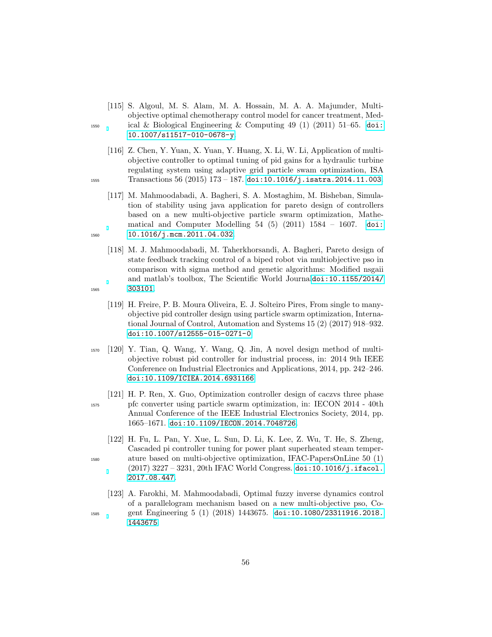- <span id="page-55-0"></span>[115] S. Algoul, M. S. Alam, M. A. Hossain, M. A. A. Majumder, Multiobjective optimal chemotherapy control model for cancer treatment, Med- $\text{1550}$  ical & Biological Engineering & Computing 49 (1) (2011) 51–65. [doi:](http://dx.doi.org/10.1007/s11517-010-0678-y) [10.1007/s11517-010-0678-y](http://dx.doi.org/10.1007/s11517-010-0678-y).
- <span id="page-55-1"></span>[116] Z. Chen, Y. Yuan, X. Yuan, Y. Huang, X. Li, W. Li, Application of multiobjective controller to optimal tuning of pid gains for a hydraulic turbine regulating system using adaptive grid particle swam optimization, ISA <sup>1555</sup> Transactions 56 (2015) 173 – 187. [doi:10.1016/j.isatra.2014.11.003](http://dx.doi.org/10.1016/j.isatra.2014.11.003).
- <span id="page-55-2"></span>[117] M. Mahmoodabadi, A. Bagheri, S. A. Mostaghim, M. Bisheban, Simulation of stability using java application for pareto design of controllers based on a new multi-objective particle swarm optimization, Mathematical and Computer Modelling  $54$  (5) (2011)  $1584 - 1607$ . [doi:](http://dx.doi.org/10.1016/j.mcm.2011.04.032) 1560 [10.1016/j.mcm.2011.04.032](http://dx.doi.org/10.1016/j.mcm.2011.04.032).
- <span id="page-55-3"></span>[118] M. J. Mahmoodabadi, M. Taherkhorsandi, A. Bagheri, Pareto design of state feedback tracking control of a biped robot via multiobjective pso in comparison with sigma method and genetic algorithms: Modified nsgaii and matlab's toolbox, The Scientific World Journal[doi:10.1155/2014/](http://dx.doi.org/10.1155/2014/303101) <sup>1565</sup> [303101](http://dx.doi.org/10.1155/2014/303101).
	- [119] H. Freire, P. B. Moura Oliveira, E. J. Solteiro Pires, From single to manyobjective pid controller design using particle swarm optimization, International Journal of Control, Automation and Systems 15 (2) (2017) 918–932. [doi:10.1007/s12555-015-0271-0](http://dx.doi.org/10.1007/s12555-015-0271-0).
- <span id="page-55-5"></span><sup>1570</sup> [120] Y. Tian, Q. Wang, Y. Wang, Q. Jin, A novel design method of multiobjective robust pid controller for industrial process, in: 2014 9th IEEE Conference on Industrial Electronics and Applications, 2014, pp. 242–246. [doi:10.1109/ICIEA.2014.6931166](http://dx.doi.org/10.1109/ICIEA.2014.6931166).
- <span id="page-55-6"></span>[121] H. P. Ren, X. Guo, Optimization controller design of caczvs three phase <sup>1575</sup> pfc converter using particle swarm optimization, in: IECON 2014 - 40th Annual Conference of the IEEE Industrial Electronics Society, 2014, pp. 1665–1671. [doi:10.1109/IECON.2014.7048726](http://dx.doi.org/10.1109/IECON.2014.7048726).
- <span id="page-55-7"></span>[122] H. Fu, L. Pan, Y. Xue, L. Sun, D. Li, K. Lee, Z. Wu, T. He, S. Zheng, Cascaded pi controller tuning for power plant superheated steam temper-<sup>1580</sup> ature based on multi-objective optimization, IFAC-PapersOnLine 50 (1) (2017) 3227 – 3231, 20th IFAC World Congress. [doi:10.1016/j.ifacol.](http://dx.doi.org/10.1016/j.ifacol.2017.08.447) [2017.08.447](http://dx.doi.org/10.1016/j.ifacol.2017.08.447).
- <span id="page-55-8"></span>[123] A. Farokhi, M. Mahmoodabadi, Optimal fuzzy inverse dynamics control of a parallelogram mechanism based on a new multi-objective pso, Co-<sup>1585</sup> gent Engineering 5 (1) (2018) 1443675. [doi:10.1080/23311916.2018.](http://dx.doi.org/10.1080/23311916.2018.1443675) [1443675](http://dx.doi.org/10.1080/23311916.2018.1443675).

<span id="page-55-4"></span>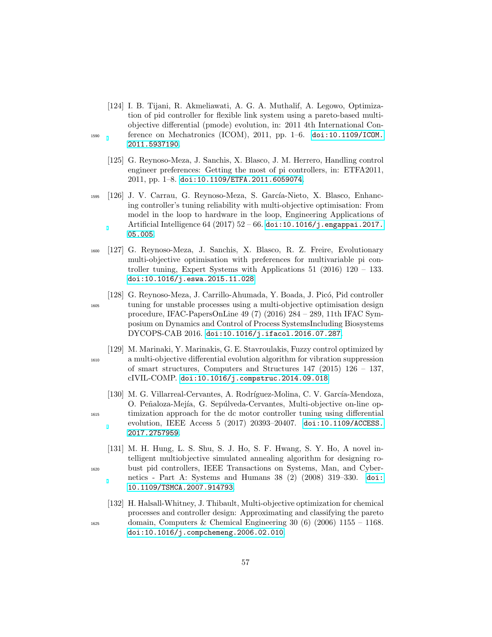- <span id="page-56-0"></span>[124] I. B. Tijani, R. Akmeliawati, A. G. A. Muthalif, A. Legowo, Optimization of pid controller for flexible link system using a pareto-based multiobjective differential (pmode) evolution, in: 2011 4th International Con-<sup>1590</sup> ference on Mechatronics (ICOM), 2011, pp. 1–6. [doi:10.1109/ICOM.](http://dx.doi.org/10.1109/ICOM.2011.5937190) [2011.5937190](http://dx.doi.org/10.1109/ICOM.2011.5937190).
	- [125] G. Reynoso-Meza, J. Sanchis, X. Blasco, J. M. Herrero, Handling control engineer preferences: Getting the most of pi controllers, in: ETFA2011, 2011, pp. 1–8. [doi:10.1109/ETFA.2011.6059074](http://dx.doi.org/10.1109/ETFA.2011.6059074).
- <span id="page-56-2"></span><span id="page-56-1"></span>1595 [126] J. V. Carrau, G. Reynoso-Meza, S. García-Nieto, X. Blasco, Enhancing controller's tuning reliability with multi-objective optimisation: From model in the loop to hardware in the loop, Engineering Applications of Artificial Intelligence 64 (2017) 52 – 66. [doi:10.1016/j.engappai.2017.](http://dx.doi.org/10.1016/j.engappai.2017.05.005) [05.005](http://dx.doi.org/10.1016/j.engappai.2017.05.005).
- <span id="page-56-3"></span><sup>1600</sup> [127] G. Reynoso-Meza, J. Sanchis, X. Blasco, R. Z. Freire, Evolutionary multi-objective optimisation with preferences for multivariable pi controller tuning, Expert Systems with Applications 51 (2016) 120 – 133. [doi:10.1016/j.eswa.2015.11.028](http://dx.doi.org/10.1016/j.eswa.2015.11.028).

- <span id="page-56-4"></span>[128] G. Reynoso-Meza, J. Carrillo-Ahumada, Y. Boada, J. Picó, Pid controller <sup>1605</sup> tuning for unstable processes using a multi-objective optimisation design procedure, IFAC-PapersOnLine 49 (7) (2016) 284 – 289, 11th IFAC Symposium on Dynamics and Control of Process SystemsIncluding Biosystems DYCOPS-CAB 2016. [doi:10.1016/j.ifacol.2016.07.287](http://dx.doi.org/10.1016/j.ifacol.2016.07.287).
- <span id="page-56-5"></span>[129] M. Marinaki, Y. Marinakis, G. E. Stavroulakis, Fuzzy control optimized by <sup>1610</sup> a multi-objective differential evolution algorithm for vibration suppression of smart structures, Computers and Structures 147 (2015) 126 – 137, cIVIL-COMP. [doi:10.1016/j.compstruc.2014.09.018](http://dx.doi.org/10.1016/j.compstruc.2014.09.018).
- <span id="page-56-6"></span>[130] M. G. Villarreal-Cervantes, A. Rodríguez-Molina, C. V. García-Mendoza, O. Peñaloza-Mejía, G. Sepúlveda-Cervantes, Multi-objective on-line op-<sup>1615</sup> timization approach for the dc motor controller tuning using differential evolution, IEEE Access 5 (2017) 20393–20407. [doi:10.1109/ACCESS.](http://dx.doi.org/10.1109/ACCESS.2017.2757959) [2017.2757959](http://dx.doi.org/10.1109/ACCESS.2017.2757959).
- <span id="page-56-7"></span>[131] M. H. Hung, L. S. Shu, S. J. Ho, S. F. Hwang, S. Y. Ho, A novel intelligent multiobjective simulated annealing algorithm for designing ro-<sup>1620</sup> bust pid controllers, IEEE Transactions on Systems, Man, and Cybernetics - Part A: Systems and Humans 38 (2) (2008) 319–330. [doi:](http://dx.doi.org/10.1109/TSMCA.2007.914793) [10.1109/TSMCA.2007.914793](http://dx.doi.org/10.1109/TSMCA.2007.914793).
- <span id="page-56-8"></span>[132] H. Halsall-Whitney, J. Thibault, Multi-objective optimization for chemical processes and controller design: Approximating and classifying the pareto  $1625$  domain, Computers & Chemical Engineering 30 (6) (2006) 1155 – 1168. [doi:10.1016/j.compchemeng.2006.02.010](http://dx.doi.org/10.1016/j.compchemeng.2006.02.010).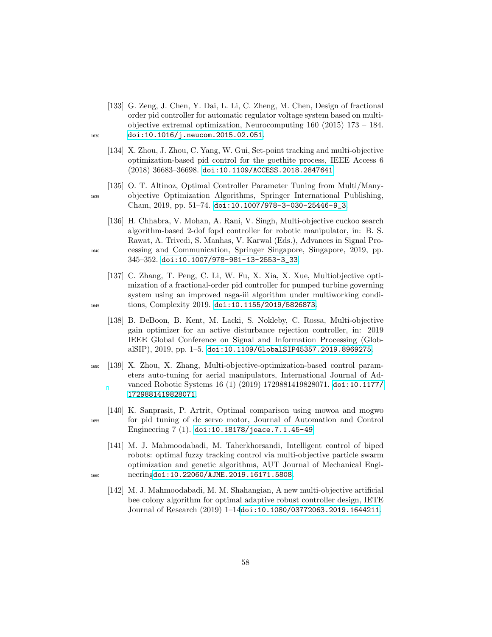- <span id="page-57-0"></span>[133] G. Zeng, J. Chen, Y. Dai, L. Li, C. Zheng, M. Chen, Design of fractional order pid controller for automatic regulator voltage system based on multiobjective extremal optimization, Neurocomputing 160 (2015) 173 – 184. <sup>1630</sup> [doi:10.1016/j.neucom.2015.02.051](http://dx.doi.org/10.1016/j.neucom.2015.02.051).
	- [134] X. Zhou, J. Zhou, C. Yang, W. Gui, Set-point tracking and multi-objective optimization-based pid control for the goethite process, IEEE Access 6 (2018) 36683–36698. [doi:10.1109/ACCESS.2018.2847641](http://dx.doi.org/10.1109/ACCESS.2018.2847641).
- <span id="page-57-2"></span>[135] O. T. Altinoz, Optimal Controller Parameter Tuning from Multi/Many-<sup>1635</sup> objective Optimization Algorithms, Springer International Publishing, Cham, 2019, pp. 51–74. [doi:10.1007/978-3-030-25446-9\\_3](http://dx.doi.org/10.1007/978-3-030-25446-9_3).
- <span id="page-57-3"></span>[136] H. Chhabra, V. Mohan, A. Rani, V. Singh, Multi-objective cuckoo search algorithm-based 2-dof fopd controller for robotic manipulator, in: B. S. Rawat, A. Trivedi, S. Manhas, V. Karwal (Eds.), Advances in Signal Pro-<sup>1640</sup> cessing and Communication, Springer Singapore, Singapore, 2019, pp. 345–352. [doi:10.1007/978-981-13-2553-3\\_33](http://dx.doi.org/10.1007/978-981-13-2553-3_33).
- <span id="page-57-5"></span><span id="page-57-4"></span>[137] C. Zhang, T. Peng, C. Li, W. Fu, X. Xia, X. Xue, Multiobjective optimization of a fractional-order pid controller for pumped turbine governing system using an improved nsga-iii algorithm under multiworking condi-<sup>1645</sup> tions, Complexity 2019. [doi:10.1155/2019/5826873](http://dx.doi.org/10.1155/2019/5826873).
	- [138] B. DeBoon, B. Kent, M. Lacki, S. Nokleby, C. Rossa, Multi-objective gain optimizer for an active disturbance rejection controller, in: 2019 IEEE Global Conference on Signal and Information Processing (GlobalSIP), 2019, pp. 1–5. [doi:10.1109/GlobalSIP45357.2019.8969275](http://dx.doi.org/10.1109/GlobalSIP45357.2019.8969275).
- <span id="page-57-6"></span><sup>1650</sup> [139] X. Zhou, X. Zhang, Multi-objective-optimization-based control parameters auto-tuning for aerial manipulators, International Journal of Advanced Robotic Systems 16 (1) (2019) 1729881419828071. [doi:10.1177/](http://dx.doi.org/10.1177/1729881419828071) [1729881419828071](http://dx.doi.org/10.1177/1729881419828071).
- <span id="page-57-7"></span>[140] K. Sanprasit, P. Artrit, Optimal comparison using mowoa and mogwo <sup>1655</sup> for pid tuning of dc servo motor, Journal of Automation and Control Engineering 7 (1). [doi:10.18178/joace.7.1.45-49](http://dx.doi.org/10.18178/joace.7.1.45-49).
- <span id="page-57-9"></span><span id="page-57-8"></span>[141] M. J. Mahmoodabadi, M. Taherkhorsandi, Intelligent control of biped robots: optimal fuzzy tracking control via multi-objective particle swarm optimization and genetic algorithms, AUT Journal of Mechanical Engi-<sup>1660</sup> neering[doi:10.22060/AJME.2019.16171.5808](http://dx.doi.org/10.22060/AJME.2019.16171.5808).
	- [142] M. J. Mahmoodabadi, M. M. Shahangian, A new multi-objective artificial bee colony algorithm for optimal adaptive robust controller design, IETE Journal of Research (2019) 1–14[doi:10.1080/03772063.2019.1644211](http://dx.doi.org/10.1080/03772063.2019.1644211).

<span id="page-57-1"></span>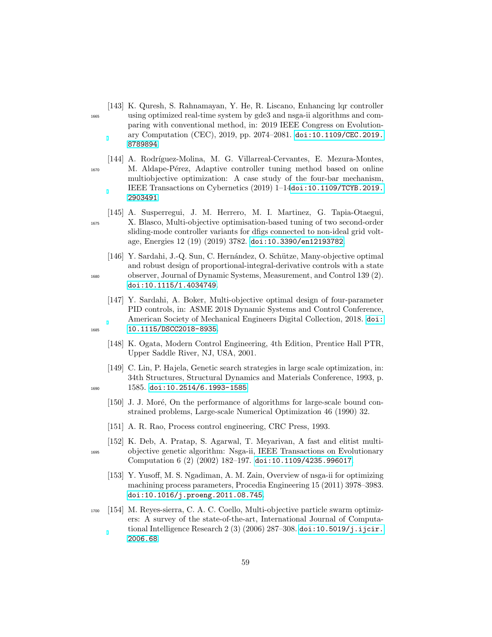- <span id="page-58-0"></span>[143] K. Quresh, S. Rahnamayan, Y. He, R. Liscano, Enhancing lqr controller <sup>1665</sup> using optimized real-time system by gde3 and nsga-ii algorithms and comparing with conventional method, in: 2019 IEEE Congress on Evolutionary Computation (CEC), 2019, pp. 2074–2081. [doi:10.1109/CEC.2019.](http://dx.doi.org/10.1109/CEC.2019.8789894) [8789894](http://dx.doi.org/10.1109/CEC.2019.8789894).
- <span id="page-58-1"></span>[144] A. Rodríguez-Molina, M. G. Villarreal-Cervantes, E. Mezura-Montes, <sup>1670</sup> M. Aldape-P´erez, Adaptive controller tuning method based on online multiobjective optimization: A case study of the four-bar mechanism, IEEE Transactions on Cybernetics (2019) 1–14[doi:10.1109/TCYB.2019.](http://dx.doi.org/10.1109/TCYB.2019.2903491) [2903491](http://dx.doi.org/10.1109/TCYB.2019.2903491).
- <span id="page-58-2"></span>[145] A. Susperregui, J. M. Herrero, M. I. Martinez, G. Tapia-Otaegui, <sup>1675</sup> X. Blasco, Multi-objective optimisation-based tuning of two second-order sliding-mode controller variants for dfigs connected to non-ideal grid voltage, Energies 12 (19) (2019) 3782. [doi:10.3390/en12193782](http://dx.doi.org/10.3390/en12193782).
- <span id="page-58-3"></span>[146] Y. Sardahi, J.-Q. Sun, C. Hernández, O. Schütze, Many-objective optimal and robust design of proportional-integral-derivative controls with a state <sup>1680</sup> observer, Journal of Dynamic Systems, Measurement, and Control 139 (2). [doi:10.1115/1.4034749](http://dx.doi.org/10.1115/1.4034749).
- <span id="page-58-4"></span>[147] Y. Sardahi, A. Boker, Multi-objective optimal design of four-parameter PID controls, in: ASME 2018 Dynamic Systems and Control Conference, American Society of Mechanical Engineers Digital Collection, 2018. [doi:](http://dx.doi.org/10.1115/DSCC2018-8935) 1685 [10.1115/DSCC2018-8935](http://dx.doi.org/10.1115/DSCC2018-8935).
	- [148] K. Ogata, Modern Control Engineering, 4th Edition, Prentice Hall PTR, Upper Saddle River, NJ, USA, 2001.
- <span id="page-58-6"></span>[149] C. Lin, P. Hajela, Genetic search strategies in large scale optimization, in: 34th Structures, Structural Dynamics and Materials Conference, 1993, p. 1690 1585. [doi:10.2514/6.1993-1585](http://dx.doi.org/10.2514/6.1993-1585).
	- [150] J. J. Moré, On the performance of algorithms for large-scale bound constrained problems, Large-scale Numerical Optimization 46 (1990) 32.
	- [151] A. R. Rao, Process control engineering, CRC Press, 1993.
- <span id="page-58-10"></span><span id="page-58-9"></span><span id="page-58-8"></span>[152] K. Deb, A. Pratap, S. Agarwal, T. Meyarivan, A fast and elitist multi-<sup>1695</sup> objective genetic algorithm: Nsga-ii, IEEE Transactions on Evolutionary Computation 6 (2) (2002) 182–197. [doi:10.1109/4235.996017](http://dx.doi.org/10.1109/4235.996017).
	- [153] Y. Yusoff, M. S. Ngadiman, A. M. Zain, Overview of nsga-ii for optimizing machining process parameters, Procedia Engineering 15 (2011) 3978–3983. [doi:10.1016/j.proeng.2011.08.745](http://dx.doi.org/10.1016/j.proeng.2011.08.745).
- <span id="page-58-11"></span><sup>1700</sup> [154] M. Reyes-sierra, C. A. C. Coello, Multi-objective particle swarm optimizers: A survey of the state-of-the-art, International Journal of Computational Intelligence Research 2 (3) (2006) 287–308. [doi:10.5019/j.ijcir.](http://dx.doi.org/10.5019/j.ijcir.2006.68) [2006.68](http://dx.doi.org/10.5019/j.ijcir.2006.68).

<span id="page-58-5"></span>

<span id="page-58-7"></span>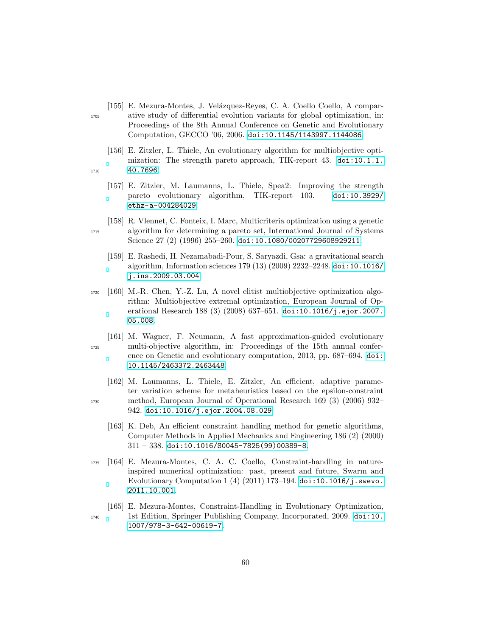- <span id="page-59-0"></span>[155] E. Mezura-Montes, J. Velázquez-Reyes, C. A. Coello Coello, A compar-<sup>1705</sup> ative study of differential evolution variants for global optimization, in: Proceedings of the 8th Annual Conference on Genetic and Evolutionary Computation, GECCO '06, 2006. [doi:10.1145/1143997.1144086](http://dx.doi.org/10.1145/1143997.1144086).
- <span id="page-59-2"></span><span id="page-59-1"></span>[156] E. Zitzler, L. Thiele, An evolutionary algorithm for multiobjective optimization: The strength pareto approach, TIK-report 43. [doi:10.1.1.](http://dx.doi.org/10.1.1.40.7696) 1710 [40.7696](http://dx.doi.org/10.1.1.40.7696).
	- [157] E. Zitzler, M. Laumanns, L. Thiele, Spea2: Improving the strength pareto evolutionary algorithm, TIK-report 103. [doi:10.3929/](http://dx.doi.org/10.3929/ethz-a-004284029) [ethz-a-004284029](http://dx.doi.org/10.3929/ethz-a-004284029).
- <span id="page-59-4"></span><span id="page-59-3"></span>[158] R. Vlennet, C. Fonteix, I. Marc, Multicriteria optimization using a genetic <sup>1715</sup> algorithm for determining a pareto set, International Journal of Systems Science 27 (2) (1996) 255-260. [doi:10.1080/00207729608929211](http://dx.doi.org/10.1080/00207729608929211).
	- [159] E. Rashedi, H. Nezamabadi-Pour, S. Saryazdi, Gsa: a gravitational search algorithm, Information sciences 179 (13) (2009) 2232–2248. [doi:10.1016/](http://dx.doi.org/10.1016/j.ins.2009.03.004) [j.ins.2009.03.004](http://dx.doi.org/10.1016/j.ins.2009.03.004).
- <span id="page-59-5"></span><sup>1720</sup> [160] M.-R. Chen, Y.-Z. Lu, A novel elitist multiobjective optimization algorithm: Multiobjective extremal optimization, European Journal of Operational Research 188 (3) (2008) 637–651. [doi:10.1016/j.ejor.2007.](http://dx.doi.org/10.1016/j.ejor.2007.05.008) [05.008](http://dx.doi.org/10.1016/j.ejor.2007.05.008).
- <span id="page-59-6"></span>[161] M. Wagner, F. Neumann, A fast approximation-guided evolutionary <sup>1725</sup> multi-objective algorithm, in: Proceedings of the 15th annual conference on Genetic and evolutionary computation, 2013, pp. 687–694. [doi:](http://dx.doi.org/10.1145/2463372.2463448) [10.1145/2463372.2463448](http://dx.doi.org/10.1145/2463372.2463448).
- <span id="page-59-7"></span>[162] M. Laumanns, L. Thiele, E. Zitzler, An efficient, adaptive parameter variation scheme for metaheuristics based on the epsilon-constraint <sup>1730</sup> method, European Journal of Operational Research 169 (3) (2006) 932– 942. [doi:10.1016/j.ejor.2004.08.029](http://dx.doi.org/10.1016/j.ejor.2004.08.029).
	- [163] K. Deb, An efficient constraint handling method for genetic algorithms, Computer Methods in Applied Mechanics and Engineering 186 (2) (2000)  $311 - 338$ . [doi:10.1016/S0045-7825\(99\)00389-8](http://dx.doi.org/10.1016/S0045-7825(99)00389-8).
- <span id="page-59-9"></span><span id="page-59-8"></span><sup>1735</sup> [164] E. Mezura-Montes, C. A. C. Coello, Constraint-handling in natureinspired numerical optimization: past, present and future, Swarm and Evolutionary Computation 1 (4) (2011) 173–194. [doi:10.1016/j.swevo.](http://dx.doi.org/10.1016/j.swevo.2011.10.001) [2011.10.001](http://dx.doi.org/10.1016/j.swevo.2011.10.001).
- <span id="page-59-10"></span>[165] E. Mezura-Montes, Constraint-Handling in Evolutionary Optimization, <sup>1740</sup> 1st Edition, Springer Publishing Company, Incorporated, 2009. [doi:10.](http://dx.doi.org/10.1007/978-3-642-00619-7) [1007/978-3-642-00619-7](http://dx.doi.org/10.1007/978-3-642-00619-7).
	- 60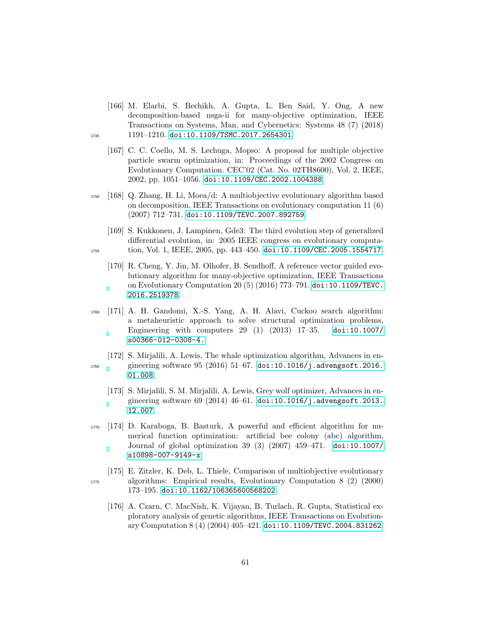- <span id="page-60-1"></span>[166] M. Elarbi, S. Bechikh, A. Gupta, L. Ben Said, Y. Ong, A new decomposition-based nsga-ii for many-objective optimization, IEEE Transactions on Systems, Man, and Cybernetics: Systems 48 (7) (2018) 1745 1191-1210. [doi:10.1109/TSMC.2017.2654301](http://dx.doi.org/10.1109/TSMC.2017.2654301).
	- [167] C. C. Coello, M. S. Lechuga, Mopso: A proposal for multiple objective particle swarm optimization, in: Proceedings of the 2002 Congress on Evolutionary Computation. CEC'02 (Cat. No. 02TH8600), Vol. 2, IEEE, 2002, pp. 1051–1056. [doi:10.1109/CEC.2002.1004388](http://dx.doi.org/10.1109/CEC.2002.1004388).
- <span id="page-60-3"></span><sup>1750</sup> [168] Q. Zhang, H. Li, Moea/d: A multiobjective evolutionary algorithm based on decomposition, IEEE Transactions on evolutionary computation 11 (6) (2007) 712–731. [doi:10.1109/TEVC.2007.892759](http://dx.doi.org/10.1109/TEVC.2007.892759).
- <span id="page-60-5"></span><span id="page-60-4"></span>[169] S. Kukkonen, J. Lampinen, Gde3: The third evolution step of generalized differential evolution, in: 2005 IEEE congress on evolutionary computa-<sup>1755</sup> tion, Vol. 1, IEEE, 2005, pp. 443–450. [doi:10.1109/CEC.2005.1554717](http://dx.doi.org/10.1109/CEC.2005.1554717).
	- [170] R. Cheng, Y. Jin, M. Olhofer, B. Sendhoff, A reference vector guided evolutionary algorithm for many-objective optimization, IEEE Transactions on Evolutionary Computation 20 (5) (2016) 773–791. [doi:10.1109/TEVC.](http://dx.doi.org/10.1109/TEVC.2016.2519378) [2016.2519378](http://dx.doi.org/10.1109/TEVC.2016.2519378).
- <span id="page-60-6"></span><sup>1760</sup> [171] A. H. Gandomi, X.-S. Yang, A. H. Alavi, Cuckoo search algorithm: a metaheuristic approach to solve structural optimization problems, Engineering with computers 29 (1) (2013) 17–35. [doi:10.1007/](http://dx.doi.org/10.1007/s00366-012-0308-4.) [s00366-012-0308-4.](http://dx.doi.org/10.1007/s00366-012-0308-4.)
- <span id="page-60-8"></span><span id="page-60-7"></span>[172] S. Mirjalili, A. Lewis, The whale optimization algorithm, Advances in en1765 gineering software 95 (2016) 51-67. [doi:10.1016/j.advengsoft.2016.](http://dx.doi.org/10.1016/j.advengsoft.2016.01.008) [01.008](http://dx.doi.org/10.1016/j.advengsoft.2016.01.008).
	- [173] S. Mirjalili, S. M. Mirjalili, A. Lewis, Grey wolf optimizer, Advances in engineering software  $69$  (2014)  $46-61$ . [doi:10.1016/j.advengsoft.2013.](http://dx.doi.org/10.1016/j.advengsoft.2013.12.007) [12.007](http://dx.doi.org/10.1016/j.advengsoft.2013.12.007).
- <span id="page-60-9"></span><sup>1770</sup> [174] D. Karaboga, B. Basturk, A powerful and efficient algorithm for numerical function optimization: artificial bee colony (abc) algorithm, Journal of global optimization 39 (3) (2007) 459–471. [doi:10.1007/](http://dx.doi.org/10.1007/s10898-007-9149-x) [s10898-007-9149-x](http://dx.doi.org/10.1007/s10898-007-9149-x).
- <span id="page-60-10"></span><span id="page-60-0"></span>[175] E. Zitzler, K. Deb, L. Thiele, Comparison of multiobjective evolutionary <sup>1775</sup> algorithms: Empirical results, Evolutionary Computation 8 (2) (2000) 173–195. [doi:10.1162/106365600568202](http://dx.doi.org/10.1162/106365600568202).
	- [176] A. Czarn, C. MacNish, K. Vijayan, B. Turlach, R. Gupta, Statistical exploratory analysis of genetic algorithms, IEEE Transactions on Evolutionary Computation 8 (4) (2004) 405–421. [doi:10.1109/TEVC.2004.831262](http://dx.doi.org/10.1109/TEVC.2004.831262).

<span id="page-60-2"></span>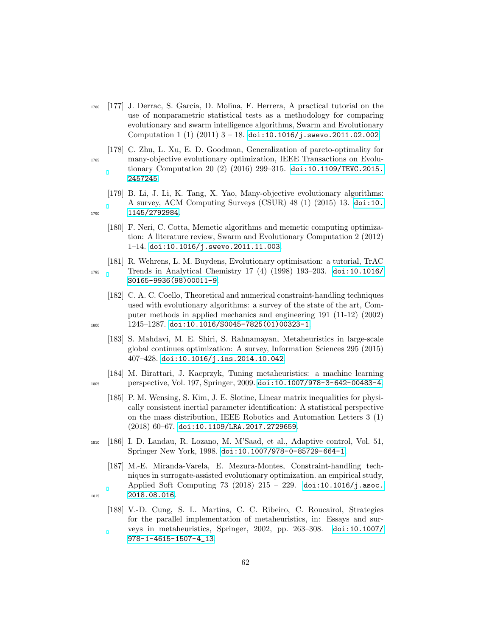- <span id="page-61-0"></span><sup>1780</sup> [177] J. Derrac, S. Garc´ıa, D. Molina, F. Herrera, A practical tutorial on the use of nonparametric statistical tests as a methodology for comparing evolutionary and swarm intelligence algorithms, Swarm and Evolutionary Computation 1 (1)  $(2011)$  3 – 18. [doi:10.1016/j.swevo.2011.02.002](http://dx.doi.org/10.1016/j.swevo.2011.02.002).
- <span id="page-61-1"></span>[178] C. Zhu, L. Xu, E. D. Goodman, Generalization of pareto-optimality for <sup>1785</sup> many-objective evolutionary optimization, IEEE Transactions on Evolutionary Computation 20 (2) (2016) 299–315. [doi:10.1109/TEVC.2015.](http://dx.doi.org/10.1109/TEVC.2015.2457245) [2457245](http://dx.doi.org/10.1109/TEVC.2015.2457245).
- <span id="page-61-2"></span>[179] B. Li, J. Li, K. Tang, X. Yao, Many-objective evolutionary algorithms: A survey, ACM Computing Surveys (CSUR) 48 (1) (2015) 13. [doi:10.](http://dx.doi.org/10.1145/2792984) 1790 [1145/2792984](http://dx.doi.org/10.1145/2792984).
	- [180] F. Neri, C. Cotta, Memetic algorithms and memetic computing optimization: A literature review, Swarm and Evolutionary Computation 2 (2012) 1–14. [doi:10.1016/j.swevo.2011.11.003](http://dx.doi.org/10.1016/j.swevo.2011.11.003).
- <span id="page-61-4"></span>[181] R. Wehrens, L. M. Buydens, Evolutionary optimisation: a tutorial, TrAC <sup>1795</sup> Trends in Analytical Chemistry 17 (4) (1998) 193–203. [doi:10.1016/](http://dx.doi.org/10.1016/S0165-9936(98)00011-9) [S0165-9936\(98\)00011-9](http://dx.doi.org/10.1016/S0165-9936(98)00011-9).
- <span id="page-61-5"></span>[182] C. A. C. Coello, Theoretical and numerical constraint-handling techniques used with evolutionary algorithms: a survey of the state of the art, Computer methods in applied mechanics and engineering 191 (11-12) (2002)  $1800$  1245–1287. doi:10.1016/S0045–7825(01)00323–1.
	- [183] S. Mahdavi, M. E. Shiri, S. Rahnamayan, Metaheuristics in large-scale global continues optimization: A survey, Information Sciences 295 (2015) 407–428. [doi:10.1016/j.ins.2014.10.042](http://dx.doi.org/10.1016/j.ins.2014.10.042).
- <span id="page-61-8"></span><span id="page-61-7"></span>[184] M. Birattari, J. Kacprzyk, Tuning metaheuristics: a machine learning <sup>1805</sup> perspective, Vol. 197, Springer, 2009. [doi:10.1007/978-3-642-00483-4](http://dx.doi.org/10.1007/978-3-642-00483-4).
	- [185] P. M. Wensing, S. Kim, J. E. Slotine, Linear matrix inequalities for physically consistent inertial parameter identification: A statistical perspective on the mass distribution, IEEE Robotics and Automation Letters 3 (1)  $(2018)$  60–67. [doi:10.1109/LRA.2017.2729659](http://dx.doi.org/10.1109/LRA.2017.2729659).
- <span id="page-61-9"></span><sup>1810</sup> [186] I. D. Landau, R. Lozano, M. M'Saad, et al., Adaptive control, Vol. 51, Springer New York, 1998. [doi:10.1007/978-0-85729-664-1](http://dx.doi.org/10.1007/978-0-85729-664-1).
- <span id="page-61-11"></span><span id="page-61-10"></span>[187] M.-E. Miranda-Varela, E. Mezura-Montes, Constraint-handling techniques in surrogate-assisted evolutionary optimization. an empirical study, Applied Soft Computing 73 (2018) 215 – 229. [doi:10.1016/j.asoc.](http://dx.doi.org/10.1016/j.asoc.2018.08.016) 1815 [2018.08.016](http://dx.doi.org/10.1016/j.asoc.2018.08.016).
	- [188] V.-D. Cung, S. L. Martins, C. C. Ribeiro, C. Roucairol, Strategies for the parallel implementation of metaheuristics, in: Essays and surveys in metaheuristics, Springer, 2002, pp. 263–308. [doi:10.1007/](http://dx.doi.org/10.1007/978-1-4615-1507-4_13) [978-1-4615-1507-4\\_13](http://dx.doi.org/10.1007/978-1-4615-1507-4_13).

<span id="page-61-3"></span>

<span id="page-61-6"></span>